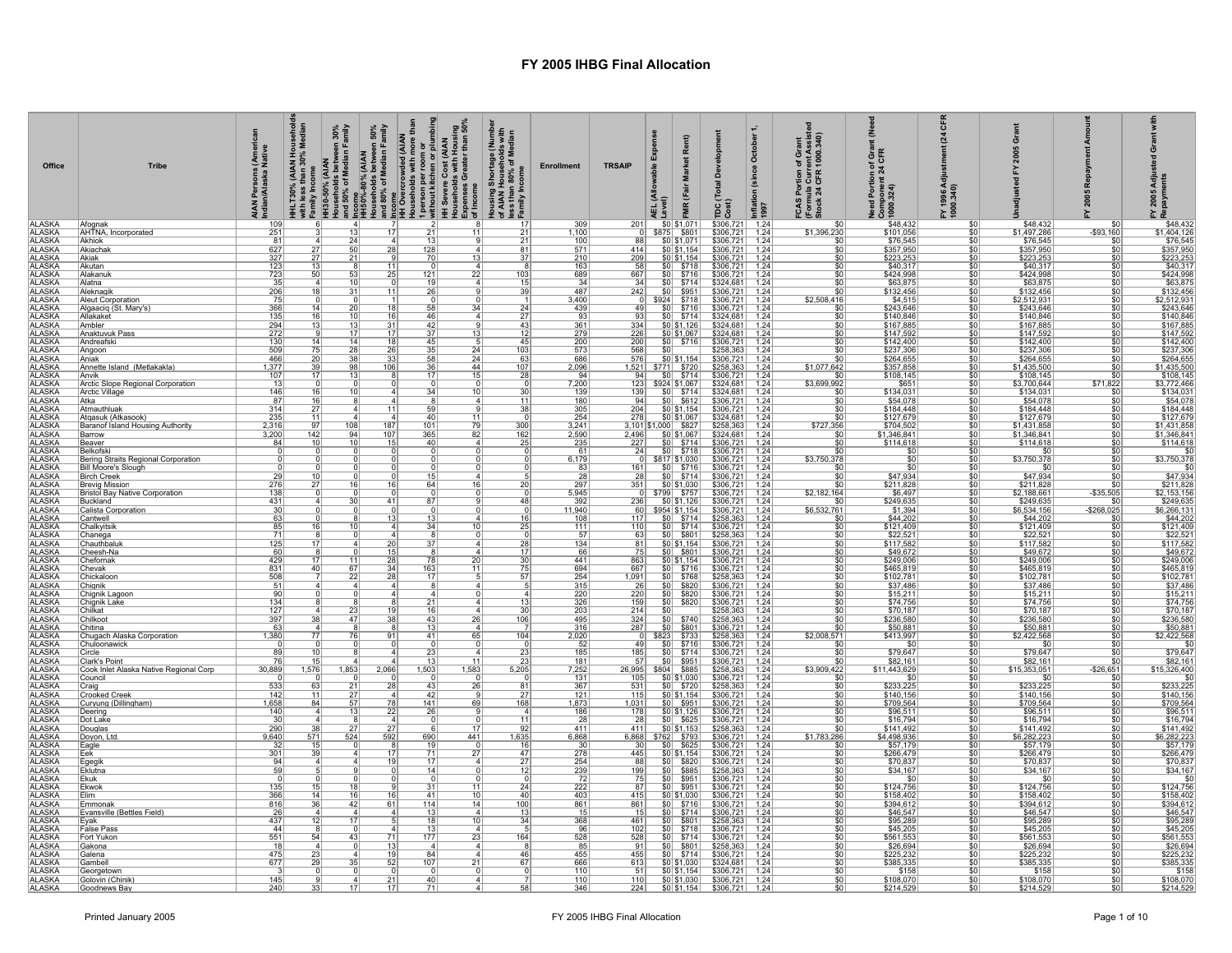| Office<br><b>ALASKA</b>        | <b>Tribe</b><br>Afoanak                           | s (America<br>I Native<br>AIAN Persons (<br>Indian/Alaska N<br>109 |                 | $\overline{4}$ |                 |                 | HHLT30% (AIAN Households<br>mith less than 30% Median<br>mith less than 30% Median<br>Households between 30%<br>Households between 50%<br>Households between 50%<br>History.com<br>History.com<br>and 80% of Median Family<br>and 80% of Median | Housing Shortage (Number<br>of AIAN Households with<br>less than 80% of Median<br>_Family Income | <b>Enrollment</b><br>309 | <b>TRSAIP</b><br>201 |       | Rent)<br>\$0 \$1,071                                                                                                         | elopm<br>ခ်ိ<br>흔<br>тpс<br>$$306,721$ 1.24                                                                                                   | October<br>(since<br>Inflation<br>1997 | ortion of Grant<br>a Current Assiste<br>LCFR 1000.340)<br><b>FCAS Portion<br/>(Formula Curr<br/>Stock 24 CFR</b><br>\$O | ğ<br>f Grar<br>CFR<br>Need Portion of <sub>1</sub><br>Component 24 C<br>1000.324)<br>\$48,432 | ៉ិ<br>$\mathbf{z}$<br>FY 1996 Adj<br>1000.340)<br>\$0 | ō<br>\$48,432               |                         | <b>Adj</b><br>ents<br>2005<br>Repayn<br>\$48,432 |
|--------------------------------|---------------------------------------------------|--------------------------------------------------------------------|-----------------|----------------|-----------------|-----------------|-------------------------------------------------------------------------------------------------------------------------------------------------------------------------------------------------------------------------------------------------|--------------------------------------------------------------------------------------------------|--------------------------|----------------------|-------|------------------------------------------------------------------------------------------------------------------------------|-----------------------------------------------------------------------------------------------------------------------------------------------|----------------------------------------|-------------------------------------------------------------------------------------------------------------------------|-----------------------------------------------------------------------------------------------|-------------------------------------------------------|-----------------------------|-------------------------|--------------------------------------------------|
| <b>ALASKA</b>                  | AHTNA, Incorporated                               | 251                                                                |                 | 13             | 17              | 21              | 11                                                                                                                                                                                                                                              | 21                                                                                               | 1,100                    |                      |       | 0 \$875 \$801                                                                                                                | \$306,721 1.24                                                                                                                                |                                        | \$1,396,230                                                                                                             | \$101,056                                                                                     | \$0                                                   | \$1,497,286                 | $-$93,160$              | \$1,404,126                                      |
| <b>ALASKA</b><br><b>ALASKA</b> | Akhiok<br>Akiachak                                | 81<br>627                                                          | $\overline{27}$ | 24<br>50       | 28              | 128             |                                                                                                                                                                                                                                                 | 21<br>81                                                                                         | $\frac{100}{571}$        | 88<br>414            |       | $\frac{$0 }{$0 }$ \$1,071<br>\$0 \$1,154                                                                                     | \$306,721 1.24<br>\$306,721 1.24                                                                                                              |                                        | \$0<br>$\overline{\$0}$                                                                                                 | \$76,545<br>\$357,950                                                                         | $rac{$0}{$0}$                                         | \$76,545<br>\$357,950       | \$ſ.                    | \$76,545<br>\$357,950                            |
| <b>ALASKA</b>                  | Akiak                                             | $\frac{327}{123}$                                                  |                 | 21             |                 | 70              | 13                                                                                                                                                                                                                                              | 37                                                                                               | $\frac{210}{163}$        | $\frac{209}{58}$     |       | $\frac{$0] $1,154}{$0] $5718}$                                                                                               | $$306,721$<br>$$306,721$                                                                                                                      | $\frac{1.24}{1.24}$                    | $rac{1}{50}$                                                                                                            | \$223,253<br>\$40,317                                                                         | $\frac{$0}{$0}$                                       | \$223,253                   | \$0                     | $\frac{$223,253}{$40,317}$                       |
| <b>ALASKA</b>                  | Akutan                                            |                                                                    | 13              |                | 11              |                 | $\mathbf{A}$                                                                                                                                                                                                                                    | $\vert$ 8                                                                                        |                          |                      |       |                                                                                                                              |                                                                                                                                               |                                        |                                                                                                                         |                                                                                               |                                                       |                             | \$O                     |                                                  |
| <b>ALASKA</b><br><b>ALASKA</b> | Alakanuk<br>Alatna                                | 723                                                                | 50              | 53             | 25              | 121             | 22                                                                                                                                                                                                                                              | 103                                                                                              | 689<br>34                | 667<br>34            |       | $$0$ \$716<br>$\frac{$0}{$0}$ $\frac{$714}{$90}$                                                                             | $$306,721$ 1.24<br>\$324,681                                                                                                                  | 1.24                                   | \$0<br>\$0                                                                                                              | \$424,998<br>\$63,875                                                                         | \$0<br>\$0                                            | \$424,998<br>\$63,875       | \$0                     | \$424,998<br>\$63,875                            |
| <b>ALASKA</b><br><b>ALASKA</b> | Aleknagik                                         | 206<br>75                                                          | 18              | 31             | $\overline{11}$ | 26              |                                                                                                                                                                                                                                                 | 39                                                                                               | 487                      | 242                  |       |                                                                                                                              | \$306,721                                                                                                                                     | 1.24                                   |                                                                                                                         | \$132,456                                                                                     | $\overline{\$0}$                                      | \$132,456<br>\$2,512,931    | \$O                     | \$132,456<br>\$2,512,931                         |
| ALASKA                         | <b>Aleut Corporation</b><br>Algaaciq (St. Mary's) | 366                                                                | 14              | 20             | 18              | 58              | 34                                                                                                                                                                                                                                              | 24                                                                                               | 3,400<br>439             | 49                   |       | 0 \$924 \$718<br>$$0 $ \$716                                                                                                 | \$306,721<br>\$306,721                                                                                                                        | 1.24<br>1.24                           | \$2,508,416<br>\$0                                                                                                      | $$4,515$<br>\$243,646                                                                         | $\frac{$0}{$0}$                                       | \$243,646                   | \$0<br>\$0              | \$243,646                                        |
| <b>ALASKA</b>                  | Allakaket                                         | 135                                                                | 16              | 10             | 16              | 46              | $\overline{a}$                                                                                                                                                                                                                                  | 27                                                                                               | 93                       | 93                   |       | $$0 $ \$714                                                                                                                  | \$324,681 1.24                                                                                                                                |                                        | \$0                                                                                                                     | \$140,846                                                                                     | \$0                                                   | \$140,846                   | \$0                     | \$140,846                                        |
| <b>ALASKA</b><br><b>ALASKA</b> | Ambler<br>Anaktuvuk Pass                          | $\frac{294}{272}$                                                  |                 |                | $\overline{17}$ | 37              | 13                                                                                                                                                                                                                                              | 43<br>12                                                                                         | $\frac{361}{279}$        | $\frac{334}{226}$    |       | $\frac{60 61,126 }{60 61,067 }$                                                                                              | $\frac{16324681}{16324681}$                                                                                                                   | 1.24<br>1.24                           | $rac{1}{100}$                                                                                                           | $\frac{$167,885}{$147,592}$                                                                   | $\overline{50}$                                       | $\frac{$167,885}{$147,592}$ | \$0                     | \$167,885<br>\$147,592                           |
| <b>ALASKA</b>                  | Andreafski                                        | 130                                                                | 14<br>75        | 14             | <u>18</u>       | 45<br>35        |                                                                                                                                                                                                                                                 | 45                                                                                               | $\frac{200}{573}$        | 200                  |       | $$0$ $$716$                                                                                                                  | \$306,721                                                                                                                                     | 1.24                                   | 10                                                                                                                      | \$142,400                                                                                     | \$0                                                   | \$142,400                   | \$0                     | \$142,400                                        |
| <b>ALASKA</b><br><b>ALASKA</b> | Angoon<br>Aniak                                   | 509<br>466                                                         | 20              | 28<br>38       | 26<br>33        | 58              | 24<br>24                                                                                                                                                                                                                                        | 103<br>63                                                                                        | 686                      | 568<br>576           | \$0   | \$0 \$1,154                                                                                                                  | \$258,363                                                                                                                                     | 1.24<br>1.24                           | \$0<br>\$0                                                                                                              | \$237,306                                                                                     | \$0<br>$\overline{50}$                                | \$237,306<br>\$264,655      | \$0<br>\$0              | \$237,306<br>\$264,655                           |
| <b>ALASKA</b><br><b>ALASKA</b> | Annette Island (Metlakakla)                       | 1,377<br>107                                                       |                 | 13             | 106             |                 | 44<br>$\overline{15}$                                                                                                                                                                                                                           | 107<br>28                                                                                        | 2,096<br>94              |                      |       |                                                                                                                              | $\frac{$306,721}{$258,363}$<br>$$306,721$                                                                                                     | $\frac{1.24}{1.24}$                    | \$1,077,642<br>$\overline{30}$                                                                                          | $\frac{$264,655}{$357,858}$ \$108,145                                                         | $\frac{$0}{$0}$                                       | \$1,435,500<br>\$108,145    | \$C<br>$\overline{50}$  | \$1,435,500<br>\$108,145                         |
| <b>ALASKA</b>                  | <b>Anvik</b><br>Arctic Slope Regional Corporation | 13                                                                 |                 |                |                 | 17              |                                                                                                                                                                                                                                                 |                                                                                                  | 7,200                    |                      |       | 123 \$924 \$1,067                                                                                                            | \$324,681                                                                                                                                     | 1.24                                   | \$3,699,992                                                                                                             |                                                                                               |                                                       | \$3,700,644                 | \$71,822                | \$3,772,466                                      |
| <b>ALASKA</b>                  | <b>Arctic Village</b>                             | 146                                                                | 16              | 10             |                 | 34              | 10                                                                                                                                                                                                                                              | 30                                                                                               | 139                      | 139                  |       | $$0 $ \$714                                                                                                                  | \$324,681                                                                                                                                     | 1.24                                   |                                                                                                                         | $$651$<br>$$134,031$                                                                          | $\frac{$0}{$0}$                                       | \$134,031                   |                         | \$134,031                                        |
| ALASKA                         | Atka<br>Atmauthluak                               | 87<br>314                                                          | 16              |                | 11              |                 | $\overline{4}$                                                                                                                                                                                                                                  | 11<br>38                                                                                         | 180                      | 94                   |       | $\begin{array}{r} 60 \overline{)6114} \\ 50 \overline{)5612} \\ 50 \overline{)51,154} \\ 50 \overline{)51,067} \end{array}$  | $\begin{array}{r rrr}\n\hline\n\text{$6306,721} & 1.24 \\ \text{$6306,721$} & 1.24 \\ \text{$6324,681$} & 1.24\n\end{array}$                  |                                        | 50 <br>\$0                                                                                                              | \$54,078<br>\$184,448<br>\$127,679                                                            | \$0                                                   | \$54,078<br>\$184,448       | \$0<br>\$0              | \$54,078                                         |
| <b>ALASKA</b>                  | Atqasuk (Atkasook)                                | 235                                                                | 11              |                |                 | 40              | $\overline{11}$                                                                                                                                                                                                                                 | $\Omega$                                                                                         | $\frac{305}{254}$        | $\frac{204}{278}$    |       |                                                                                                                              |                                                                                                                                               |                                        | s٥                                                                                                                      |                                                                                               | $\frac{$0}{$0}$                                       | \$127,679                   | \$0                     | $$184,448$<br>$$127,679$                         |
| <b>ALASKA</b><br><b>ALASKA</b> | Baranof Island Housing Authority<br>Barrow        | 2,316<br>3,200                                                     | 97<br>142       | 108<br>94      | 187<br>107      | 101<br>365      | 79<br>82                                                                                                                                                                                                                                        | $\frac{300}{162}$                                                                                | $\frac{3,241}{2,590}$    |                      |       | 3,101 \$1,000 \$827                                                                                                          | \$258,363<br>\$324,681                                                                                                                        | 1.24<br>1.24                           | \$727,356                                                                                                               | \$704,502<br>\$1,346,841                                                                      | $\frac{$0}{$0}$                                       | \$1,431,858<br>\$1,346,841  | \$0<br>\$0              | \$1,431,858<br>\$1,346,841                       |
| ALASKA<br>ALASKA               | <u>Beaver</u>                                     | 84                                                                 | 10              | 10             | 15              | 40              | $\mathbf{A}$                                                                                                                                                                                                                                    | 25                                                                                               | 235                      | 227                  |       |                                                                                                                              | \$306,721                                                                                                                                     | 1.24                                   | $\overline{\text{SO}}$                                                                                                  | \$114,618                                                                                     | $\overline{50}$                                       | \$114,618                   | $\overline{50}$         | \$114,618                                        |
| <b>ALASKA</b>                  | Belkofski<br>Bering Straits Regional Corporation  |                                                                    |                 |                |                 |                 |                                                                                                                                                                                                                                                 |                                                                                                  | $\frac{61}{6,179}$       |                      |       | $\begin{array}{c cc}\n\hline\n\frac{1}{227} & 50 & 5714 \\ \hline\n24 & 50 & 5718 \\ \hline\n0 & 5817 & 51,030\n\end{array}$ | \$306,721 1.24<br>\$306,721 1.24                                                                                                              |                                        | \$3,750,378                                                                                                             | $\frac{$0}{$0}$                                                                               | $\frac{$0}{$0}$                                       | $\frac{$6}{\$3,750,378}$    | \$0<br>\$0              | $$0$ \$3,750,378                                 |
| <b>ALASKA</b>                  | Bill Moore's Slough                               |                                                                    |                 |                |                 |                 |                                                                                                                                                                                                                                                 |                                                                                                  | $\frac{83}{28}$          | 161                  |       | $\frac{$0}{$0}{$716}$                                                                                                        | \$306,721                                                                                                                                     | 1.24                                   |                                                                                                                         | $\overline{\text{SC}}$                                                                        | $\overline{50}$                                       |                             | \$0                     | $\overline{50}$                                  |
| <b>ALASKA</b>                  | Birch Creek<br>Brevig Mission                     | 29<br>276                                                          | 27              |                | 16              | 64              | 16                                                                                                                                                                                                                                              | 20                                                                                               | 297                      | 28<br>351            |       |                                                                                                                              | \$306,721<br>$$306,721$ 1.24                                                                                                                  | 1.24                                   | $\overline{\$0}$<br>SO.                                                                                                 | \$47,934<br>\$211,828                                                                         | $\overline{50}$<br>\$0                                | \$47,934<br>\$211,828       | \$0<br>\$0              | \$47,934                                         |
| ALASKA<br>ALASKA               | <b>Bristol Bay Native Corporation</b>             | 138                                                                |                 |                | 41              |                 |                                                                                                                                                                                                                                                 | 48                                                                                               | $\frac{5,945}{392}$      |                      |       |                                                                                                                              | \$306,721 1.24<br>\$306,721 1.24                                                                                                              |                                        | \$2,182,164<br>٩Ū                                                                                                       | \$6,497                                                                                       | $\frac{$0}{$0}$                                       | \$2,188,661<br>\$249,635    | $-$35,505$              | $\frac{$211,828}{$2,153,156}$ \$2,153,156        |
| <b>ALASKA</b><br><b>ALASKA</b> | Buckland<br>Calista Corporation                   | 431                                                                |                 | 30             |                 | 87              |                                                                                                                                                                                                                                                 |                                                                                                  | 11,940                   | 236                  |       |                                                                                                                              |                                                                                                                                               | 1.24                                   | \$6,532,761                                                                                                             | \$249,635                                                                                     |                                                       |                             | \$ſ.<br>$-$ \$268,025   | \$6,266,131                                      |
| <b>ALASKA</b>                  | Cantwell                                          | $\frac{30}{63}$                                                    |                 |                | 13              | 13              |                                                                                                                                                                                                                                                 | 16                                                                                               | 108                      | 117                  |       | $$0$ $$714$                                                                                                                  | $$306,721$<br>$$258,363$                                                                                                                      | 1.24                                   | \$0                                                                                                                     | $$1,394$<br>$$44,202$                                                                         | $\frac{$0}{$0}$                                       | \$6,534,156<br>\$44,202     | \$0                     | \$44,202                                         |
| <b>ALASKA</b><br><b>ALASKA</b> | Chalkyitsik<br>Chanega                            | 85<br>$\overline{71}$                                              | 16              |                |                 | 34              | 10                                                                                                                                                                                                                                              | 25                                                                                               | 111<br>57                | 110<br>63            |       | $$0$ $$714$                                                                                                                  | \$306,721<br>\$258,363<br>\$306,721                                                                                                           | 1.24<br>1.24                           | \$0 <br>\$0                                                                                                             | $$121,409$<br>$$22,521$                                                                       | \$0<br>\$0                                            | \$121,409<br>\$22,521       | \$0<br>\$0              | \$121,409<br>\$22,521                            |
| <b>ALASKA</b>                  | Chauthbaluk                                       | 125                                                                |                 |                | 20              |                 |                                                                                                                                                                                                                                                 | 28                                                                                               | 134                      | 81                   |       | $\frac{$0}{$0}{$0 $1,154}$                                                                                                   |                                                                                                                                               | 1.24                                   | 50                                                                                                                      | \$117,582                                                                                     | \$0                                                   | \$117,582                   |                         | \$117,582                                        |
| <b>ALASKA</b><br><b>ALASKA</b> | Cheesh-Na<br>Chefornak                            | 60<br>429                                                          | 17              | 11             | 15<br>-28       | 78              | 20                                                                                                                                                                                                                                              | 17<br>30 <sup>1</sup>                                                                            | 66<br>441                | 75<br>863            |       | $\frac{$0}{$0}{$0$}$ \$801                                                                                                   | $\frac{$306,721}{\$306,721}$                                                                                                                  | 1.24<br>1.24                           | $rac{1}{100}$                                                                                                           | $\frac{$49,672}{$249,006}$                                                                    | $\overline{50}$<br>\$0                                | \$49,672<br>\$249,006       | $\overline{50}$<br>\$0  | \$49,672<br>\$249,006                            |
| <b>ALASKA</b>                  | Chevak                                            | 831                                                                | 40              | 67             | 34              | 163             | 11                                                                                                                                                                                                                                              | 75                                                                                               | 694                      | 667                  |       | $$0$ $$716$<br>$$0$ $$768$                                                                                                   | \$306,721                                                                                                                                     | 1.24                                   | \$0                                                                                                                     | \$465,819                                                                                     | \$0                                                   | \$465,819                   | \$0                     | \$465,819                                        |
| <b>ALASKA</b><br><b>ALASKA</b> | Chickaloon<br>Chianik                             | 508<br>51                                                          |                 | 22             |                 | 17              |                                                                                                                                                                                                                                                 | 57                                                                                               | 254<br>315               | 1,091<br>26          |       | $ $0 $ \$820                                                                                                                 | \$306,721                                                                                                                                     | 1.24<br>1.24                           | \$0<br> 50                                                                                                              | \$102,781<br>\$37,486                                                                         | $\overline{\$0}$<br>\$0                               | \$102,781<br>\$37,486       | \$0<br>\$0              | \$102,781<br>\$37,486                            |
| <b>ALASKA</b><br>ALASKA        | Chignik Lagoon                                    | 90                                                                 |                 |                |                 |                 |                                                                                                                                                                                                                                                 |                                                                                                  | 220                      | 220                  |       | $\frac{$0}{$0}$ \$820                                                                                                        | $$306,721$ 1.24                                                                                                                               |                                        |                                                                                                                         | $\frac{$1,100}{$15,211}$<br>$$74,756$                                                         | \$0                                                   | $$15,211$<br>$$74,756$      | \$0                     | $$15,211$<br>$$74,756$                           |
| <b>ALASKA</b>                  | Chignik Lake<br>Chilkat                           | 134<br>127                                                         |                 |                |                 | 21              | $\Delta$                                                                                                                                                                                                                                        | 13<br>30                                                                                         | 326                      | 159<br>214           |       |                                                                                                                              | $$306,721$ 1.24                                                                                                                               | 1.24                                   | 50 <br>$\overline{\$0}$                                                                                                 | \$70,187                                                                                      | \$0                                                   | \$70,187                    | \$0<br>\$0              | \$70,187                                         |
| <b>ALASKA</b><br><b>ALASKA</b> | Chilkoot                                          | 397<br>63                                                          | 38              | 47             |                 | 43              | 26                                                                                                                                                                                                                                              | 106                                                                                              | $\frac{203}{495}$<br>316 | 324<br>287           |       | $\frac{$0}{$0}$ \$740                                                                                                        | $$258,363$<br>$$258,363$                                                                                                                      | 1.24                                   | $\overline{\overline{\text{s}}\text{o}}$<br>$\overline{\text{SO}}$                                                      | $\frac{$236,580}{$50,881}$                                                                    | $\frac{$0}{$0}$                                       | $\frac{$236,580}{$50,881}$  | \$0<br>$\overline{50}$  | \$236,580                                        |
| <b>ALASKA</b>                  | Chitina<br>Chugach Alaska Corporation             | 1,380                                                              | 77              |                | -91             | 13<br>41        | 65                                                                                                                                                                                                                                              | 104                                                                                              | 2,020                    |                      |       | $ $0 $ \$801                                                                                                                 | \$306,721                                                                                                                                     | 1.24<br>1.24                           | \$2,008,571                                                                                                             | \$413,997                                                                                     | $\overline{50}$                                       | \$2,422,568                 | \$0                     | \$50,881                                         |
| <b>ALASKA</b>                  | Chuloonawick                                      |                                                                    |                 |                |                 |                 |                                                                                                                                                                                                                                                 |                                                                                                  | 52                       | 49                   |       | 0 \$823 \$733<br>49 \$0 \$716                                                                                                | \$258,363 1.24<br>\$306,721 1.24                                                                                                              |                                        | \$O                                                                                                                     | \$0                                                                                           | $\frac{$0}{$0}$                                       | $\overline{\mathbf{s}}$     | $\overline{50}$         | \$2,422,568<br>\$0                               |
| <b>ALASKA</b><br><b>ALASKA</b> | Circle<br>Clark's Point                           | 89                                                                 |                 |                |                 |                 | 11                                                                                                                                                                                                                                              | $\frac{23}{23}$                                                                                  | 185<br>181               | $\frac{185}{57}$     |       | $\frac{$0}{$0}$ $\frac{$714}{$90}$                                                                                           | \$306,721<br>\$306,721<br>\$258,363                                                                                                           | 1.24<br>1.24                           | $\overline{50}$<br>\$Ō                                                                                                  | $\frac{$79,647}{$82,161}$                                                                     | $\frac{$0}{$0}{$0}{$0 $$                              | $\frac{$79,647}{$82,161}$   | \$0                     | $\frac{$79,647}{$82,161}$                        |
| <b>ALASKA</b>                  | Cook Inlet Alaska Native Regional Corp            | 30,889                                                             | 1,576           | 1,853          | 2,066           | 1,503           | 1,583                                                                                                                                                                                                                                           | 5,205                                                                                            | 7,252                    |                      |       | 26,995 \$804 \$885                                                                                                           |                                                                                                                                               | 1.24                                   | \$3,909,422                                                                                                             |                                                                                               |                                                       |                             | $-$26,651$              |                                                  |
| <b>ALASKA</b><br><b>ALASKA</b> | Council<br>Craig                                  | 533                                                                | 63              | 21             | 28              | 43              | 26                                                                                                                                                                                                                                              | 81                                                                                               | $\frac{131}{367}$        | $\frac{105}{531}$    |       | $\frac{$0] $1,030}{$0] $5720}$                                                                                               | \$306,721<br>\$258,363                                                                                                                        | 1.24<br>1.24                           | \$0<br>$\overline{50}$                                                                                                  | \$0<br>\$233,225                                                                              | $rac{$0}{$0}$                                         | \$<br>\$233,225             | \$0                     | \$0<br>\$233,225                                 |
| ALASKA<br>ALASKA<br>ALASKA     | Crooked Creek                                     | 142                                                                | 11              | 27             |                 | 42<br>141       |                                                                                                                                                                                                                                                 | 27<br>$\frac{1}{168}$                                                                            | $\frac{121}{1.873}$      | 115                  |       | $\begin{array}{r l}\n\hline\n $0 & $1,154 \\  \hline\n $0 & $951 \\  \hline\n $0 & $1,126\n \end{array}$                     | \$306,721 1.24<br>\$306,721 1.24                                                                                                              |                                        | $\overline{\$0}$                                                                                                        | \$140,156                                                                                     | \$0                                                   | \$140,156                   | $\overline{50}$         | $\frac{$140,156}{$709,564}$                      |
|                                | <u>Curvung (Dillingham)</u><br>Deering            | $\frac{1,658}{140}$                                                | 84<br>$\Delta$  | 57<br>13       | $\frac{78}{22}$ | 26              | 69                                                                                                                                                                                                                                              | $\Delta$                                                                                         |                          | 1,031<br>178         |       |                                                                                                                              | $$306,721$ 1.24                                                                                                                               |                                        | $rac{1}{50}$                                                                                                            | $\frac{$709,564}{$96,511}$                                                                    | \$0<br>$\overline{50}$                                | \$709,564<br>\$96,511       | \$0<br>\$0              |                                                  |
| <b>ALASKA</b><br><b>ALASKA</b> | Dot Lake                                          | 30<br>290                                                          | 38              | 27             | $\overline{27}$ |                 | 17                                                                                                                                                                                                                                              | 11<br>92                                                                                         | 28<br>411                | 28<br>411            |       | $$0 $ \$625<br>\$0 \$1,153                                                                                                   | \$306,721<br>\$258,363                                                                                                                        | 1.24<br>1.24                           | \$0<br>$\overline{\text{SO}}$                                                                                           | \$16,794<br>\$141,492                                                                         | \$0<br>50                                             | \$16,794<br>\$141,492       | \$0<br>\$0              | \$16,794<br>\$141,492                            |
| <b>ALASKA</b>                  | Douglas<br><u>Dovon, Ltd</u>                      | 9,640                                                              | 571             | 524            | 592             | 690             | 441                                                                                                                                                                                                                                             | 1,635                                                                                            | 6,868                    |                      |       | 6,868 \$762 \$793                                                                                                            | $$306,721$ 1.24                                                                                                                               |                                        | \$1,783,286                                                                                                             | \$4,498,936                                                                                   | <u>\$0</u>                                            | \$6,282,223                 | \$0                     |                                                  |
| <b>ALASKA</b><br><b>ALASKA</b> | Eagle                                             | 301                                                                | $\frac{15}{39}$ |                | 17              | 71              | $\overline{27}$                                                                                                                                                                                                                                 | 47                                                                                               | $\frac{30}{278}$         | 30<br>445            |       | $$0$ $$625$<br>$$0$ $$1,154$                                                                                                 | \$306,721<br>$$306,721$ 1.24                                                                                                                  | 1.24                                   | $\frac{$0}{$0}$                                                                                                         | \$57,179<br>\$266,479                                                                         | $\frac{$0}{$0}$                                       | \$57,179<br>\$266,479       | \$0<br>\$0              | \$266,479                                        |
| <b>ALASKA</b>                  | Eek<br>Eaeaik                                     | 94                                                                 |                 |                | 1 <sup>c</sup>  | 17              |                                                                                                                                                                                                                                                 | 27                                                                                               | $\frac{254}{239}$        | 88                   |       | $\frac{$0}{$0}{$0$}$ \$820                                                                                                   | $$306,721$<br>$$258,363$                                                                                                                      | 1.24                                   | $\overline{\$0}$                                                                                                        | \$70,837                                                                                      | \$0                                                   | \$70,837                    | $\overline{\$0}$        | \$70,837                                         |
| <b>ALASKA</b>                  | Eklutna                                           | 59                                                                 | $\overline{5}$  |                |                 | $\overline{14}$ |                                                                                                                                                                                                                                                 | 12                                                                                               |                          | 199                  |       |                                                                                                                              |                                                                                                                                               | 1.24                                   | $\overline{\$0}$                                                                                                        | \$34,167                                                                                      | $\overline{\$0}$                                      | \$34,167                    | 50                      | \$34,167                                         |
| <b>ALASKA</b><br><b>ALASKA</b> | Ekuk<br>Ekwok                                     | 135                                                                |                 |                |                 |                 | 11                                                                                                                                                                                                                                              | 24                                                                                               | $\frac{72}{222}$         | $\frac{75}{87}$      | \$0   | $$0$ \$951<br>\$951                                                                                                          | $$306,721$ 1.24<br>\$306,721                                                                                                                  | 1.24                                   | 10<br>\$0                                                                                                               | $rac{$0}{15124,756}$                                                                          | \$0<br>\$0                                            | $\frac{$0}{\$124,756}$      | \$0<br>\$0              | $\frac{$0}{$124,756}$                            |
| <b>ALASKA</b><br><b>ALASKA</b> | lim                                               | 366<br>816                                                         | 14              | 16<br>42       | 16<br>61        | 41<br>114       | 10<br>14                                                                                                                                                                                                                                        | 40<br>100                                                                                        | 403                      | 415                  |       | \$0 \$1,030                                                                                                                  | $$306,721$ 1.24                                                                                                                               |                                        | 50                                                                                                                      | \$158,402                                                                                     | \$0                                                   | \$158,402                   | $\overline{\$0}$<br>\$0 | \$158,402<br>\$394,612                           |
| <b>ALASKA</b>                  | Emmonak<br>Evansville (Bettles Field)             | -26                                                                | 36<br>$\Delta$  |                |                 | 13              | $\mathbf{A}$                                                                                                                                                                                                                                    | 13                                                                                               | $\frac{861}{15}$         | $\frac{861}{15}$     |       | $\frac{$0}{$0}{$716}$                                                                                                        | $\frac{$306,721}{$306,721}$                                                                                                                   | $\frac{1.24}{1.24}$                    | $rac{1}{100}$                                                                                                           | \$394,612<br>\$46,547                                                                         | $\frac{$0}{$0}$                                       | \$394,612<br>\$46,547       | \$0                     | \$46,547                                         |
| <b>ALASKA</b><br><b>ALASKA</b> | Evak                                              | 437<br>44                                                          | 12              |                |                 |                 | 10                                                                                                                                                                                                                                              | 34                                                                                               | 368                      | 461<br>102           |       | $$0 $ \$801<br>\$718                                                                                                         | \$258,363<br>\$306,721                                                                                                                        | 1.24<br>1.24                           | \$0<br>\$0                                                                                                              | \$95,289<br>\$45,205                                                                          | \$0<br>\$0                                            | \$95,289<br>\$45,205        | \$0                     | \$95,289<br>\$45,205                             |
| <b>ALASKA</b>                  | alse Pass<br>Fort Yukon                           | 551                                                                | 54              | 43             | $\overline{71}$ | 177             | 23                                                                                                                                                                                                                                              | 164                                                                                              | 528                      | 528                  | \$0 I | $$0$ $$714$                                                                                                                  | \$306,721                                                                                                                                     | 1.24                                   | 50                                                                                                                      | \$561,553                                                                                     | $\overline{50}$                                       | \$561,553                   | $\overline{50}$         | \$561,553                                        |
| <b>ALASKA</b><br><b>ALASKA</b> | Gakona<br>Galena                                  | -18<br>475                                                         | 23              |                | $\frac{13}{19}$ | RA              | -4<br>$\boldsymbol{\Lambda}$                                                                                                                                                                                                                    | 46                                                                                               | $\frac{85}{455}$         | $\frac{91}{455}$     |       | $\frac{$0}{$0}{$0 $ \$801                                                                                                    | \$258,363<br>\$306,721                                                                                                                        | 1.24<br>1.24                           | $\frac{1}{50}$<br>$\overline{30}$                                                                                       | \$26,694<br>\$225,232                                                                         | $\frac{$0}{$0}$                                       | \$26,694<br>\$225,232       | \$0<br>\$0              | \$26,694                                         |
| <b>ALASKA</b>                  | Gambell                                           | 677                                                                | 29              |                | 52              | 107             | 21                                                                                                                                                                                                                                              | 67                                                                                               | 666                      | 613                  |       | \$0 \$1,030                                                                                                                  | \$324,681                                                                                                                                     | 1.24                                   | \$0                                                                                                                     | \$385,335                                                                                     | \$0                                                   | \$385,335                   | \$0                     | \$225,232<br><u>\$385,335</u>                    |
| <b>ALASKA</b><br><b>ALASKA</b> | Georaetown<br>Golovin (Chinik)                    | 145                                                                |                 |                | 21              | 40              |                                                                                                                                                                                                                                                 |                                                                                                  | 110<br>110               | $\frac{51}{110}$     |       |                                                                                                                              | $\frac{124}{10}$<br>$\frac{124}{10}$<br>$\frac{124}{10}$<br>$\frac{124}{10}$<br>$\frac{124}{100}$<br>$\frac{124}{1000}$<br>$\frac{124}{1000}$ |                                        | \$0<br>$\overline{\$0}$                                                                                                 | \$158<br>\$108,070                                                                            | \$0<br>50                                             | \$158<br>\$108,070          | \$0<br>\$0              | \$158<br>\$108,070                               |
| <b>ALASKA</b>                  | Goodnews Bay                                      | 240                                                                | 33 <sup>1</sup> |                | 17              | 71              |                                                                                                                                                                                                                                                 | 58                                                                                               | 346                      |                      | 224   |                                                                                                                              | \$0 \ \$1,154 \ \$306,721 \ 1,24                                                                                                              |                                        | 50 <sub>1</sub>                                                                                                         | \$214.529                                                                                     | \$0                                                   | \$214.529                   | \$0 <sub>0</sub>        | \$214.529                                        |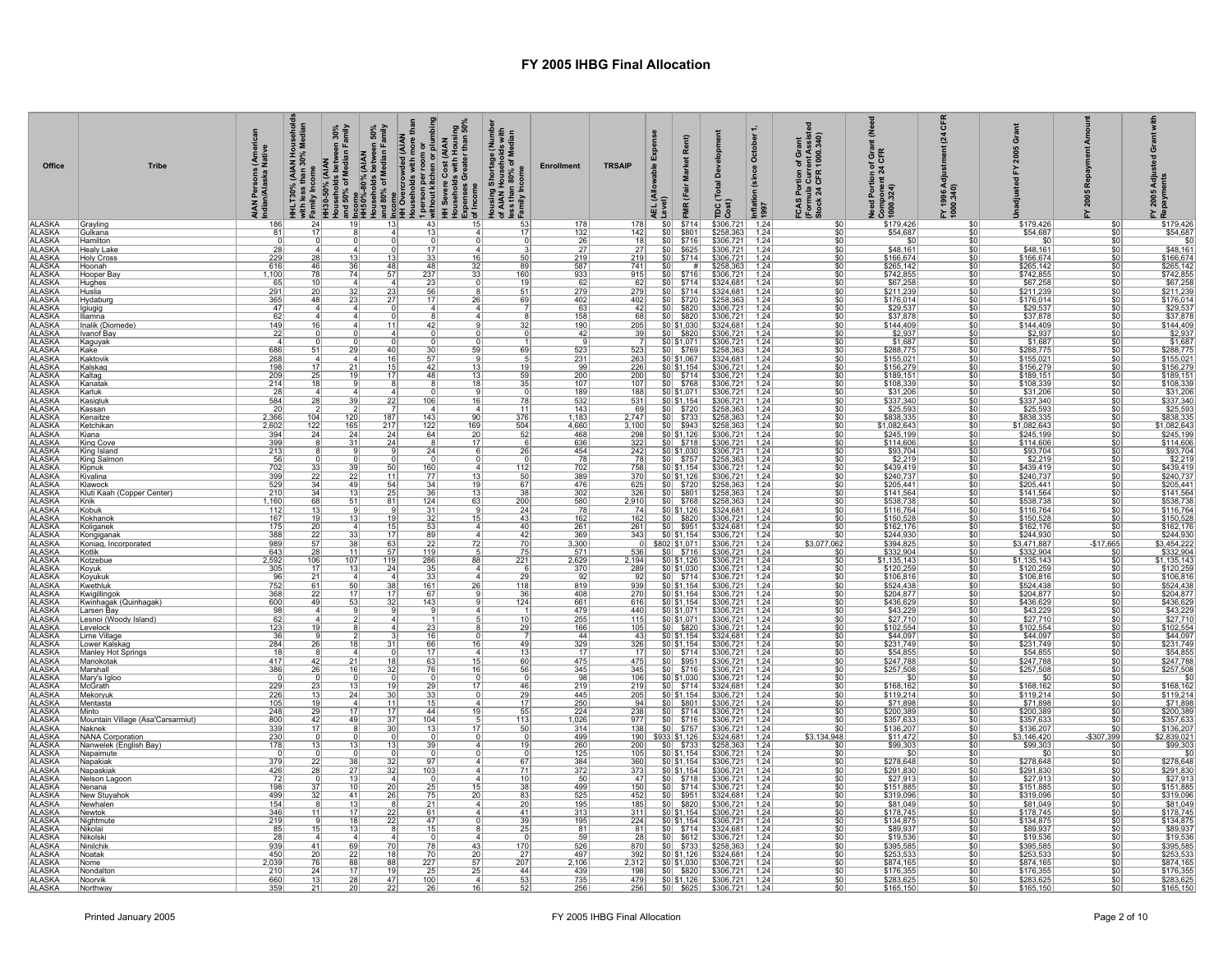| Office                         | <b>Tribe</b>                               | s (Americal<br>a Native<br>AIAN Persons (<br>Indian/Alaska N |                              |                 |                        |                        | HHLT30% (ΑΙΑΝ Households<br>Σ <sup>14</sup> Histor Star Sove Median<br>ΤΗ Households between 30%<br>Ησιαδηγό στη Median Family<br>Η Histor Sove of Median Family<br>ΠΗ Sove of Median Family<br>ΠΗ Sove of Median Family<br>ΣΙ HI Sover over de (ΑΙΑΝ<br>ΤΗ Sov | Housing Shortage (Number<br>of AIAN Households with<br>less than 80% of Median<br><sub>21</sub> Family Income | <b>Enrollment</b>        | <b>TRSAIP</b>        |            | Rent)<br>(Fair<br>$\frac{R}{\$714}$                                                                                                                                             | elopm<br>δ<br>Total<br>$\frac{1}{\cos t}$                                                        | October 1<br>(since<br>Inflation<br>1997 | FCAS Portion of Grant<br>(Formula Current Assiste<br>Stock 24 CFR 1000.340) | عُ<br>Need Portion of Grant<br>Component 24 CFR<br>1000.324) | 픙<br>$\mathbb{F}$<br>FY 1996 Adj<br>1000.340) |                                         | αž<br>2005              | FY 2005 Adju<br>Repayments                        |
|--------------------------------|--------------------------------------------|--------------------------------------------------------------|------------------------------|-----------------|------------------------|------------------------|-----------------------------------------------------------------------------------------------------------------------------------------------------------------------------------------------------------------------------------------------------------------|---------------------------------------------------------------------------------------------------------------|--------------------------|----------------------|------------|---------------------------------------------------------------------------------------------------------------------------------------------------------------------------------|--------------------------------------------------------------------------------------------------|------------------------------------------|-----------------------------------------------------------------------------|--------------------------------------------------------------|-----------------------------------------------|-----------------------------------------|-------------------------|---------------------------------------------------|
| <b>ALASKA</b><br><b>ALASKA</b> | Grayling<br>Gulkana                        | 186<br>81                                                    | $\overline{24}$<br>17        | 19              | $\overline{13}$        | 43<br>13               | 15                                                                                                                                                                                                                                                              | 17                                                                                                            | 178<br>132               | 178<br>142           | \$0<br>\$0 |                                                                                                                                                                                 | $$306,721$ 1.24<br>$$258,363$ 1.24                                                               |                                          | \$0<br>\$0                                                                  | \$179,426<br>\$54,687                                        | \$0<br>\$0                                    | \$179,426<br>\$54,687                   | \$0<br>\$0              | \$179,426<br>\$54,687                             |
| <b>ALASKA</b>                  | Hamilton                                   |                                                              |                              |                 |                        |                        |                                                                                                                                                                                                                                                                 |                                                                                                               | $\frac{26}{27}$          | $\frac{18}{27}$      | SO         | $\frac{$801}{$716}$<br>\$625                                                                                                                                                    | $$306,721$<br>$$306,721$                                                                         | $\frac{1.24}{1.24}$                      | $\frac{$0}{$0}$                                                             |                                                              | \$0                                           |                                         | \$0                     | \$0                                               |
| <b>ALASKA</b><br><b>ALASKA</b> | Healv Lake<br><b>Holy Cross</b>            | 28                                                           | 28                           |                 | 13                     | 33                     |                                                                                                                                                                                                                                                                 | 50                                                                                                            |                          |                      | 50         |                                                                                                                                                                                 |                                                                                                  |                                          |                                                                             | \$48,161<br>\$166,674                                        | 50                                            | \$48,161<br>\$166,674                   | \$0<br>\$0              | \$48,161<br>\$166,674                             |
| <b>ALASKA</b>                  | Hoonah                                     | $\frac{229}{616}$                                            | 46                           | 36              | 48                     | 48                     | $\frac{16}{32}$                                                                                                                                                                                                                                                 | 89                                                                                                            | $\frac{219}{587}$        | $\frac{219}{741}$    | \$0        | $$0 $ \$714<br>$\overline{\#}$                                                                                                                                                  | $$306,721$<br>$$258,363$                                                                         | $\frac{1.24}{1.24}$                      | $rac{1}{50}$                                                                | \$265,142                                                    | $rac{$0}{$0}$                                 | \$265,142                               | \$0                     | \$265,142                                         |
| <b>ALASKA</b>                  | Hooper Bay                                 | 1,100                                                        | 78                           | 74              | 57                     | 237                    | 33                                                                                                                                                                                                                                                              | 160                                                                                                           | 933                      | 915                  |            | $$0 $ \$716                                                                                                                                                                     |                                                                                                  |                                          | \$0                                                                         | \$742,855                                                    | \$0                                           | \$742,855                               | \$0                     |                                                   |
| <b>ALASKA</b><br><b>ALASKA</b> | <b>Hughes</b><br>Huslia                    | 65<br>291                                                    |                              | $\Delta$<br>32  | 23                     | 56                     |                                                                                                                                                                                                                                                                 | 51                                                                                                            | 62<br>279                | $\frac{62}{279}$     |            | $\frac{$0}{$0}$ $\frac{$714}{$714}$                                                                                                                                             | \$306,721 1.24<br>\$324,681 1.24<br>\$324,681 1.24                                               |                                          | \$0<br>$\overline{\$0}$                                                     | \$67,258<br>\$211,239                                        | \$0<br>\$0                                    | \$67,258<br>\$211,239                   | \$0<br>sπ               | $\frac{$205,142}{$742,855$$ \$67,258<br>\$211,239 |
| <b>ALASKA</b>                  | Hydaburg                                   | 365                                                          | 48                           | 23              | $\overline{27}$        | 17                     | 26                                                                                                                                                                                                                                                              | 69                                                                                                            | 402                      | 402                  |            | $$0 $ \$720                                                                                                                                                                     | \$258,363                                                                                        | 1.24                                     | \$0                                                                         | \$176,014                                                    | $\frac{$0,165}{4}$                            | \$176,014                               | s٥                      | \$176,014                                         |
| <b>ALASKA</b><br><b>ALASKA</b> | Igiugig<br>lliamna                         | 47<br>62                                                     | $\mathbf{A}$<br>$\mathbf{A}$ |                 | $\Delta$               | $\mathbf{A}$           | 4<br>$\mathbf{A}$                                                                                                                                                                                                                                               |                                                                                                               | -63<br>158               | 42<br>68             |            | $$0 $ \$820<br>\$0 \$820                                                                                                                                                        | \$306,721 1.24                                                                                   | 1.24                                     | \$0 <br>\$0                                                                 | \$29,537<br>\$37,878                                         | \$0<br>\$0                                    | \$29,537<br>\$37,878                    | \$0<br>\$0              | \$29,537<br>\$37,878                              |
| <b>ALASKA</b>                  | Inalik (Diomede)                           | 149                                                          |                              |                 |                        |                        |                                                                                                                                                                                                                                                                 |                                                                                                               | 190                      | $\frac{205}{39}$     |            | \$0 \$1,030                                                                                                                                                                     | $\frac{$324,681}{$306,721}$                                                                      | $\frac{1.24}{1.24}$                      | $rac{10}{10}$                                                               | \$144,409                                                    | $rac{$0}{$0}$                                 | \$144,409                               |                         | \$144,409                                         |
| <b>ALASKA</b><br><b>ALASKA</b> | Ivanof Bay                                 | 22<br>$\mathbf{A}$                                           |                              |                 |                        |                        |                                                                                                                                                                                                                                                                 |                                                                                                               | 42                       |                      |            | \$0 \$1,071                                                                                                                                                                     |                                                                                                  |                                          |                                                                             | \$2,937                                                      |                                               | \$2,937<br>\$1,687                      | \$0<br>\$0              | $\frac{$2,937}{$1,687}$                           |
| <b>ALASKA</b>                  | Kaguyak<br>Kake                            | 686                                                          | 51                           | 29              | 40                     | 30                     | 59                                                                                                                                                                                                                                                              | 69                                                                                                            | 523                      | 523                  |            | $$0 $ \$769                                                                                                                                                                     | $$306,721$ 1.24<br>\$258,363                                                                     | 1.24                                     | \$0<br>\$0                                                                  | $$1,687$<br>$$288,775$                                       | \$0<br>\$0                                    | \$288,775                               | \$0                     | \$288,775                                         |
| <b>ALASKA</b>                  | Kaktovik                                   | 268                                                          |                              |                 | 16                     | 57                     |                                                                                                                                                                                                                                                                 |                                                                                                               | 231                      | $\frac{263}{226}$    |            | \$0 \$1,067                                                                                                                                                                     | \$324,681 1.24<br>\$306,721 1.24<br>\$306,721 1.24                                               |                                          | 50                                                                          | \$155,021<br>\$156,279<br>\$189,151                          | \$0                                           | $\frac{$155.021}{$156.279}$             | \$0                     | $\frac{$155.021}{$156.279}$                       |
| <b>ALASKA</b><br><b>ALASKA</b> | Kalskad<br>Kaltag                          | 198<br>209                                                   | $\overline{25}$              | 19              | $\overline{17}$        | 42<br>48               | $\frac{13}{13}$                                                                                                                                                                                                                                                 | 59                                                                                                            | 99<br>200                |                      |            | $\frac{$0] $1,154}{ $0 \times 5714}$                                                                                                                                            |                                                                                                  |                                          | $rac{1}{50}$                                                                |                                                              | $rac{$0}{$0}$                                 |                                         | \$0<br>$\overline{50}$  |                                                   |
| <b>ALASKA</b>                  | Kanatak                                    | 214                                                          | 18                           |                 |                        |                        | <u>18</u>                                                                                                                                                                                                                                                       | 35                                                                                                            | 107                      | 107                  |            | \$0 \$768                                                                                                                                                                       | \$306,721 1.24                                                                                   |                                          | \$0                                                                         | \$108,339<br>\$31,206                                        | $\frac{$0}{$0}$                               | \$108,339                               | \$0                     | \$108,339                                         |
| <b>ALASKA</b>                  | Karluk<br>Kasigluk                         | 28<br>584                                                    | 28                           | 39              | 22                     | 106                    | 16                                                                                                                                                                                                                                                              | 78                                                                                                            | 189                      | 188<br>531           |            | \$0 \$1,071                                                                                                                                                                     | \$306,721                                                                                        | 1.24                                     | \$0<br>\$0                                                                  |                                                              | \$0                                           | \$31,206                                | \$0<br>\$0              | \$31,206                                          |
| ALASKA                         | Kassan                                     | 20                                                           |                              |                 |                        |                        |                                                                                                                                                                                                                                                                 | 11                                                                                                            | $\frac{532}{143}$        | $\frac{69}{2,747}$   |            | $\begin{array}{r l}\n\hline\n\text{$0$ } \text{$0,154} \\ \hline\n\text{$0$ } \text{$0,154} \\ \hline\n\text{$0$ } \text{$720} \\ \hline\n\text{$0$ } \text{$733}\n\end{array}$ | $\frac{$306,721}{$258,363}$<br>$$258,363$                                                        | $\frac{1.24}{1.24}$<br>1.24              | $\frac{1}{2}$                                                               | $\frac{$337,340}{$25,593}$                                   | $\frac{$0}{4}$                                | $\frac{$337,340}{$25,593}$              | \$0                     | $\frac{$337.340}{$25.593}$                        |
| <b>ALASKA</b><br><b>ALASKA</b> | Kenaitze<br>Ketchikan                      | 2,366<br>2,602                                               | 104<br>122                   | 120<br>165      | 187                    | 143<br>122             | 90<br>169                                                                                                                                                                                                                                                       | 376                                                                                                           | 1,183<br>4,660           | 3,100                |            | $$0 $ \$943                                                                                                                                                                     | \$258,363                                                                                        | 1.24                                     | \$0<br>\$0                                                                  | \$1,082,643                                                  | \$0<br>\$0                                    | \$1,082,643                             | \$0<br>\$0              | \$1,082,643                                       |
| <b>ALASKA</b>                  | Kiana                                      | 394                                                          | $\overline{24}$              | 24              | $\frac{217}{24}$       | 64                     | $\overline{20}$                                                                                                                                                                                                                                                 | $\frac{504}{52}$                                                                                              | 468                      | 298                  |            | \$0 \$1,126                                                                                                                                                                     | \$306,721                                                                                        | 1.24                                     | $\overline{50}$                                                             | \$245,199                                                    | $\overline{50}$                               | \$245,199                               | \$0                     | \$245,199                                         |
| ALASKA<br>ALASKA               | King Cove<br>King Island                   | 399                                                          |                              | 31              | $\overline{24}$        | 24                     | 17                                                                                                                                                                                                                                                              | <u>26</u>                                                                                                     | 636                      | 322                  |            | $\frac{$0}{$20}$ \$718                                                                                                                                                          | \$306,721                                                                                        | 1.24                                     | \$0                                                                         | \$114,606                                                    | \$0                                           | \$114,606                               | $\overline{30}$<br>\$0  | $\frac{$114,606}{$93,704}$                        |
| <b>ALASKA</b>                  | King Salmon                                | $\frac{213}{56}$                                             |                              |                 |                        |                        |                                                                                                                                                                                                                                                                 |                                                                                                               | $\frac{454}{78}$         | $\frac{242}{78}$     |            | $$0$ \$757                                                                                                                                                                      | $$306,721$ 1.24<br>$$258,363$ 1.24                                                               |                                          | $\frac{1}{2}$<br>\$0                                                        | $\frac{$93,704}{$2,219}$                                     | $\frac{$0}{$0}$                               | $$93,704$<br>$$2,219$                   | \$0                     |                                                   |
| <b>ALASKA</b><br><b>ALASKA</b> | Kipnuk<br>Kivalina                         | 702<br>399                                                   | $\frac{33}{22}$              | $\overline{22}$ | 11                     | 160<br>$\overline{77}$ | 13                                                                                                                                                                                                                                                              | 112<br>50                                                                                                     | 702<br>389               | 758<br>370           |            | \$0 \$1,154]<br>\$0 \$1,126                                                                                                                                                     | \$306,721<br>\$306,721                                                                           | 1.24<br>1.24                             | \$0<br>$\overline{50}$                                                      | \$439,419<br>\$240,737                                       | \$0<br>50                                     | \$439,419<br>\$240,737                  | $\overline{\$0}$<br>\$0 | \$439,419<br>\$240,737                            |
|                                | Klawock                                    | 529                                                          | 34                           | 49              | 54                     | 34                     | 19                                                                                                                                                                                                                                                              | 67                                                                                                            | 476                      | 625                  |            |                                                                                                                                                                                 | \$258,363                                                                                        | 1.24                                     | \$0                                                                         |                                                              | \$0                                           | \$205,441                               | \$0                     |                                                   |
| <b>ALASKA</b><br>ALASKA        | Kluti Kaah (Copper Center)                 | 210                                                          | $\frac{34}{68}$              | 51              | $\frac{25}{81}$        | 36                     | $\frac{13}{63}$                                                                                                                                                                                                                                                 | <u>38</u><br>200                                                                                              | $\frac{302}{580}$        | 326                  |            | $\frac{$0}{$0}$ $\frac{$720}{$80}$                                                                                                                                              | $$258,363$<br>$$258,363$                                                                         | 1.24                                     | \$0                                                                         | $\frac{$205,441}{$141,564}$                                  | $rac{$0}{$0}$                                 | \$141,564<br>\$538,738                  | \$0<br>$\overline{30}$  | \$205,441<br>\$141,564<br>\$538,738               |
| <b>ALASKA</b><br><b>ALASKA</b> | Knik<br>Kobuk                              | 1,160<br>112                                                 |                              |                 |                        | 124                    |                                                                                                                                                                                                                                                                 | 24                                                                                                            | 78                       | 2,910<br>74          |            | $ 50 $ \ \$768<br>\$0 \$1,126                                                                                                                                                   |                                                                                                  | 1.24                                     | \$0                                                                         |                                                              |                                               | \$116,764                               | \$0                     |                                                   |
| <b>ALASKA</b>                  | Kokhanok                                   | 167                                                          | 19                           | 13              | 19                     | $\frac{31}{32}$        | 15                                                                                                                                                                                                                                                              | $\overline{43}$                                                                                               | 162                      | 162                  |            | $$0 $ \$820                                                                                                                                                                     | $\frac{$324,681}{$306,721}$ 1.24                                                                 |                                          | $rac{1}{50}$                                                                | \$116,764<br>\$150,528                                       | $rac{$0}{$0}$                                 | \$150,528                               | $\overline{30}$         | \$116,764<br>\$150,528                            |
| ALASKA<br>ALASKA               | Koliganek<br>Kongiganak                    | 175<br>388                                                   | 20<br>22                     | 33              | 15<br>17               | 53<br>89               | $\mathbf{A}$                                                                                                                                                                                                                                                    | 40<br>42                                                                                                      | $\frac{261}{369}$        | 261<br>343           |            | $\frac{$0}{$0}{$0$}$ \$951                                                                                                                                                      | \$324,681 1.24<br>\$306,721 1.24<br>\$306,721 1.24                                               |                                          | \$0<br>\$0                                                                  | \$162,176<br>\$244,930                                       | \$0<br>\$0                                    | \$162,176<br>\$244,930                  | \$0                     | \$162,176<br>\$244,930                            |
| <b>ALASKA</b>                  | Koniag, Incorporated                       | 989                                                          |                              | 38              | 63                     | 22                     | 72                                                                                                                                                                                                                                                              | 70                                                                                                            | 3,300                    |                      |            | \$802 \$1,071                                                                                                                                                                   |                                                                                                  |                                          | \$3,077,062                                                                 | \$394,825                                                    | \$0                                           | \$3,471,887                             | $-$17,665$              | \$3,454,222                                       |
| ALASKA                         | Kotlik<br>Kotzebue                         | 643<br>2,592                                                 | 106                          | 11<br>107       | 57<br>119              | 119<br>286             | 88                                                                                                                                                                                                                                                              | $\overline{75}$<br>$\frac{1}{221}$                                                                            | 571<br>2,629             | $\frac{536}{2,194}$  |            | $\frac{$0}{$0}{$0$}$ \$716                                                                                                                                                      | $$306,721$ 1.24<br>\$306,721 1.24                                                                |                                          | $\overline{50}$<br>\$0                                                      | $$332,904$<br>$$1,135,143$                                   | \$0<br>\$0                                    | $\frac{$332,904}{$1,135,143}$           | $\overline{30}$<br>\$0  | $$332,904$<br>$$1,135,143$                        |
| <b>ALASKA</b><br>ALASKA        | Koyuk                                      | 305                                                          | 17                           | 13              | 24                     | 35                     |                                                                                                                                                                                                                                                                 |                                                                                                               | 370                      | 289                  |            | \$0 \$1,030                                                                                                                                                                     | \$306,721 1.24<br>\$306,721 1.24                                                                 |                                          | $rac{1}{100}$                                                               | \$120,259<br>\$106,816                                       | \$0                                           | \$120,259                               | \$0                     | \$120,259<br>\$106,816                            |
| <b>ALASKA</b>                  | Koyukuk<br>Kwethluk                        | 96<br>752                                                    | 21<br>61                     | 50              | 38                     | 161                    | 26                                                                                                                                                                                                                                                              | 29<br>118                                                                                                     | 92<br>819                | 92<br>939            |            | $$0 $ \$714<br>\$0 \$1,154]                                                                                                                                                     | \$306,721                                                                                        | 1.24                                     | 50 <sub>1</sub>                                                             | \$524,438                                                    | \$0<br>\$0                                    | \$106,816<br>\$524,438                  | \$0<br>\$0              | \$524,438                                         |
| ALASKA                         | Kwigillingok                               | 368                                                          | <u>22</u>                    | 17              | 17                     | -67                    |                                                                                                                                                                                                                                                                 | $\frac{36}{5}$                                                                                                | 408                      | 270                  |            | $\frac{1}{1}$ \$0 \$1,154                                                                                                                                                       | $$306,721$ 1.24                                                                                  |                                          | \$0                                                                         | \$204,877                                                    | \$0                                           | \$204,877                               | \$0                     | \$204,877                                         |
| <b>ALASKA</b>                  | Kwinhagak (Quinhagak)<br>Larsen Bay        | 600<br>98                                                    | 49                           | 53              | 32                     | 143                    |                                                                                                                                                                                                                                                                 | 124                                                                                                           | 661                      | 616<br>440           |            | \$0 \$1,071                                                                                                                                                                     | $$306,721$ 1.24                                                                                  |                                          | \$0                                                                         | \$436,629                                                    | \$0                                           | \$436,629                               | \$0<br>\$0              | \$436,629                                         |
| <b>ALASKA</b>                  | Lesnoi (Woody Island)                      | 62                                                           |                              |                 |                        |                        |                                                                                                                                                                                                                                                                 |                                                                                                               | $\frac{479}{255}$<br>166 | 115                  |            | \$0 \$1,071]                                                                                                                                                                    | $$306,721$<br>$$306,721$                                                                         | $\frac{1.24}{1.24}$                      | $rac{1}{100}$                                                               | $\frac{$43,229}{$27,710}$                                    | $rac{$0}{$0}$                                 | $$43,229$<br>$$27,710$                  | \$0                     | \$43,229                                          |
| <b>ALASKA</b><br><b>ALASKA</b> | l evelock<br>Lime Village                  | 123<br>36                                                    | $\overline{19}$              |                 |                        | $\overline{23}$        |                                                                                                                                                                                                                                                                 | 29                                                                                                            | 44                       | 105                  |            | $ 50 $ \$820                                                                                                                                                                    | $$306,721$ 1.24                                                                                  |                                          | $\overline{\$0}$                                                            |                                                              | $\overline{\$0}$                              | \$102,554                               | $\overline{50}$<br>\$0  | \$102,554                                         |
| <b>ALASKA</b>                  | Lower Kalskag                              | 284                                                          | 26                           |                 | $\overline{31}$        | 66                     | 16                                                                                                                                                                                                                                                              | 49                                                                                                            | 329                      | 43<br>326            |            | $\frac{$0] $1,154}{$0] $1,154}$                                                                                                                                                 | \$324,681 1.24<br>\$306,721 1.24                                                                 |                                          | $\frac{$0}{$0}$                                                             | \$44,097<br>\$231,749                                        | $rac{$0}{$0}$                                 | \$44,097<br>\$231,749                   | $\overline{50}$         | \$44,097<br>\$231,749                             |
| <b>ALASKA</b>                  | Manley Hot Springs                         | 18<br>417                                                    | 42                           |                 | 18                     | 63                     |                                                                                                                                                                                                                                                                 |                                                                                                               | 17<br>475                | $\frac{17}{475}$     |            | $\begin{array}{ c c c c }\n\hline\n $60 & $714 \\  \hline\n $80 & $951 \\  \hline\n $90 & $716 \\  \hline\n \end{array}$                                                        | $\begin{array}{c cc} 306,721 & 1.24 \\ 3306,721 & 1.24 \\ 3306,721 & 1.24 \\ \hline \end{array}$ |                                          | $\frac{$0}{$0}{$0}$                                                         | $\frac{$54.855}{$247.788}$                                   | $rac{$0}{$0}$<br>$rac{$0}{$0}$                | $\frac{$54.855}{$247.788}$              | \$0<br>$\overline{50}$  | \$54,855<br>\$247,788<br>\$257,508                |
| ALASKA                         | Manokotak<br>Marshall                      | 386                                                          | 26                           | 16              | 32                     | 76                     | $\frac{15}{16}$                                                                                                                                                                                                                                                 | 60<br>56                                                                                                      | 345                      | 345                  |            |                                                                                                                                                                                 |                                                                                                  |                                          |                                                                             |                                                              |                                               |                                         | \$0                     |                                                   |
| <b>ALASKA</b>                  | Mary's Igloo<br>McGrath                    | 229                                                          | 23                           | 13              | 19                     | 29                     | 17                                                                                                                                                                                                                                                              | 46                                                                                                            | 98<br>219                | 106<br>219           |            | \$0 \$1,030<br>$$0$ $$714$                                                                                                                                                      | $$306,721$ 1.24<br>$$324,681$ 1.24                                                               |                                          | \$0<br>\$0                                                                  | \$0<br>\$168,162                                             | \$0                                           | $\overline{\mathbf{s}}$<br>\$168,162    | \$0<br>\$0              | $\overline{50}$<br>\$168,162                      |
| <b>ALASKA</b>                  | Mekorvuk                                   | 226                                                          | 13                           | 24              | $\overline{\text{3C}}$ | 33                     |                                                                                                                                                                                                                                                                 | 29                                                                                                            | 445                      | 205                  |            |                                                                                                                                                                                 |                                                                                                  |                                          | \$0                                                                         |                                                              | \$0<br>\$0                                    |                                         | \$Ō                     |                                                   |
| ALASKA<br>ALASKA<br>ALASKA     | <u>Mentasta</u><br>Minto                   | 105<br>248                                                   | 19<br>29                     | 17              | 11<br>$\overline{17}$  | 15<br>44               | 19                                                                                                                                                                                                                                                              | 17<br>55                                                                                                      | $\frac{250}{224}$        | 94<br>238            |            | $\begin{array}{r l}\n\hline\n\text{$0$} & \text{$51,154} \\ \hline\n\text{$0$} & \text{$801} \\ \hline\n\text{$0$} & \text{$5714}\n\end{array}$                                 | \$306,721 1.24<br>\$306,721 1.24<br>$$306,721$ 1.24                                              |                                          | $\frac{$0}{$0}$                                                             | $\frac{$119.214}{$71.898}$                                   | \$0<br>\$0                                    | $\frac{$119,214}{$71,898}$<br>\$200,389 | \$0<br>\$0              | $\frac{$100,100}{1,0000}$                         |
| <b>ALASKA</b>                  | Mountain Village (Asa'Carsarmiut)          | 800                                                          | 42                           | 49              |                        | 104                    |                                                                                                                                                                                                                                                                 | 113                                                                                                           | 1,026                    | 977                  |            |                                                                                                                                                                                 | \$306,721                                                                                        | 1.24                                     | \$0                                                                         |                                                              | \$0                                           | \$357,633                               | \$0                     |                                                   |
| <b>ALASKA</b>                  | <b>Naknek</b>                              | 339                                                          |                              |                 | $\frac{37}{30}$        | 13                     | $\overline{17}$                                                                                                                                                                                                                                                 | 50                                                                                                            | 314                      | 138                  |            | $\frac{$0}{$0}$ $\frac{$716}{$757}$                                                                                                                                             | $$306,721$ 1.24                                                                                  |                                          | $\overline{50}$                                                             | \$357,633<br>\$136,207                                       | 50                                            | \$136,207                               | sπ                      | \$357,633<br>\$136,207                            |
| ALASKA<br>ALASKA<br>ALASKA     | NANA Corporation<br>Nanwelek (English Bay) | $\frac{230}{178}$                                            | 13                           |                 | 13                     | 39                     |                                                                                                                                                                                                                                                                 | 19                                                                                                            | 499                      | <u> 190  </u><br>200 |            | $\begin{array}{r l}\n\hline\n $933 \, $1,126 \\  \hline\n $0 & $733 \\  \hline\n $0 & $1,154\n \end{array}$                                                                     | \$324,681 1.24<br>\$258,363 1.24                                                                 |                                          | \$3,134,948                                                                 | \$11,472<br>\$99,303                                         | \$0                                           | \$3,146,420<br>\$99,303                 | $-$307,399$<br>\$C      | \$2,839,021                                       |
|                                | Napaimute                                  |                                                              |                              |                 |                        |                        |                                                                                                                                                                                                                                                                 |                                                                                                               | $\frac{260}{125}$        | 105                  |            |                                                                                                                                                                                 | \$258,363 1.24<br>\$306,721 1.24                                                                 |                                          | $\frac{$0}{$0}$                                                             | \$0                                                          | $rac{$0}{$0}$                                 | \$0                                     | \$0                     | $\frac{$99,303}{$0}$                              |
| <b>ALASKA</b><br><b>ALASKA</b> | Napakiak<br>Napaskiak                      | 379<br>426                                                   | $\frac{22}{28}$              | $\overline{27}$ | $\frac{32}{32}$        | 97<br>103              |                                                                                                                                                                                                                                                                 | 67<br>$\overline{71}$                                                                                         | $\frac{384}{372}$        | $\frac{360}{373}$    |            | \$0 \$1,154<br>\$0 \$1,154                                                                                                                                                      | $$306,721$ 1.24<br>$$306,721$ 1.24                                                               |                                          | $rac{1}{50}$                                                                | \$278,648                                                    | $rac{$0}{$0}$                                 | \$278,648<br>\$291,830                  | \$0<br>50               | \$278,648<br>\$291,830                            |
| <b>ALASKA</b>                  | Nelson Lagoon                              | <u>72</u>                                                    |                              |                 |                        |                        |                                                                                                                                                                                                                                                                 | 10                                                                                                            | 50                       | 47                   |            | $\frac{$0}{$00}$ $\frac{$718}{$714}$                                                                                                                                            | $$306,721$ 1.24                                                                                  |                                          | $\frac{1}{2}$                                                               | $$27,913$<br>$$151,885$                                      | $\frac{$0}{$0}$                               | \$27,913<br>\$151,885                   | \$0                     | $\frac{$27,913}{$151,885}$                        |
| <b>ALASKA</b><br><b>ALASKA</b> | Nenana<br>New Stuvahok                     | 198<br>499                                                   | 32                           | 41              | $\frac{20}{26}$        | $\frac{25}{75}$        | 15<br>20                                                                                                                                                                                                                                                        | 38<br>83                                                                                                      | 499<br>525               | 150<br>452           |            | $$0$ $$951$                                                                                                                                                                     | \$306,721<br>$$324,681$ 1.24                                                                     | 1.24                                     | \$0<br>\$0                                                                  | \$319,096                                                    | \$0                                           | \$319,096                               | \$0<br>\$0              | \$319,096                                         |
| <b>ALASKA</b>                  | Newhalen                                   | 154                                                          |                              | 13              |                        | 21                     |                                                                                                                                                                                                                                                                 | 20                                                                                                            | 195                      | $\frac{185}{311}$    |            | $\frac{$0}{$0}{$0 $1,154}$                                                                                                                                                      | $$306,721$ 1.24<br>$$306,721$ 1.24                                                               |                                          | $rac{1}{100}$                                                               | $$81,049$<br>$$178,745$                                      | $rac{$0}{$0}$                                 | $\frac{$81,049}{$178,745}$              | \$0                     | $\frac{$81,049}{$178,745}$                        |
| <b>ALASKA</b><br><b>ALASKA</b> | Newtok<br>Nightmute                        | 346<br>219                                                   | 11                           | 17<br>18        | $\overline{22}$<br>22  | 61<br>47               |                                                                                                                                                                                                                                                                 | 41                                                                                                            | 313                      | 224                  |            | \$0 \$1,154]                                                                                                                                                                    |                                                                                                  |                                          | \$0                                                                         | \$134,875                                                    | \$0                                           | \$134,875                               | \$0<br>\$0              | \$134,875                                         |
| <b>ALASKA</b>                  | Nikolai                                    | 85                                                           |                              | 13              |                        | 15                     |                                                                                                                                                                                                                                                                 | <u>39</u>                                                                                                     | 195<br>81                | 81                   |            | $$0 $ \$714                                                                                                                                                                     | \$306,721 1.24<br>\$324,681 1.24<br>\$324,681 1.24<br>\$306,721 1.24                             |                                          | \$0                                                                         | \$89,937                                                     | \$0                                           | \$89,937                                | \$0                     | \$89,937                                          |
| <b>ALASKA</b>                  | Nikolski<br>Ninilchil                      | 28<br>939                                                    | 41                           |                 |                        |                        |                                                                                                                                                                                                                                                                 |                                                                                                               | 59                       | 28                   |            | $$0$ $$612]$                                                                                                                                                                    |                                                                                                  |                                          | $\overline{50}$                                                             | \$19,536                                                     | \$0                                           | \$19,536                                | \$Ō                     | \$19,536                                          |
| ALASKA<br>ALASKA               | Noatak                                     | 450                                                          | 20                           | 69<br>22        | $\frac{70}{18}$        | 78<br>$\overline{70}$  | $\frac{43}{20}$                                                                                                                                                                                                                                                 | $\frac{170}{27}$                                                                                              | $\frac{526}{497}$        | 870<br>392           |            | $\frac{$0}{$0}{$0$}$ \$733                                                                                                                                                      | $$258,363$ 1.24<br>$$324,681$ 1.24                                                               |                                          | \$0<br>\$0                                                                  | \$395,585<br>\$253,533                                       | $\frac{$0}{$0}$                               | \$395,585<br>\$253,533                  | \$0<br>\$0              | $\frac{$10,000}{$395,585}{$253,533}$              |
| <b>ALASKA</b>                  | Nome                                       | 2,039                                                        | 76                           | 88              | 88<br>$\overline{15}$  | 227                    | 57                                                                                                                                                                                                                                                              | 207                                                                                                           | 2,106                    | 2,312                |            | \$0 \$1,030                                                                                                                                                                     | \$306,721 1.24                                                                                   |                                          | \$0                                                                         | \$874,165                                                    | \$0                                           | \$874,165                               | \$0                     | \$874,165                                         |
| <b>ALASKA</b><br><b>ALASKA</b> | Nondaltor<br><b>Noorvik</b>                | 21(<br>660                                                   | 24                           | 28              | 47                     | 100                    | 25                                                                                                                                                                                                                                                              | 44<br>53                                                                                                      | 439<br>735               | 198<br>479           |            | $\frac{$0}{$0}{$0}{$1,126}$                                                                                                                                                     | $\frac{$306,721}{$306,721}$ 1.24                                                                 |                                          | \$0<br>$\overline{50}$                                                      | \$176,355<br>\$283,625                                       | \$0<br>50                                     | \$176,355<br>\$283,625                  | \$0<br>\$0              | \$176,355<br>\$283,625                            |
| <b>ALASKA</b>                  | Northway                                   | 359                                                          | 21                           | 20              | 22                     | 26                     | 16                                                                                                                                                                                                                                                              | 52                                                                                                            | 256                      | 256                  |            |                                                                                                                                                                                 | \$0 \$625 \$306,721 1.24                                                                         |                                          | $s$ <sub>0</sub>                                                            | \$165.150                                                    | \$0 <sub>1</sub>                              | \$165.150                               | SO I                    | \$165,150                                         |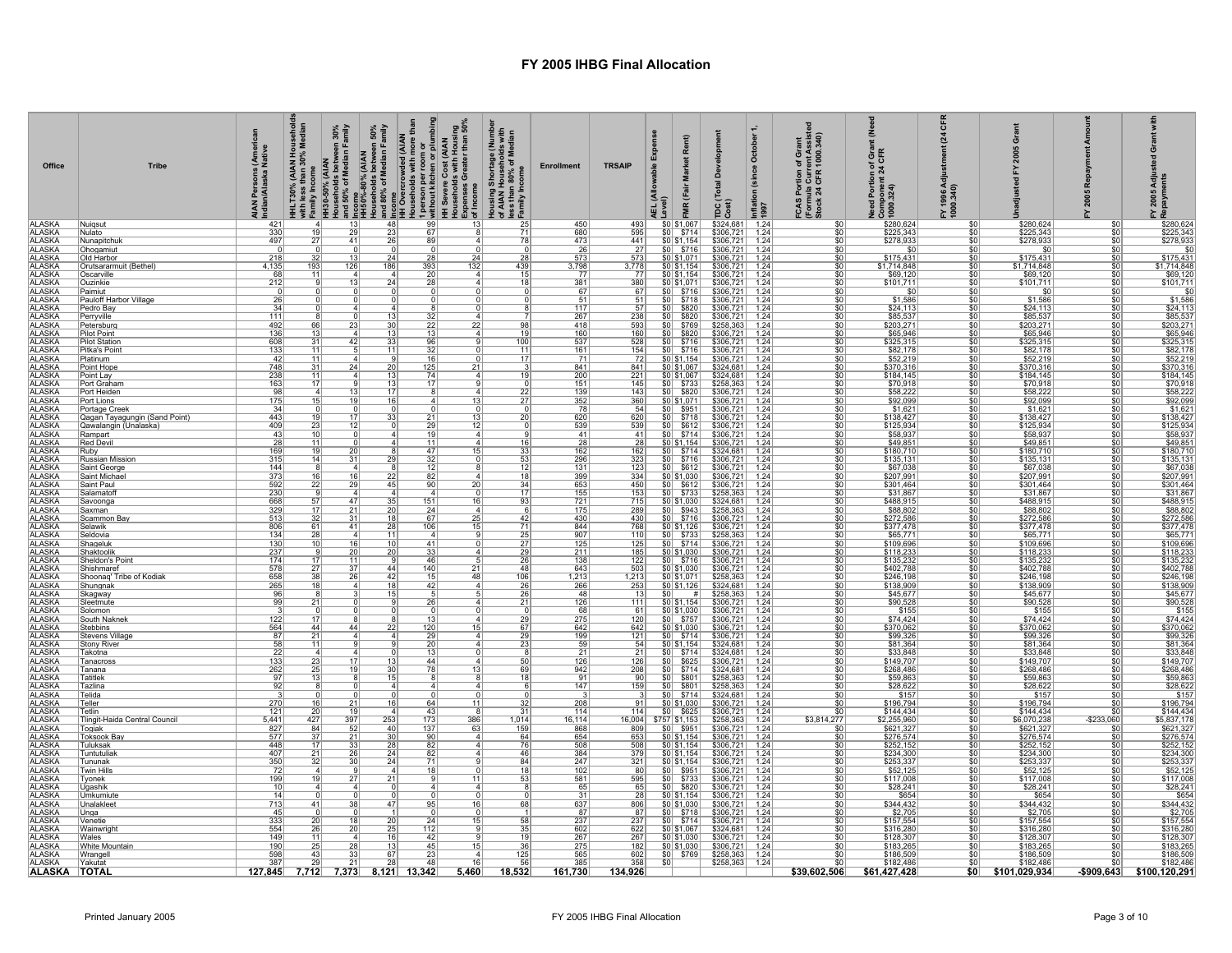| Office<br><b>ALASKA</b>        | <b>Tribe</b><br>Nuiasut                       | s (American<br>I Native<br>AIAN Persons (<br>Indian/Alaska N | 4                         | 13                    | HH_T30% (AJAN Household<br>F <sup>Mth</sup> IPS 50% (ALAN<br>Hagesholds between 30%<br>Households between 30%<br>Households between 50%<br>2. INBO%-80% (AJAN<br>AHBO%-80% Median Family<br>and 80% of Median Family<br>and 80% of Median Family<br>Households wi<br>48 | Households with more than<br>1 person per room or<br>without kitchen or plumbing<br>99 | —<br>Households with Housing<br>Expenses Greater than 50%<br>شof Income<br>13 | Housing Shortage (Number<br>of AIAN Households with<br>less than 80% of Median<br><sub>S</sub> Family Income<br>25 | <b>Enrollment</b><br>450 | <b>TRSAIP</b><br>493                                                                        | xpense<br>owable<br><b>AEL</b>        | Rent)<br><b>Market</b><br>FMR (Fair<br>\$0 \$1,067                                                                                                                                                                                                                                                                                                                                                                                                 | elopmen<br>Dev<br>TDC (Total I<br>Cost)<br>\$324,681 | October 1,<br>(since<br>Inflation<br>1997<br>1.24 | FCAS Portion of Grant<br>(Formula Current Assiste<br>Stock 24 CFR 1000.340)<br>$\overline{\$0}$ | ౾<br>Need Portion of Grant (I)<br>Component 24 CFR<br>3 1000.324) | ៉ិ<br>$\mathbf{z}$<br>(045'000<br>V 966 L <sup>X.</sup><br>\$O | ò<br>\$280,624                              | 2005<br>\$C                                   | Adju<br>ents<br>2005<br>Repaym                                                                                                                                                                                                                                                                                                                                                  |
|--------------------------------|-----------------------------------------------|--------------------------------------------------------------|---------------------------|-----------------------|-------------------------------------------------------------------------------------------------------------------------------------------------------------------------------------------------------------------------------------------------------------------------|----------------------------------------------------------------------------------------|-------------------------------------------------------------------------------|--------------------------------------------------------------------------------------------------------------------|--------------------------|---------------------------------------------------------------------------------------------|---------------------------------------|----------------------------------------------------------------------------------------------------------------------------------------------------------------------------------------------------------------------------------------------------------------------------------------------------------------------------------------------------------------------------------------------------------------------------------------------------|------------------------------------------------------|---------------------------------------------------|-------------------------------------------------------------------------------------------------|-------------------------------------------------------------------|----------------------------------------------------------------|---------------------------------------------|-----------------------------------------------|---------------------------------------------------------------------------------------------------------------------------------------------------------------------------------------------------------------------------------------------------------------------------------------------------------------------------------------------------------------------------------|
| <b>ALASKA</b><br>ALASKA        | Nulato                                        | $\frac{421}{330}$                                            | 19                        | 29                    | 23                                                                                                                                                                                                                                                                      | 67                                                                                     |                                                                               | $\overline{71}$                                                                                                    | 680                      | 595                                                                                         | \$0                                   | \$714                                                                                                                                                                                                                                                                                                                                                                                                                                              | \$306,721                                            | 1.24                                              | \$0                                                                                             | \$280,624<br>\$225,343                                            | \$0                                                            | \$225,343                                   | \$C                                           | $\begin{array}{r} \text{L} \text{ C} \\ \text{S} \text{200,624} \\ \text{S} \text{278,933} \\ \text{S} \text{303} \\ \text{S} \text{175,431} \\ \text{S} \text{1714,848} \\ \text{S} \text{693,120} \\ \text{S} \text{101,711} \\ \text{S} \text{1024,113} \\ \text{S} \text{224,113} \\ \text{S} \text{243} \\ \text{S} \text{254,133} \\ \text{S} \text{265,873} \end{array}$ |
| <b>ALASKA</b>                  | Nunapitchuk<br>Ohogamiut                      | 497                                                          | 27                        | 41                    | 26                                                                                                                                                                                                                                                                      | 89                                                                                     |                                                                               | 78                                                                                                                 | $\frac{473}{26}$         | 441<br>27                                                                                   | S0                                    | \$0 \$1,154<br>\$716                                                                                                                                                                                                                                                                                                                                                                                                                               | \$306,721<br>\$306,721                               | 1.24<br>1.24                                      | \$0<br>$\overline{50}$                                                                          | \$278,933                                                         | \$0<br>\$0                                                     | \$278,933<br>\$0                            | \$0<br>\$C                                    |                                                                                                                                                                                                                                                                                                                                                                                 |
| <b>ALASKA</b><br>ALASKA        | Old Harbor                                    | $\frac{218}{4,135}$                                          |                           |                       | 24                                                                                                                                                                                                                                                                      | $\overline{28}$                                                                        | 24                                                                            | 28                                                                                                                 | $\frac{573}{3,798}$      | $\frac{573}{3,778}$                                                                         |                                       | $\frac{50 51,071 }{50 51,154}$                                                                                                                                                                                                                                                                                                                                                                                                                     | \$306,721                                            | $\frac{1.24}{1.24}$                               | $rac{$0}{$0}$                                                                                   | $\frac{$175,431}{$1,714,848}$                                     | $\frac{$0}{}$                                                  | $$175,431$<br>$$1,714,848$                  | \$0                                           |                                                                                                                                                                                                                                                                                                                                                                                 |
| <b>ALASKA</b>                  | Orutsararmuit (Bethel)                        |                                                              | <u>193</u>                | 126                   | $\frac{1}{186}$                                                                                                                                                                                                                                                         | 393                                                                                    | 132                                                                           | 439                                                                                                                | 77                       |                                                                                             |                                       |                                                                                                                                                                                                                                                                                                                                                                                                                                                    | \$306,721                                            |                                                   |                                                                                                 |                                                                   | \$0<br>\$0                                                     | \$69,120                                    | \$0<br>\$0                                    |                                                                                                                                                                                                                                                                                                                                                                                 |
| <b>ALASKA</b>                  | Oscarville<br>Ouzinkie                        | $\frac{68}{212}$                                             |                           |                       | 24                                                                                                                                                                                                                                                                      |                                                                                        |                                                                               |                                                                                                                    | $\frac{381}{67}$         | $\begin{array}{c} \hline 77 \\ 380 \\ 67 \end{array}$                                       |                                       |                                                                                                                                                                                                                                                                                                                                                                                                                                                    | \$306,721<br>\$306,721<br>\$306,721                  | $\frac{1.24}{1.24}$                               | $\frac{$0}{$0}{$0}$                                                                             | $\frac{$69,120}{$101.711}$                                        | \$0                                                            | $\frac{$101,711}{0}$                        | $\overline{50}$                               |                                                                                                                                                                                                                                                                                                                                                                                 |
| <b>ALASKA</b><br><b>ALASKA</b> | Paimiut                                       | $\ddot{0}$                                                   |                           |                       | 0                                                                                                                                                                                                                                                                       |                                                                                        |                                                                               |                                                                                                                    | 51                       |                                                                                             |                                       | $\begin{array}{r} 3081,154 \\ \hline 5081,154 \\ \hline 5081,071 \\ \hline 508716 \\ \hline 508718 \\ \hline \end{array}$                                                                                                                                                                                                                                                                                                                          |                                                      | 1.24                                              |                                                                                                 | -SC<br>\$1,586                                                    | $\overline{50}$                                                | \$1,586                                     | $\overline{50}$<br>$\overline{\mathsf{SC}}$   |                                                                                                                                                                                                                                                                                                                                                                                 |
| <b>ALASKA</b>                  | Pauloff Harbor Village<br>Pedro Bay           | $\frac{26}{34}$                                              |                           |                       |                                                                                                                                                                                                                                                                         | 4                                                                                      |                                                                               |                                                                                                                    | $\overline{117}$         | $\frac{51}{57}$                                                                             |                                       | $ $0 $ \$820                                                                                                                                                                                                                                                                                                                                                                                                                                       | \$306,721<br>\$306,721                               | $\frac{1.24}{1.24}$                               | \$0<br> 50                                                                                      | \$24,113                                                          | \$0<br>\$0                                                     | \$24,113                                    | \$0                                           |                                                                                                                                                                                                                                                                                                                                                                                 |
| ALASKA<br>ALASKA<br>ALASKA     | Perryville                                    | 111                                                          |                           |                       | $\overline{13}$                                                                                                                                                                                                                                                         | 22                                                                                     |                                                                               | 98                                                                                                                 | 267                      | $\begin{array}{ c c }\hline 238 \\ \hline 593 \\ \hline \end{array}$                        |                                       | $\frac{$0}{$0}$ \$820<br>$\frac{$0}{$0}$ \$769                                                                                                                                                                                                                                                                                                                                                                                                     | \$306,721                                            | 1.24                                              | $\frac{$0}{$0}{$0}$                                                                             | $$85,537$<br>$$203,271$                                           | <u>\$0</u>                                                     | \$85,537<br>\$203,271                       | \$0<br>\$0                                    | $\frac{$8,6,16}{885,537}$                                                                                                                                                                                                                                                                                                                                                       |
|                                | Petersburg<br><b>Pilot Point</b>              | 492<br>136                                                   | <u>66</u><br>13           |                       | 30<br>13                                                                                                                                                                                                                                                                | 13                                                                                     | 22                                                                            | 19                                                                                                                 | 418<br>160               | 160                                                                                         | \$0 <br>\$0                           | \$820                                                                                                                                                                                                                                                                                                                                                                                                                                              | \$258,363<br>\$306,721                               | 1.24<br>1.24                                      |                                                                                                 | \$65,946                                                          | \$0<br>\$0                                                     | \$65,946                                    | \$C                                           |                                                                                                                                                                                                                                                                                                                                                                                 |
| <b>ALASKA</b><br><b>ALASKA</b> | <b>Pilot Station</b>                          | $\frac{608}{133}$                                            | $\frac{31}{11}$           | 42                    | $\frac{33}{11}$                                                                                                                                                                                                                                                         | 96<br>32                                                                               |                                                                               | $\frac{100}{11}$                                                                                                   | $\frac{537}{161}$        | $\frac{528}{154}$                                                                           |                                       | $\frac{$0}{$0}$ $\frac{$716}{$716}$                                                                                                                                                                                                                                                                                                                                                                                                                | \$306,721<br>\$306,721                               | $\frac{1.24}{1.24}$                               | $rac{$0}{$0}$                                                                                   | $\frac{$325,315}{$82,178}$                                        | $rac{$0}{$0}$                                                  | $$325,315$<br>$$82,178$                     | $\overline{50}$<br>\$0                        | \$65,946<br>\$65,946<br>\$325,315<br>\$82,178<br>\$52,219<br>\$370,316                                                                                                                                                                                                                                                                                                          |
| <b>ALASKA</b>                  | Pitka's Point<br>Platinum                     | 42                                                           | 11                        |                       | 9                                                                                                                                                                                                                                                                       | 16                                                                                     |                                                                               | 17                                                                                                                 | 71                       | 72                                                                                          |                                       | \$0 \$1,154                                                                                                                                                                                                                                                                                                                                                                                                                                        | \$306,721                                            | 1.24                                              | \$0                                                                                             | \$52,219<br>\$370,316                                             | \$0                                                            | \$52,219                                    | \$0                                           |                                                                                                                                                                                                                                                                                                                                                                                 |
| <b>ALASKA</b><br><b>ALASKA</b> | Point Hope                                    | 748<br>238                                                   | $\frac{31}{11}$           |                       | $\frac{20}{13}$                                                                                                                                                                                                                                                         | $\frac{125}{74}$                                                                       | 21<br>$\vert$ 4                                                               | 19                                                                                                                 | 841<br>200               | $\frac{841}{221}$                                                                           |                                       | $\frac{$0  $1,067}{$0  $1,067}$                                                                                                                                                                                                                                                                                                                                                                                                                    | \$324.681<br>\$324,681                               | $\frac{1.24}{1.24}$                               | $\overline{\$0}$<br>$\overline{\$0}$                                                            | \$184,145                                                         | $rac{$0}{$0}$                                                  | \$370,316<br>\$184,145                      | $\overline{50}$                               |                                                                                                                                                                                                                                                                                                                                                                                 |
| <b>ALASKA</b>                  | Point Lay<br>Port Graham                      | 163                                                          | 17                        |                       |                                                                                                                                                                                                                                                                         | 17                                                                                     |                                                                               |                                                                                                                    |                          | 145                                                                                         |                                       |                                                                                                                                                                                                                                                                                                                                                                                                                                                    | \$258,363                                            | 1.24                                              | \$0                                                                                             |                                                                   | \$0                                                            | \$70,918                                    | \$0                                           |                                                                                                                                                                                                                                                                                                                                                                                 |
| <b>ALASKA</b>                  | Port Heiden                                   | 98                                                           | $\overline{4}$            |                       | $\frac{13}{17}$                                                                                                                                                                                                                                                         |                                                                                        | 13                                                                            | 22                                                                                                                 | $\frac{151}{139}$        | 143                                                                                         |                                       | $\frac{$0}{$0}{$0$}$ \$733                                                                                                                                                                                                                                                                                                                                                                                                                         | \$306,721                                            | 1.24                                              | \$0                                                                                             | \$70,918<br>\$58,222                                              | \$0                                                            | \$58,222                                    | \$C                                           |                                                                                                                                                                                                                                                                                                                                                                                 |
| <b>ALASKA</b><br>ALASKA        | Port Lions<br>Portage Creek                   | 175<br>34                                                    | 15                        |                       | 16                                                                                                                                                                                                                                                                      |                                                                                        |                                                                               | 27                                                                                                                 | $\frac{352}{78}$         | 360<br>$\frac{54}{620}$                                                                     |                                       | \$0 \$1,071                                                                                                                                                                                                                                                                                                                                                                                                                                        | \$306,721<br>\$306,721                               | 1.24<br>1.24                                      | $\overline{\$0}$                                                                                | \$92,099<br>$$1,621$<br>$$138,427$                                | \$0<br>\$0                                                     | \$92,099<br>\$1,621                         |                                               | $\frac{$92,099}{$1,621}$                                                                                                                                                                                                                                                                                                                                                        |
| <b>ALASKA</b>                  | Qagan Tayagungin (Sand Point)                 | 443                                                          | 19                        |                       | 33                                                                                                                                                                                                                                                                      | $\overline{21}$                                                                        | 13                                                                            | 20                                                                                                                 | 620                      |                                                                                             |                                       | $\frac{$0}{$0$}$ \$951<br>$\frac{$0}{$718}$                                                                                                                                                                                                                                                                                                                                                                                                        | \$306,721                                            | 1.24<br>1.24                                      | $rac{$0}{$0}$                                                                                   |                                                                   | \$0                                                            | \$138,427                                   | $\overline{\mathbf{s}}$<br>$\overline{50}$    | \$138,427                                                                                                                                                                                                                                                                                                                                                                       |
| ALASKA<br>ALASKA               | Qawalangin (Unalaska)<br>Rampart              | 409<br>43                                                    | 23<br>10                  |                       | $\Omega$                                                                                                                                                                                                                                                                | 29<br>19                                                                               | 12<br>$\frac{4}{ }$                                                           |                                                                                                                    | 539<br>41                | 539<br>41                                                                                   |                                       | $\frac{$0}{$0}{$0  $612}$                                                                                                                                                                                                                                                                                                                                                                                                                          | \$306,721<br>\$306,721                               | 1.24                                              | $rac{$0}{$0}$                                                                                   | $\frac{$125,934}{$58,937}$                                        | $\frac{$0}{}$<br>\$0                                           | \$125,934<br>\$58,937                       | \$0                                           | $$125,934$<br>$$58,937$                                                                                                                                                                                                                                                                                                                                                         |
| <b>ALASKA</b>                  | Red Devil                                     | $\frac{28}{169}$                                             | 11<br> 19                 |                       |                                                                                                                                                                                                                                                                         | 11<br>47                                                                               | 15                                                                            |                                                                                                                    | $\frac{28}{162}$         | $\begin{array}{r} \hline 28 \\ \hline 162 \\ \hline 323 \end{array}$                        |                                       | \$0 \$1,154]                                                                                                                                                                                                                                                                                                                                                                                                                                       | \$306,721                                            | $\frac{1.24}{1.24}$                               | \$0<br>$\overline{\$0}$                                                                         | \$49,851<br>\$180,710<br>\$135,131                                | \$0<br>\$0                                                     | \$49,851<br>\$180,710                       | \$C                                           | \$49,851                                                                                                                                                                                                                                                                                                                                                                        |
| ALASKA                         | Ruby<br><b>Russian Mission</b>                | 315                                                          | 14                        |                       | 29                                                                                                                                                                                                                                                                      | $\overline{32}$                                                                        |                                                                               | 53                                                                                                                 | 296                      |                                                                                             |                                       | $\frac{$0}{$0}$ \$714                                                                                                                                                                                                                                                                                                                                                                                                                              | $\frac{$324,681}{$306,721}$                          |                                                   | $\overline{\$0}$                                                                                |                                                                   | -SO                                                            | \$135,131                                   |                                               | \$180,710                                                                                                                                                                                                                                                                                                                                                                       |
| <b>ALASKA</b><br><b>ALASKA</b> | Saint George<br>Saint Michae                  | 144<br>373                                                   | 16                        | 16                    | 22                                                                                                                                                                                                                                                                      | 82                                                                                     |                                                                               | 18                                                                                                                 | $131$<br>399             | 123<br>334                                                                                  |                                       | $$0$ $$612$<br>\$0 \$1,030                                                                                                                                                                                                                                                                                                                                                                                                                         | \$306,721<br>\$306,721                               | 1.24<br>1.24                                      | \$0<br>\$0                                                                                      | \$67,038<br>\$207,991                                             | \$0<br>\$0                                                     | \$67,038<br>\$207,991                       | ٩ſ<br>\$C                                     | $$67,038$<br>\$207,991                                                                                                                                                                                                                                                                                                                                                          |
|                                | Saint Paul                                    | 592                                                          | 22                        | 29                    | 45                                                                                                                                                                                                                                                                      | 90                                                                                     | 20                                                                            | $\frac{34}{17}$                                                                                                    |                          |                                                                                             |                                       | $\frac{$0}{$0}{$0 \times $612}$                                                                                                                                                                                                                                                                                                                                                                                                                    | \$306,721<br>\$258,363                               | 1.24                                              |                                                                                                 |                                                                   | \$0                                                            | \$301,464                                   | $\overline{50}$                               | \$301,464                                                                                                                                                                                                                                                                                                                                                                       |
| ALASKA<br>ALASKA<br>ALASKA     | Salamatofl<br>Savoonga                        | 230<br>668                                                   | 57                        | $\Delta$ 7            | 35                                                                                                                                                                                                                                                                      | 151                                                                                    | 16                                                                            | 93                                                                                                                 | 653<br>155<br>721        | $\frac{450}{153}$ $\frac{715}{715}$                                                         |                                       | $$0 \mid $1,030$                                                                                                                                                                                                                                                                                                                                                                                                                                   | \$324,681                                            | $\frac{1.24}{1.24}$                               | $\frac{$0}{$0}{$0}{$0 $$                                                                        | $\frac{$301,464}{$31,867}$                                        | \$0<br>\$0                                                     | \$31,867<br>\$488,915                       | ٩ſ                                            | \$488,915                                                                                                                                                                                                                                                                                                                                                                       |
| <b>ALASKA</b>                  | Saxman                                        | $\frac{329}{513}$                                            | 17                        |                       | $\frac{20}{18}$                                                                                                                                                                                                                                                         | 24                                                                                     |                                                                               |                                                                                                                    | $\frac{175}{430}$        | $\frac{289}{430}$                                                                           |                                       | $\frac{$0}{$0}{$0$}$ \$943                                                                                                                                                                                                                                                                                                                                                                                                                         | \$258,363<br>\$306,721                               | $\frac{1.24}{1.24}$                               | $rac{$0}{$0}$                                                                                   | \$88,802<br>\$272,586                                             | $rac{$0}{$0}$                                                  | \$88,802<br>\$272,586                       |                                               |                                                                                                                                                                                                                                                                                                                                                                                 |
| ALASKA<br>ALASKA               | Scammon Bav<br>Selawik                        | 806                                                          | 32<br>61                  | $\overline{31}$<br>41 | 28                                                                                                                                                                                                                                                                      | 67<br>106                                                                              | $\overline{25}$<br>15                                                         | 42<br>71                                                                                                           | 844                      | 768                                                                                         |                                       | \$0 \$1,126                                                                                                                                                                                                                                                                                                                                                                                                                                        | \$306,721                                            | 1.24                                              | \$0                                                                                             |                                                                   | \$0                                                            | \$377,478                                   | \$C<br>\$0                                    | \$88,802<br>\$272,586<br>\$377,478<br>\$65,771                                                                                                                                                                                                                                                                                                                                  |
| <b>ALASKA</b>                  | Seldovia                                      | $\frac{134}{130}$                                            |                           |                       |                                                                                                                                                                                                                                                                         |                                                                                        |                                                                               | $\frac{25}{27}$                                                                                                    | $\frac{907}{125}$        | 110                                                                                         |                                       | $\frac{$0}{$0}{$733}$                                                                                                                                                                                                                                                                                                                                                                                                                              | $$258,363$<br>$$306,721$                             | $\frac{1.24}{1.24}$                               | $\overline{\$0}$                                                                                | \$377,478<br>\$65,771<br>\$109,696                                | \$0                                                            | \$65,771                                    |                                               |                                                                                                                                                                                                                                                                                                                                                                                 |
| <b>ALASKA</b><br><b>ALASKA</b> | Shageluk<br><u>Shaktoolik</u>                 |                                                              | 10                        | 16<br>20              | 10<br>20 <sub>1</sub>                                                                                                                                                                                                                                                   | 41<br>33                                                                               | $\Omega$                                                                      |                                                                                                                    |                          | 125                                                                                         |                                       |                                                                                                                                                                                                                                                                                                                                                                                                                                                    | \$306,721                                            | 1.24                                              | $\overline{\$0}$                                                                                |                                                                   | $\overline{\$0}$<br>\$0                                        | \$109,696                                   | $\overline{\text{sn}}$<br>\$0                 |                                                                                                                                                                                                                                                                                                                                                                                 |
| <b>ALASKA</b>                  | Sheldon's Point                               | $\frac{237}{174}$                                            | $\frac{9}{17}$            |                       |                                                                                                                                                                                                                                                                         | 46                                                                                     |                                                                               | $\frac{29}{26}$                                                                                                    | $\frac{211}{138}$        | $\frac{185}{122}$                                                                           |                                       | $\frac{$0 }{0}$ \times \$0 \times \$716                                                                                                                                                                                                                                                                                                                                                                                                            | \$306,721                                            | 1.24                                              | $rac{$0}{$0}$                                                                                   | \$118,233<br>\$135,232                                            | \$0                                                            | \$118,233<br>\$135,232                      | $\overline{\mathbf{s}}$                       |                                                                                                                                                                                                                                                                                                                                                                                 |
| ALASKA<br>ALASKA<br>ALASKA     | Shishmaref<br>Shoonag' Tribe of Kodiak        | 578<br>658                                                   | 27                        |                       | 44                                                                                                                                                                                                                                                                      | 140<br>15                                                                              | 21<br>48                                                                      | 48<br><u>106</u>                                                                                                   | 643                      | $\begin{array}{r}\n 125 \\  \hline\n 503 \\  \hline\n 1,213 \\  \hline\n 253\n \end{array}$ |                                       | $\frac{$0$ \times 1.030}{$0 \times 1.030}$<br>$\frac{$0$ \times 1.071}{$0 \times 1.126}$                                                                                                                                                                                                                                                                                                                                                           | \$306,721<br>\$258,363                               | 1.24<br>1.24                                      | \$0                                                                                             | $$402,788$<br>$$246,198$                                          | $\overline{50}$<br><u>\$0</u>                                  | \$402,788                                   | $\overline{50}$                               | $\frac{$65,771}{$109,696}$ $\frac{$109,696}{$118,233}$ $\frac{$135,232}{$135,232}$ $\frac{$246,198}{$138,909}$ $\frac{$45,677}{$14,244}$ $\frac{$74,424}{$174,244}$ $\frac{$74,424}{$174,244}$                                                                                                                                                                                  |
|                                | Shungnak                                      | 265                                                          | $\frac{38}{18}$           |                       | $\frac{42}{18}$                                                                                                                                                                                                                                                         | 42                                                                                     |                                                                               | 26                                                                                                                 | $\frac{1,213}{266}$      |                                                                                             |                                       |                                                                                                                                                                                                                                                                                                                                                                                                                                                    | \$324,681                                            | 1.24                                              | $rac{$0}{$0}$                                                                                   | \$138,909                                                         | \$0                                                            | \$246,198<br>\$138,909                      | \$ <sub>6</sub>                               |                                                                                                                                                                                                                                                                                                                                                                                 |
| <b>ALASKA</b><br>ALASKA        | <u>Skagway</u><br>Sleetmute                   | $\frac{96}{99}$                                              | 8<br>21                   |                       | $\overline{15}$                                                                                                                                                                                                                                                         | 26                                                                                     |                                                                               | $\frac{26}{21}$                                                                                                    | 48<br>126                | $\frac{13}{111}$                                                                            |                                       | $\frac{$0}{$0  $1,154}$                                                                                                                                                                                                                                                                                                                                                                                                                            | \$258,363                                            | $\frac{1.24}{1.24}$                               | $\overline{\$0}$<br>$\overline{\$0}$                                                            | \$45,677<br>\$90,528                                              | \$0<br>$\overline{\$0}$                                        | $$45,677$<br>$$90,528$                      | $\overline{\mathbf{s}}$ C                     |                                                                                                                                                                                                                                                                                                                                                                                 |
| <b>ALASKA</b>                  | <u>Solomon</u>                                |                                                              | $\Omega$                  |                       |                                                                                                                                                                                                                                                                         |                                                                                        |                                                                               |                                                                                                                    | 68                       | 61                                                                                          |                                       | $\frac{$0] $1,030}{$0}$<br>$\frac{$0] $757}$                                                                                                                                                                                                                                                                                                                                                                                                       | \$306,721                                            | $\frac{1.24}{1.24}$                               | \$0                                                                                             | \$155<br>\$74,424                                                 | \$0                                                            | \$155                                       | $\overline{\mathbf{s}}$                       |                                                                                                                                                                                                                                                                                                                                                                                 |
| <b>ALASKA</b><br><b>ALASKA</b> | South Naknek<br>Stebbins                      | $\frac{122}{564}$                                            | 17<br>44                  | 44                    | 22                                                                                                                                                                                                                                                                      | 120                                                                                    | 15                                                                            | $\frac{29}{67}$                                                                                                    | $\frac{275}{642}$        | $\frac{120}{642}$                                                                           |                                       | \$0 \$1,030                                                                                                                                                                                                                                                                                                                                                                                                                                        | $\frac{$306,721}{$306,721}$                          | 1.24                                              | \$0<br>$\overline{\$0}$                                                                         | \$370,062                                                         | \$0<br>\$0                                                     | \$74,424<br>\$370,062                       |                                               |                                                                                                                                                                                                                                                                                                                                                                                 |
| <b>ALASKA</b><br><b>ALASKA</b> | Stevens Village<br>Stony River                | 87<br>58                                                     | 21<br>11                  |                       | $\mathbf{A}$                                                                                                                                                                                                                                                            | 29<br>$\overline{20}$                                                                  | $\vert$ 4                                                                     | $\frac{29}{23}$                                                                                                    | $\frac{199}{59}$         | $\frac{121}{54}$                                                                            |                                       | $\frac{$0}{$0}{$0 $714}$                                                                                                                                                                                                                                                                                                                                                                                                                           | \$306,721<br>\$324,681                               | $\frac{1.24}{1.24}$                               | \$0<br>$\overline{50}$                                                                          | \$99,326<br>\$81,364                                              | \$0<br>\$0                                                     | \$99,326<br>\$81,364                        | \$ſ<br>$\overline{\mathbf{s}}$                | $\begin{array}{r} 67.7124 \\ 8370,062 \\ \hline 899,326 \\ 841,364 \\ \hline 833,848 \\ \hline 8149,707 \end{array}$                                                                                                                                                                                                                                                            |
|                                | akotna                                        |                                                              |                           |                       |                                                                                                                                                                                                                                                                         |                                                                                        |                                                                               |                                                                                                                    | $\frac{21}{126}$         |                                                                                             |                                       |                                                                                                                                                                                                                                                                                                                                                                                                                                                    | \$324,681<br>\$306,721                               |                                                   |                                                                                                 | \$33,848                                                          | \$0                                                            | \$33,848<br>\$149,707                       | \$ſ                                           |                                                                                                                                                                                                                                                                                                                                                                                 |
| ALASKA<br>ALASKA<br>ALASKA     | anacross<br>Tanana                            | $\frac{22}{133}$<br>$\frac{133}{262}$                        | $\frac{23}{25}$           |                       | <u>13</u><br>30                                                                                                                                                                                                                                                         | 44<br>78                                                                               | 13                                                                            | $rac{50}{69}$                                                                                                      | 942                      | $\begin{array}{r} \boxed{21} \\ \boxed{126} \\ \boxed{208} \end{array}$                     |                                       | $\begin{array}{r l}\n\hline\n\text{$60} & \text{$5714} \\ \hline\n\text{$00} & \text{$625} \\ \hline\n\text{$00} & \text{$5714}\n\end{array}$                                                                                                                                                                                                                                                                                                      | \$324,681                                            | $\frac{1.24}{1.24}$                               | $\frac{$0}{$0}{$0}{$0 $$                                                                        | \$268,486                                                         | <u>\$0</u><br>\$0                                              | \$268,486                                   | ٩ſ                                            | \$268,486                                                                                                                                                                                                                                                                                                                                                                       |
| <b>ALASKA</b>                  | atitlek                                       | 97                                                           | 13                        |                       | 15                                                                                                                                                                                                                                                                      |                                                                                        |                                                                               |                                                                                                                    | 91                       | $\frac{90}{159}$                                                                            | $\frac{$0}{$0}$                       | $\frac{$801}{\$801}$                                                                                                                                                                                                                                                                                                                                                                                                                               | $$258,363$<br>$$258,363$                             | $\frac{1.24}{1.24}$                               | $\overline{\$0}$                                                                                | $$59,863$<br>\$28,622                                             | \$0                                                            | \$59,863<br>\$28,622                        |                                               |                                                                                                                                                                                                                                                                                                                                                                                 |
| <b>ALASKA</b><br><b>ALASKA</b> | Tazlina                                       | 92                                                           | $\overline{8}$            |                       | $\overline{4}$                                                                                                                                                                                                                                                          |                                                                                        |                                                                               |                                                                                                                    | 147                      |                                                                                             |                                       | $$0 $ \$714                                                                                                                                                                                                                                                                                                                                                                                                                                        |                                                      |                                                   | $\overline{\$0}$                                                                                |                                                                   | $\overline{\$0}$                                               |                                             | $\overline{\text{sr}}$<br>\$ſ                 |                                                                                                                                                                                                                                                                                                                                                                                 |
| <b>ALASKA</b>                  | elida<br>eller                                | 270                                                          |                           |                       | 16                                                                                                                                                                                                                                                                      | 64                                                                                     | 11                                                                            |                                                                                                                    | 208                      | $\frac{3}{2}$<br>91                                                                         |                                       | $\frac{$0] $1,030}{$0}$<br>$\frac{$0] $625}$                                                                                                                                                                                                                                                                                                                                                                                                       | \$324,681<br>\$306,721                               | 1.24<br>1.24                                      | \$0<br>$\overline{\$0}$                                                                         | $$157$<br>$$196,794$                                              | \$0<br>\$0                                                     | \$157<br>\$196,794                          |                                               | $\frac{$59,863}{$28,622$$<br>\$157<br>\$196,794                                                                                                                                                                                                                                                                                                                                 |
| <b>ALASKA</b><br><b>ALASKA</b> | <b>Tetlin</b><br>lingit-Haida Central Council | $121$<br>5,441                                               | 20<br>427                 |                       | 253                                                                                                                                                                                                                                                                     | 43                                                                                     |                                                                               | 31                                                                                                                 | 114<br>16,114            | 114                                                                                         |                                       |                                                                                                                                                                                                                                                                                                                                                                                                                                                    | \$306,721                                            | 1.24<br>1.24                                      | $\overline{\$0}$<br>\$3,814,277                                                                 | \$144,434                                                         | $\overline{50}$                                                | \$144,434<br>\$6,070,238                    | $-$233,060$                                   | $$144,434$ $$5,837,178$ $$621,327$                                                                                                                                                                                                                                                                                                                                              |
| <b>ALASKA</b>                  | <u> Togiak</u>                                | 827                                                          | 84                        | $\frac{397}{52}$      | 40                                                                                                                                                                                                                                                                      | $\frac{173}{137}$                                                                      | $\frac{386}{63}$                                                              | $\frac{1,014}{159}$                                                                                                | 868                      |                                                                                             | 16,004 \$757 \$1,153<br>809 \$0 \$951 |                                                                                                                                                                                                                                                                                                                                                                                                                                                    | \$258,363<br>\$306,721                               | 1.24                                              | \$0                                                                                             | $\frac{$2,255,960}{$621,327}$                                     | $\frac{$0}{$0}$                                                | \$621,327                                   |                                               |                                                                                                                                                                                                                                                                                                                                                                                 |
| ALASKA<br>ALASKA<br>ALASKA     | Γoksook Baγ<br>ʻuluksak                       | 577<br>448                                                   | 37<br>17                  |                       | $\frac{30}{28}$                                                                                                                                                                                                                                                         | 90<br>$\overline{82}$                                                                  | $\sim$                                                                        | 64<br>76                                                                                                           | 654<br>508               | $\frac{653}{508}$                                                                           |                                       | $\frac{60}{1} \cdot \frac{600}{1} \cdot \frac{600}{1} \cdot \frac{1}{1} \cdot \frac{1}{1} \cdot \frac{1}{1} \cdot \frac{1}{1} \cdot \frac{1}{1} \cdot \frac{1}{1} \cdot \frac{1}{1} \cdot \frac{1}{1} \cdot \frac{1}{1} \cdot \frac{1}{1} \cdot \frac{1}{1} \cdot \frac{1}{1} \cdot \frac{1}{1} \cdot \frac{1}{1} \cdot \frac{1}{1} \cdot \frac{1}{1} \cdot \frac{1}{1} \cdot \frac{1}{1} \cdot \frac{1}{1} \cdot \frac{1}{1} \cdot \frac{1}{1} \$ | \$306,721<br>\$306,721                               | 1.24<br>1.24                                      | $\overline{\$0}$                                                                                | $\frac{$276,574}{$252,152}$<br>$$234,300$                         | \$0                                                            | \$276,574<br>\$252,152                      |                                               | $\frac{$276,574}{2252,152}$                                                                                                                                                                                                                                                                                                                                                     |
|                                | <b>Funtutulial</b>                            | 407                                                          | 21                        | 26                    | 24                                                                                                                                                                                                                                                                      | 82                                                                                     | $\Delta$                                                                      | 46                                                                                                                 | 384                      |                                                                                             |                                       |                                                                                                                                                                                                                                                                                                                                                                                                                                                    | \$306,721                                            | 1.24                                              | $rac{$0}{$0}$                                                                                   |                                                                   | $\frac{$0}{$0}$                                                | \$234,300                                   | \$ <sub>6</sub>                               |                                                                                                                                                                                                                                                                                                                                                                                 |
| <b>ALASKA</b><br>ALASKA        | Tununak<br>Twin Hills                         | $\frac{350}{72}$                                             | $\frac{32}{ }$<br>$\vert$ |                       | 24<br>4                                                                                                                                                                                                                                                                 | 18                                                                                     |                                                                               | 84<br>$\overline{18}$                                                                                              | $\frac{247}{102}$        | $\frac{321}{80}$                                                                            |                                       | $\begin{array}{r} 30 \overline{)51,154} \\ \hline 50 \overline{)51,154} \\ \hline 50 \overline{)5951} \\ \hline 50 \overline{)5733} \end{array}$                                                                                                                                                                                                                                                                                                   | $$306,721$<br>$$306,721$                             | $\frac{1.24}{1.24}$                               | $\overline{\$0}$<br>\$0                                                                         | $$253,337$<br>$$52,125$                                           | \$0<br>$\overline{\$0}$                                        | $$253.337$<br>$$52,125$                     | $\overline{\$0}$<br>$\overline{\mathbf{s}}$ r |                                                                                                                                                                                                                                                                                                                                                                                 |
| <b>ALASKA</b>                  | <b>Tyonek</b>                                 | 199                                                          | 19                        | $2^{\circ}$           | 21                                                                                                                                                                                                                                                                      |                                                                                        | 11                                                                            | 53                                                                                                                 | 581                      | 595                                                                                         |                                       |                                                                                                                                                                                                                                                                                                                                                                                                                                                    | \$306,721                                            | $\frac{1.24}{1.24}$                               | \$0                                                                                             | \$117,008                                                         | \$0                                                            | \$117,008                                   | \$ſ                                           | $\frac{$253,337}{$52,125}$                                                                                                                                                                                                                                                                                                                                                      |
| <b>ALASKA</b><br><b>ALASKA</b> | Ugashik<br>Umkumiute                          | 10<br>14                                                     | $\vert$                   |                       | 0                                                                                                                                                                                                                                                                       |                                                                                        |                                                                               |                                                                                                                    | $\frac{65}{31}$          | $\frac{65}{28}$                                                                             |                                       | $$0 $ \$820<br>\$0 \$1,154                                                                                                                                                                                                                                                                                                                                                                                                                         | \$306,721<br>\$306,721                               | 1.24                                              | \$0<br>$\overline{\$0}$                                                                         | \$28,241<br>\$654                                                 | \$0<br>\$0                                                     | \$28,241<br>\$654                           |                                               | $\frac{$28,241}{$654}$                                                                                                                                                                                                                                                                                                                                                          |
| <b>ALASKA</b><br>ALASKA        | Unalakleet                                    | 713                                                          | 41<br>$\Omega$            |                       | 47                                                                                                                                                                                                                                                                      | 95                                                                                     | 16                                                                            | 68                                                                                                                 | $\frac{637}{87}$         | 806                                                                                         |                                       | $\frac{$0] $1,030}{$0] $5718}$                                                                                                                                                                                                                                                                                                                                                                                                                     | \$306,721                                            | 1.24                                              | $rac{$0}{$0}$                                                                                   | $\frac{$344.432}{$2,705}$                                         | \$0                                                            | \$344,432                                   | \$C<br>\$ſ                                    | $\frac{1132}{2}$<br>\$2,705                                                                                                                                                                                                                                                                                                                                                     |
| <b>ALASKA</b>                  | Unga<br>Venetie                               | 45                                                           | $\overline{20}$           |                       |                                                                                                                                                                                                                                                                         | 24                                                                                     | 15                                                                            | 58                                                                                                                 | $\frac{237}{602}$        | 87<br>$\frac{237}{622}$                                                                     |                                       |                                                                                                                                                                                                                                                                                                                                                                                                                                                    | \$306,721                                            | 1.24                                              | \$0                                                                                             |                                                                   | \$0<br>\$0                                                     | \$2,705                                     | $\overline{\mathbf{s}}$ C                     |                                                                                                                                                                                                                                                                                                                                                                                 |
| ALASKA                         | Wainwrigh<br>Wales                            | $\frac{333}{554}$                                            | 26<br>11                  |                       | $\frac{20}{25}$<br>16                                                                                                                                                                                                                                                   | 112<br>42                                                                              |                                                                               | 19                                                                                                                 | 267                      | 267                                                                                         |                                       | $\begin{array}{r l}\n\hline\n\text{$0$} & \text{$5714} \\ \hline\n\text{$0$} & \text{$51,067} \\ \hline\n\text{$0$} & \text{$1,030}\n\end{array}$                                                                                                                                                                                                                                                                                                  | $$306,721$<br>$$324,681$<br>\$306,721                | $\frac{1.24}{1.24}$<br>1.24                       | \$0<br>$\overline{30}$                                                                          | $\frac{$157.554}{$316,280}$ \$128,307                             | \$0<br>\$0                                                     | $\frac{$157.554}{\$316.280}$<br>$\$128.307$ | \$ſ.<br>۹ſ                                    | \$157,554<br>\$316,280<br>\$128,307                                                                                                                                                                                                                                                                                                                                             |
| <b>ALASKA</b>                  | White Mountain                                | 190                                                          |                           |                       |                                                                                                                                                                                                                                                                         | 45                                                                                     | 15                                                                            |                                                                                                                    | 275                      | 182                                                                                         |                                       | \$0 \$1,030                                                                                                                                                                                                                                                                                                                                                                                                                                        | $$306,721$<br>$$258,363$                             | 1.24                                              | $\overline{\$0}$                                                                                | \$183,265                                                         | \$0                                                            | \$183,265                                   |                                               |                                                                                                                                                                                                                                                                                                                                                                                 |
| <b>ALASKA</b><br>ALASKA        | <b>Wrangell</b><br>Yakutat                    | 598<br>387                                                   | 43<br>29                  |                       | 67                                                                                                                                                                                                                                                                      | 23<br>48                                                                               | 16                                                                            | 125                                                                                                                | 565                      | 602<br>358                                                                                  | \$0                                   | $$0 $ \$769                                                                                                                                                                                                                                                                                                                                                                                                                                        | \$258,363                                            | 1.24<br>1.24                                      | 50                                                                                              | \$186,509                                                         | S <sub>0</sub>                                                 | \$186,509<br>\$182,486                      | $\overline{50}$                               |                                                                                                                                                                                                                                                                                                                                                                                 |
| <b>ALASKA</b>                  | <b>TOTAL</b>                                  | 127,845                                                      | 7,712                     | 7,373                 | $\frac{28}{8,121}$                                                                                                                                                                                                                                                      | 13.342                                                                                 | 5.460                                                                         | $\frac{56}{18,532}$                                                                                                | $\frac{385}{161,730}$    | 134,926                                                                                     |                                       |                                                                                                                                                                                                                                                                                                                                                                                                                                                    |                                                      |                                                   | \$39,602,506                                                                                    | $$182,486$<br>\$61,427,428                                        | $rac{$0}{$0}$                                                  | \$101,029,934                               | \$909,643                                     |                                                                                                                                                                                                                                                                                                                                                                                 |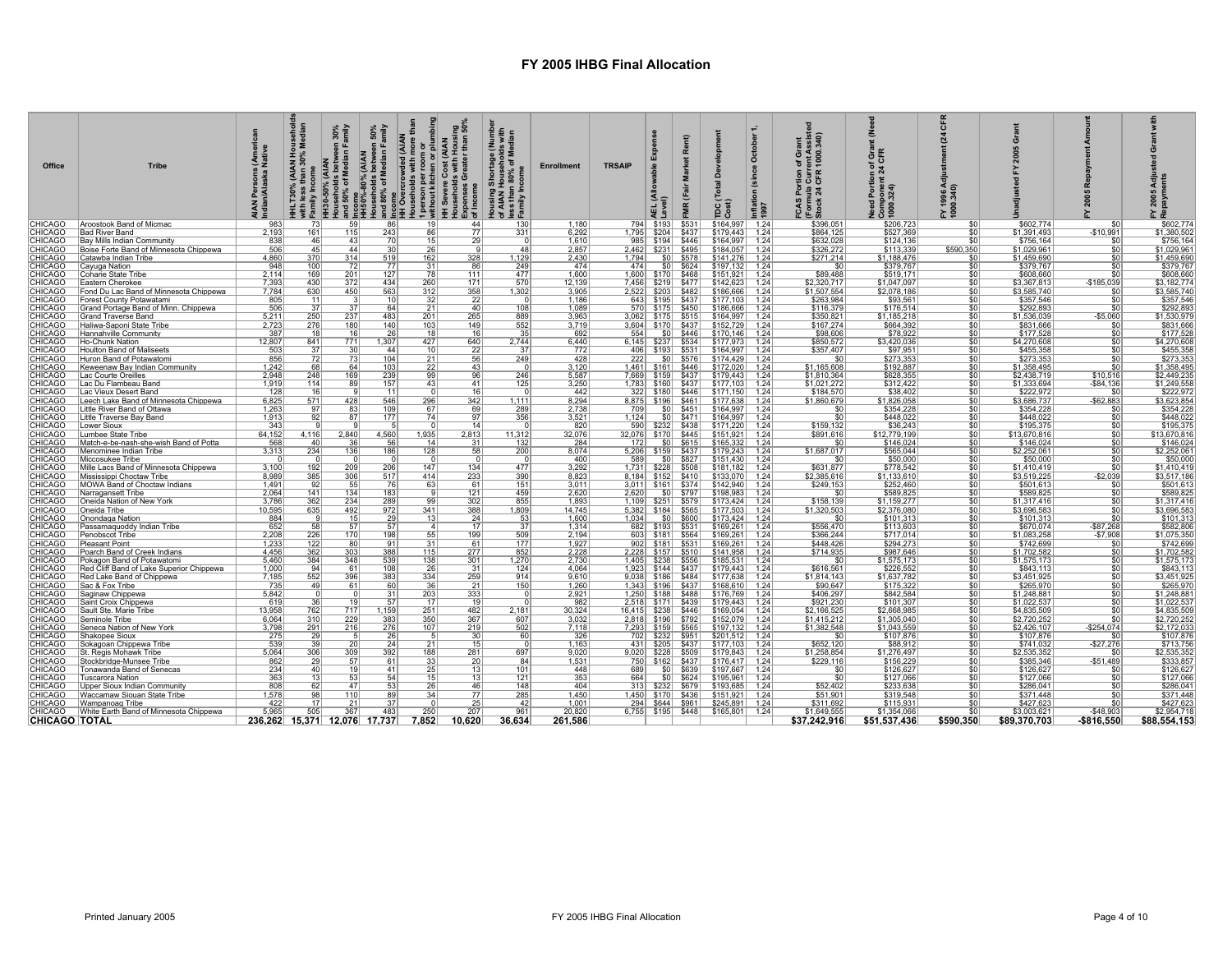| Office                           | <b>Tribe</b>                                                           | $rac{5}{2}$ $rac{5}{2}$<br>ska<br>India | (AIAN Hc)<br>han 30%<br>mily | an 30%<br>Family<br>HH30-50% (AIAN | 50%<br>amily<br>Households between 3<br>and 50% of Median Fam<br>HH50%-80% (AIAN<br>Households between 5<br>and 80% of Median Fam<br>and 80% of Median Fam<br>IHI Overcrowded (AIAN | <b>(AIAN</b><br>room or<br>en or plu<br>£<br>louseholds with<br>person per roo<br>vithout kitchen c<br><b>IH Severe Conservants</b><br>Iouseholds<br>Xpenses Gr<br>Ξ<br>$I - 3$ | e (Numbe<br>»Ids with<br>Median<br>tousing Shortage (<br>of AIAN Household:<br>ess than 80% of Me<br>*amily Income<br>Expenses<br>of Income<br>로 교<br>Ĩ. | <b>Enrollment</b>     | <b>TRSAIP</b>  |                                                  | œ<br>Mai<br>ΜŔ                 | Development<br>otal<br>ь<br>po st | $\circ$<br>(since | ent Assiste<br>1000.340)<br>Curr<br>CFR<br>$= 24$<br>Stock | f Grar<br>CFR<br>tion of<br>nt 24 C<br>륌<br>Componer<br>  000.324)<br>ъ | CFR<br>$\mathbf{z}$<br>Y 1996 Adjı<br>000.340) | $\bar{c}$                  |                 | <b>ភ្នំ</b> ខ្លួ           |
|----------------------------------|------------------------------------------------------------------------|-----------------------------------------|------------------------------|------------------------------------|-------------------------------------------------------------------------------------------------------------------------------------------------------------------------------------|---------------------------------------------------------------------------------------------------------------------------------------------------------------------------------|----------------------------------------------------------------------------------------------------------------------------------------------------------|-----------------------|----------------|--------------------------------------------------|--------------------------------|-----------------------------------|-------------------|------------------------------------------------------------|-------------------------------------------------------------------------|------------------------------------------------|----------------------------|-----------------|----------------------------|
| <b>CHICAGO</b>                   | Aroostook Band of Micmac                                               | 983                                     | 73                           | 59                                 | 86                                                                                                                                                                                  | 19                                                                                                                                                                              | 44                                                                                                                                                       | 1,180<br>130          |                | 794   \$193                                      | \$531                          | \$164,997                         | 1.24              | \$396,051                                                  | \$206,723                                                               | $\overline{\mathsf{SC}}$                       | \$602,774                  | \$0             | \$602,774                  |
| <b>CHICAGO</b><br><b>CHICAGO</b> | <b>Bad River Band</b><br>Bay Mills Indian Community                    | 2,193<br>838                            | 161<br>46                    | 115<br>43                          | 243<br>70                                                                                                                                                                           | 86<br>15 <sup>1</sup>                                                                                                                                                           | 77<br>331<br>29                                                                                                                                          | 6,292<br>1,610        | 1,795<br>985   | \$204<br>\$194                                   | \$437<br>\$446                 | \$179,443<br>\$164,997            | 1.24<br>1.24      | \$864,125<br>\$632,028                                     | \$527,369<br>\$124,136                                                  | \$0<br>s                                       | \$1,391,493<br>\$756,164   | $-$10,991$      | \$1,380,502<br>\$756,164   |
| <b>CHICAGO</b>                   | Boise Forte Band of Minnesota Chippewa                                 | 506                                     | 45                           | 44                                 | 30                                                                                                                                                                                  | 26                                                                                                                                                                              | $\mathbf{Q}$                                                                                                                                             | 2,857<br>48           | 2.462          | \$231                                            | \$495                          | \$184,057                         | 1.24              | \$326,272                                                  | \$113,339                                                               | \$590,350                                      | \$1,029,961                | \$0             | \$1,029,96                 |
| <b>CHICAGO</b>                   | Catawba Indian Tribe                                                   | 4,860                                   | 370                          | 314                                | 519                                                                                                                                                                                 | 162                                                                                                                                                                             | 328<br>1,129                                                                                                                                             | 2,430                 | 1.794          | S <sub>0</sub>                                   | \$578                          | \$141.276                         | 1.24              | \$271,214                                                  | \$1,188,476                                                             | \$0                                            | \$1,459,690                | \$0             | \$1,459,690                |
| CHICAGO                          | Cayuga Nation                                                          | 948                                     | 100                          | 72                                 | 77                                                                                                                                                                                  | 31                                                                                                                                                                              | 86<br>249                                                                                                                                                | 474                   | 474            | S <sub>0</sub>                                   | \$624                          | \$197,132                         | 1.24              |                                                            | \$379,767                                                               | \$0                                            | \$379,767                  | \$0             | \$379,767                  |
| CHICAGO                          | Coharie State Tribe                                                    | $\frac{2,114}{7,393}$<br>7,784          | 169                          | $\frac{201}{372}$                  | 127                                                                                                                                                                                 | 78                                                                                                                                                                              | 477<br>111                                                                                                                                               | 1,600                 | 1,600          | \$170                                            | \$468                          | \$151.921                         | 1.24              | \$89,488                                                   | \$519,171                                                               | \$0                                            | \$608,660                  | s               | \$608,660                  |
| CHICAGO                          | Eastern Cherokee                                                       |                                         | 430<br>630                   | 450                                | 434<br>563                                                                                                                                                                          | $\frac{260}{312}$                                                                                                                                                               | 171<br>570<br>358<br>1.302                                                                                                                               | 12,139<br>3.905       | 7.456          | \$219                                            | \$477                          | \$142,623                         | 1.24              | \$2,320,717                                                | \$1,047,097                                                             | $rac{1}{100}$                                  | \$3,367,813                | $-$185,039$     | \$3,182,774                |
| CHICAGO<br>CHICAGO               | Fond Du Lac Band of Minnesota Chippewa                                 | 805                                     | 11                           |                                    | 10                                                                                                                                                                                  | 32                                                                                                                                                                              | $\overline{22}$                                                                                                                                          | 1,186                 | 2.522<br>643   |                                                  | \$203   \$482<br>\$195 \ \$437 | \$186,666<br>\$177.103            | 1.24<br>1.24      | \$1,507,554<br>\$263,984                                   | \$2.078.186<br>\$93,561                                                 |                                                | \$3,585,740<br>\$357,546   | \$0             | \$3,585,740<br>\$357,546   |
| CHICAGO                          | Forest County Potawatami<br>Grand Portage Band of Minn. Chippewa       | 506                                     | 37                           | 37                                 | 64                                                                                                                                                                                  | 21                                                                                                                                                                              | 40 <sup>1</sup>                                                                                                                                          | 108<br>1.089          | 570            |                                                  | $$175$ \$450                   | \$186,666                         | 1.24              | \$116,379                                                  | \$176,514                                                               | $rac{$0}{$0}$                                  | \$292.893                  | \$0             | \$292,893                  |
| CHICAGO                          | <b>Grand Traverse Band</b>                                             | 5,211                                   |                              |                                    | 483                                                                                                                                                                                 | 201                                                                                                                                                                             | 265<br>889                                                                                                                                               | 3,963                 | 3,062          |                                                  | $$175$ $$515$                  | \$164,997                         | 1.24              | \$350,821                                                  | \$1,185,218                                                             | \$0                                            | \$1,536,039                | $-$5,060$       | \$1,530,979                |
| CHICAGO                          | Haliwa-Saponi State Tribe                                              | 2,723                                   | $\frac{250}{276}$            | $\frac{237}{180}$                  | 140                                                                                                                                                                                 | 103                                                                                                                                                                             | 552<br>149                                                                                                                                               | 3,719                 |                | 3,604   \$170                                    | \$437                          | \$152,729                         | 1.24              | \$167,274                                                  | \$664,392                                                               | \$0                                            | \$831,666                  |                 | \$831,666                  |
| <b>CHICAGO</b>                   | Hannahville Community                                                  | 387                                     | $\overline{18}$              | 16                                 | 26                                                                                                                                                                                  | 18                                                                                                                                                                              | 16                                                                                                                                                       | 35<br>692             | 554            |                                                  | $$0$ $$446$                    | \$170,146                         | 1.24              | \$98,606                                                   | \$78,922                                                                | \$0                                            | \$177,528                  | \$0             | \$177,528                  |
| CHICAGO                          | Ho-Chunk Nation                                                        | 12,807                                  | 841                          | 771                                | 1,307                                                                                                                                                                               | 427                                                                                                                                                                             | 640<br>2,744                                                                                                                                             | 6,440                 |                | 6,145 \ \$237 \ \$534                            |                                | \$177,973                         | 1.24              | \$850,572                                                  | \$3,420,036                                                             | \$0                                            | \$4,270,608                | \$0             | \$4,270,608                |
| CHICAGO                          | Houlton Band of Maliseets                                              | 503                                     | 37                           | 30                                 | 44                                                                                                                                                                                  | 10                                                                                                                                                                              | 22                                                                                                                                                       | 37<br>772             |                | 406   \$193   \$531                              |                                | \$164,997                         | 1.24              | \$357,407                                                  | \$97,951                                                                | \$0                                            | \$455,358                  | \$0             | \$455,358                  |
| CHICAGO                          | Huron Band of Potawatomi                                               | 856                                     | 72<br>68                     | 73                                 | 104                                                                                                                                                                                 | 21                                                                                                                                                                              | 56<br>249                                                                                                                                                | 428                   | 222            |                                                  | $$0 $ \$576                    | \$174,429                         | 1.24              |                                                            | \$273,353                                                               | $\frac{$0}{$0}$                                | \$273,353                  | \$0             | \$273,353                  |
| CHICAGO<br>CHICAGO               | Keweenaw Bay Indian Community<br>Lac Courte Oreilles                   | 1,242<br>2.948                          | 248                          | 64<br>169                          | 103<br>239                                                                                                                                                                          | 22<br>-991                                                                                                                                                                      | 43<br>246<br>96                                                                                                                                          | 3,120<br>5,587        |                | 1,461   \$161   \$446  <br>7,669 \ \$159 \ \$437 |                                | \$172,020<br>\$179,443            | 1.24<br>1.24      | \$1,165,608<br>\$1,810,364                                 | \$192,887<br>\$628,355                                                  | 50                                             | \$1,358,495<br>\$2,438,719 | \$10,516        | \$1,358,49<br>\$2,449,235  |
| CHICAGO                          | Lac Du Flambeau Band                                                   | 1,919                                   | 114                          | 89                                 | 157                                                                                                                                                                                 | 43                                                                                                                                                                              | 41                                                                                                                                                       | 125<br>3,250          |                | 1,783 \$160 \$437                                |                                | \$177,103                         | 1.24              | \$1,021,272                                                | \$312,422                                                               |                                                | \$1,333,694                | $-$84,136$      | \$1,249,558                |
| CHICAGO                          | Lac Vieux Desert Band                                                  | 128                                     | 16                           |                                    | 11                                                                                                                                                                                  |                                                                                                                                                                                 | 16                                                                                                                                                       | 442                   |                | 322   \$180   \$446                              |                                | \$171.150                         | 1.24              | \$184,570                                                  | \$38,402                                                                | $\frac{$0}{$0}$                                | \$222,972                  | - \$0           | \$222,972                  |
| CHICAGO                          | Leech Lake Band of Minnesota Chippewa                                  | 6,825                                   | 571                          | 428                                | 546                                                                                                                                                                                 | 296                                                                                                                                                                             | 342<br>1,111                                                                                                                                             | 8,294                 |                | 8,875   \$196   \$461                            |                                | \$177,638                         | 1.24              | \$1,860,679                                                | \$1,826,058                                                             | \$0                                            | \$3,686,737                | $-$62,883$      | \$3,623,854                |
| <b>CHICAGO</b>                   | Little River Band of Ottawa                                            | 1,263                                   | 97                           | 83                                 | 109                                                                                                                                                                                 | 67                                                                                                                                                                              | 289<br>69                                                                                                                                                | 2,738                 | 709            | \$0                                              | \$451                          | \$164,997                         | 1.24              |                                                            | \$354,228                                                               | \$0                                            | \$354,228                  |                 | \$354,228                  |
| CHICAGO                          | Little Traverse Bay Band                                               | 1,913                                   | 92                           | 87                                 | 177                                                                                                                                                                                 | 74                                                                                                                                                                              | 356<br>97                                                                                                                                                | 3,521                 | 1,124          | S <sub>0</sub>                                   | \$471                          | \$164,997                         | 1.24              | \$0 <sub>1</sub>                                           | \$448,022                                                               | \$0                                            | \$448,022                  | \$0             | \$448,022                  |
| CHICAGO<br>CHICAGO               | Lower Sioux                                                            | 343<br>64,152                           | 4,116                        | 2,840                              | 4,560                                                                                                                                                                               | 1,935                                                                                                                                                                           | 14<br>2,813<br>11,312                                                                                                                                    | 820<br>32,076         | 590<br>32,076  |                                                  | \$232 \$438<br>$$170$ \$445    | \$171,220<br>\$151,921            | 1.24              | \$159,132<br>\$891.616                                     | \$36,243<br>\$12,779,199                                                | $rac{$0}{$0}$                                  | \$195,375<br>\$13,670,816  | \$0<br>\$0      | \$195,375<br>\$13,670,816  |
| <b>CHICAGO</b>                   | Lumbee State Tribe<br>Match-e-be-nash-she-wish Band of Potta           | 568                                     | 40                           |                                    | 56                                                                                                                                                                                  | 14                                                                                                                                                                              |                                                                                                                                                          |                       | 172            |                                                  | $$0 $ \$615                    | \$165,332                         | 1.24<br>1.24      |                                                            | \$146,024                                                               |                                                | \$146,024                  | \$0             | \$146,024                  |
| <b>CHICAGO</b>                   | Menominee Indian Tribe                                                 | 3,313                                   | 234                          | $\frac{36}{136}$                   | 186                                                                                                                                                                                 | 128                                                                                                                                                                             | $\frac{132}{200}$<br>$\frac{31}{58}$                                                                                                                     | $\frac{284}{8,074}$   |                | 5,206 \$159 \$437                                |                                | \$179,243                         | 1.24              | \$1,687,017                                                |                                                                         |                                                | \$2,252,061                | \$0             |                            |
| CHICAGO                          | Miccosukee Tribe                                                       |                                         |                              |                                    | $\overline{0}$                                                                                                                                                                      |                                                                                                                                                                                 | $\overline{0}$                                                                                                                                           | 400                   | 589            | 50                                               | \$827                          | \$151,430                         | 1.24              | \$0                                                        | \$565,044                                                               | $\frac{$0}{$0}{$0 $}$                          | \$50,000                   | \$0             |                            |
| CHICAGO                          | Mille Lacs Band of Minnesota Chippewa                                  | 3,100                                   | $\frac{192}{385}$            |                                    | 206                                                                                                                                                                                 | 147                                                                                                                                                                             | $\frac{134}{233}$<br>477                                                                                                                                 | 3,292                 | 1,731          |                                                  | \$228 \$508                    | \$181,182                         | 1.24              | \$631,877                                                  | \$778,542                                                               | $rac{$0}{$0}$                                  | \$1,410,419                | \$0             | \$1,410,41                 |
| CHICAGO                          | Mississippi Choctaw Tribe                                              | 8,989                                   |                              | $\frac{209}{306}$                  | 517                                                                                                                                                                                 | 414                                                                                                                                                                             |                                                                                                                                                          | 390<br>8,823          |                | 8,184   \$152   \$410                            |                                | \$133,070                         | 1.24              | \$2,385,616                                                | \$1,133,610                                                             |                                                | \$3,519,225                | $-$2,039$       | \$3,517,18                 |
| CHICAGO                          | MOWA Band of Choctaw Indians                                           | 1.491                                   | 92                           | 55                                 | 76                                                                                                                                                                                  | 63                                                                                                                                                                              | 61                                                                                                                                                       | 151<br>3,011          |                | 3,011 \ \$161 \ \$374                            |                                | \$142,940                         | 1.24              | \$249,153                                                  | \$252,460                                                               | \$0                                            | \$501,613                  | \$0             | \$501,61                   |
| CHICAGO<br>CHICAGO               | Narragansett Tribe                                                     | 2,064<br>3,786                          | 141<br>362                   | 134<br>234                         | 183<br>289                                                                                                                                                                          | 99                                                                                                                                                                              | 121<br>459<br>302<br>855                                                                                                                                 | 2,620<br>1,893        | 2,620<br>1.109 | S <sub>0</sub>                                   | \$797<br>$$251$ $$579$         | \$198,983<br>\$173,424            | 1.24<br>1.24      | \$158,139                                                  | \$589,825<br>\$1,159,277                                                | $rac{$0}{$0}$                                  | \$589,825<br>\$1,317,416   | \$0<br>\$0      | \$589,82<br>\$1,317,41     |
| CHICAGO                          | Oneida Nation of New York<br>Oneida Tribe                              | 10,595                                  | 635                          | 492                                | 972                                                                                                                                                                                 | 341                                                                                                                                                                             | 388<br>1,809                                                                                                                                             | 14,745                |                | 5,382 \$184 \$565                                |                                | \$177,503                         | 1.24              | \$1,320,503                                                | \$2,376,080                                                             | \$0                                            | \$3,696,583                | $\overline{50}$ | \$3,696,58                 |
| CHICAGO                          | Onondaga Nation                                                        | 884                                     | - 9                          | 15                                 | 29                                                                                                                                                                                  | 13                                                                                                                                                                              | 24                                                                                                                                                       | 1,600<br>53           | 1,034          | \$0                                              | \$600                          | \$173,424                         | 1.24              | \$0                                                        | \$101,313                                                               | \$0                                            | \$101,313                  | \$0             | \$101,31                   |
| CHICAGO                          | Passamaquoddy Indian Tribe                                             | 652                                     | 58                           | 57                                 | 57                                                                                                                                                                                  | $\sim$                                                                                                                                                                          | 17                                                                                                                                                       | 37<br>1,314           |                | 682 \$193                                        | \$531                          | \$169,261                         | 1.24              | \$556,470                                                  | \$113,603                                                               |                                                | \$670,074                  | $-$87,268$      | \$582,80                   |
| <b>CHICAGO</b>                   | Penobscot Tribe                                                        | 2,208                                   | $\frac{226}{122}$            | 170                                | 198                                                                                                                                                                                 | 55                                                                                                                                                                              | 199<br>509                                                                                                                                               | 2,194                 | 603            |                                                  | \$181 \ \$564                  | \$169,261                         | 1.24              | \$366,244                                                  | \$717,014                                                               | $\frac{$0}{$0}{$0}{$0 $$                       | \$1,083,258                | $-$7,908$       | \$1,075,35                 |
| <b>CHICAGO</b>                   | Pleasant Point                                                         | 1,233                                   |                              | 80                                 | 91                                                                                                                                                                                  | 31                                                                                                                                                                              | 61                                                                                                                                                       | 177<br>1,927          |                | 902   \$181   \$531                              |                                | \$169,261                         | 1.24              | \$448,426                                                  | \$294,273                                                               |                                                | \$742,699                  | \$0             | \$742,69                   |
| <b>CHICAGO</b>                   | Poarch Band of Creek Indians                                           | 4.456                                   | 362                          | 303                                | 388                                                                                                                                                                                 | 115                                                                                                                                                                             | 277                                                                                                                                                      | 852<br>2,228          |                | 2,228 \$157                                      | \$510                          | \$141,958                         | 1.24              | \$714,935                                                  | \$987,646                                                               | \$0<br>$\overline{50}$                         | \$1,702,582                | \$0             | \$1,702,58                 |
| CHICAGO<br>CHICAGO               | Pokagon Band of Potawatomi<br>Red Cliff Band of Lake Superior Chippewa | 5,460<br>1,000                          | 384<br>94                    | 348<br>61                          | 539                                                                                                                                                                                 | 138<br>26                                                                                                                                                                       | 301<br>1,270<br>31                                                                                                                                       | 2,730<br>124<br>4,064 | 1,405<br>1,923 | \$238                                            | \$556<br>$$144$ $$437$         | \$185,531<br>\$179,443            | 1.24<br>1.24      | \$616,561                                                  | \$1,575,173<br>\$226,552                                                | \$0                                            | \$1,575,173<br>\$843,113   | \$0<br>\$0      | \$1,575,173<br>\$843,11    |
| <b>CHICAGO</b>                   | Red Lake Band of Chippewa                                              | 7,185                                   | 552                          | 396                                | $\frac{108}{383}$                                                                                                                                                                   | 334                                                                                                                                                                             | 259                                                                                                                                                      | 914<br>9,610          | 9,038          | \$186                                            | \$484                          | \$177,638                         | 1.24              | \$1,814,143                                                | \$1,637,782                                                             | $\overline{50}$                                | \$3,451,925                | \$0             | \$3,451,92                 |
| <b>CHICAGO</b>                   | Sac & Fox Tribe                                                        | 735                                     | 49                           | 61                                 | 60                                                                                                                                                                                  | 36                                                                                                                                                                              | 21                                                                                                                                                       | 150<br>1,260          | 1,343          | \$196                                            | \$437                          | \$168,610                         | 1.24              | \$90,647                                                   | \$175,322                                                               | 50                                             | \$265,970                  | \$0             | \$265,970                  |
| CHICAGO                          | Saginaw Chippewa                                                       | 5,842                                   |                              |                                    | 31                                                                                                                                                                                  | $\frac{203}{17}$                                                                                                                                                                | $\frac{333}{19}$                                                                                                                                         | 2,921                 | 1.250          | \$188                                            | \$488                          | \$176.769                         | 1.24              | \$406,297                                                  | \$842,584                                                               | $rac{$0}{$0}$                                  | \$1,248,881                | \$0             | \$1,248,88                 |
| CHICAGO                          | Saint Croix Chippewa                                                   | 619                                     | 36                           | 19                                 | 57                                                                                                                                                                                  |                                                                                                                                                                                 |                                                                                                                                                          | 982                   | 2.518          |                                                  | $$171$ \$439                   | \$179.443                         | 1.24              | \$921,230                                                  | \$101,307                                                               |                                                | \$1,022,537                | 50              | \$1,022,537                |
| CHICAGO                          | Sault Ste. Marie Tribe                                                 | 13,958                                  | 762                          | $\frac{717}{229}$<br>216           | 1,159                                                                                                                                                                               | $\frac{251}{350}$<br>107                                                                                                                                                        | 482<br>2,181                                                                                                                                             | 30,324                | 16.415         | \$238                                            | \$446                          | \$169,054                         | 1.24              | \$2,166,525                                                | \$2,668,985                                                             | $rac{$0}{$0}$<br>$rac{$0}{$0}$                 | \$4,835,509                | \$0             | \$4,835,509<br>\$2,720,252 |
| CHICAGO<br>CHICAGO               | Seminole Tribe                                                         | 6,064<br>3,798                          | 310<br>291                   |                                    | $\frac{383}{276}$                                                                                                                                                                   |                                                                                                                                                                                 | 367<br>$\frac{607}{502}$<br>219                                                                                                                          | 3,032<br>7.118        | 2.818<br>7.293 | \$196<br>\$159                                   | \$792<br>\$565                 | \$152,079<br>\$197,132            | 1.24<br>1.24      | \$1,415,21                                                 | \$1,305,040<br>\$1,043,559                                              |                                                | \$2,720,252<br>\$2,426,107 | $-$ \$254.074   | \$2,172,033                |
| CHICAGO                          | Seneca Nation of New York<br>Shakopee Sioux                            |                                         |                              |                                    |                                                                                                                                                                                     |                                                                                                                                                                                 |                                                                                                                                                          | 60                    | 702            | \$232                                            | \$951                          | \$201,512                         | 1.24              | \$1,382,548                                                | \$107,876                                                               | \$0                                            | \$107,876                  |                 | \$107,876                  |
| CHICAGO                          | Sokagoan Chippewa Tribe                                                | 275<br>539                              | $\frac{29}{39}$              | 20                                 | 26<br>24                                                                                                                                                                            | 21                                                                                                                                                                              | $\frac{30}{15}$                                                                                                                                          | 326<br>1.163          | 431            |                                                  | \$205 \$437                    | \$177,103                         | 1.24              | \$652,120                                                  | \$88.912                                                                | \$0                                            | \$741.032                  | $-$27,276$      | \$713.756                  |
| CHICAGO                          | St. Regis Mohawk Tribe                                                 | 5,064                                   | 306                          | 309                                | 392                                                                                                                                                                                 | 188                                                                                                                                                                             | 281<br>697                                                                                                                                               | 9,020                 |                | $9,020$ \$228 \$509                              |                                | \$179,843                         | 1.24              | \$1,258,854                                                | \$1,276,497                                                             | $\overline{50}$                                | \$2,535,352                | - \$0           | \$2,535,352                |
| CHICAGO                          | Stockbridge-Munsee Tribe                                               | 862                                     | 29                           | 57                                 | 61                                                                                                                                                                                  | 33                                                                                                                                                                              | 20 <sup>2</sup>                                                                                                                                          | 84<br>1,531           |                | 750   \$162   \$437                              |                                | \$176,417                         | 1.24              | \$229,116                                                  | \$156,229                                                               | \$0                                            | \$385,346                  | $-$51,489$      | \$333,857                  |
| CHICAGO                          | Tonawanda Band of Senecas                                              | 234                                     | 40                           | 19                                 | 41                                                                                                                                                                                  | 25                                                                                                                                                                              | 13                                                                                                                                                       | 101<br>448            | 689            |                                                  | $$0 $ \$639                    | \$197,667                         | 1.24              | -SC                                                        | \$126,627                                                               | \$0                                            | \$126,627                  | \$0             | \$126,627                  |
| CHICAGO                          | <b>Tuscarora Nation</b>                                                | 363                                     | 13                           | 53                                 | 54                                                                                                                                                                                  | 15                                                                                                                                                                              | 13                                                                                                                                                       | 353<br>121            | 664            |                                                  | $$0$ $$624$                    | \$195,961                         | 1.24              | \$C                                                        | \$127,066                                                               | \$0                                            | \$127,066                  | \$0             | \$127,066                  |
| CHICAGO                          | Upper Sioux Indian Community                                           | 808                                     | 62                           | 47                                 | 53                                                                                                                                                                                  | 26                                                                                                                                                                              | 46                                                                                                                                                       | 404<br>148            | 3131           |                                                  | \$232   \$679                  | \$193,685                         | 1.24              | \$52,402                                                   | \$233,638                                                               | \$0                                            | \$286,041                  |                 | \$286,041                  |
| CHICAGO<br>CHICAGO               | Waccamaw Siouan State Tribe<br>Wampanoag Tribe                         | 1,578<br>422                            | 98<br>17                     | 110<br>21                          | 89<br>37 <sup>1</sup>                                                                                                                                                               | 34                                                                                                                                                                              | 77<br>285                                                                                                                                                | 1.450<br>1.001<br>42  |                | 1,450 \ \$170 \ \$436<br>294   \$644   \$961     |                                | \$151,921<br>\$245,891            | 1.24<br>1.24      | \$51,901<br>\$311,692                                      | \$319,548<br>\$115.931                                                  | \$0                                            | \$371,448<br>\$427,623     |                 | \$371,448<br>\$427,623     |
| CHICAGO                          | White Earth Band of Minnesota Chippewa                                 | 5.965                                   | 505                          | 367                                | 483                                                                                                                                                                                 | 250                                                                                                                                                                             | $\frac{25}{207}$<br>961                                                                                                                                  | 20.820                |                | $6,755$ $$195$ $$448$                            |                                | \$165,801                         | 1.24              | \$1.649.555                                                | \$1,354,066                                                             | $rac{C}{s}$                                    | \$3,003.621                | $-$48.903$      | \$2,954.718                |
| <b>CHICAGO TOTAL</b>             |                                                                        | 236,262 15,371 12,076 17,737            |                              |                                    |                                                                                                                                                                                     | 7,852                                                                                                                                                                           | 36,634<br>10,620                                                                                                                                         | 261,586               |                |                                                  |                                |                                   |                   | \$37,242,916                                               | \$51,537,436                                                            | \$590,350                                      | \$89,370,703               | $-$ \$816,550   | \$88,554,153               |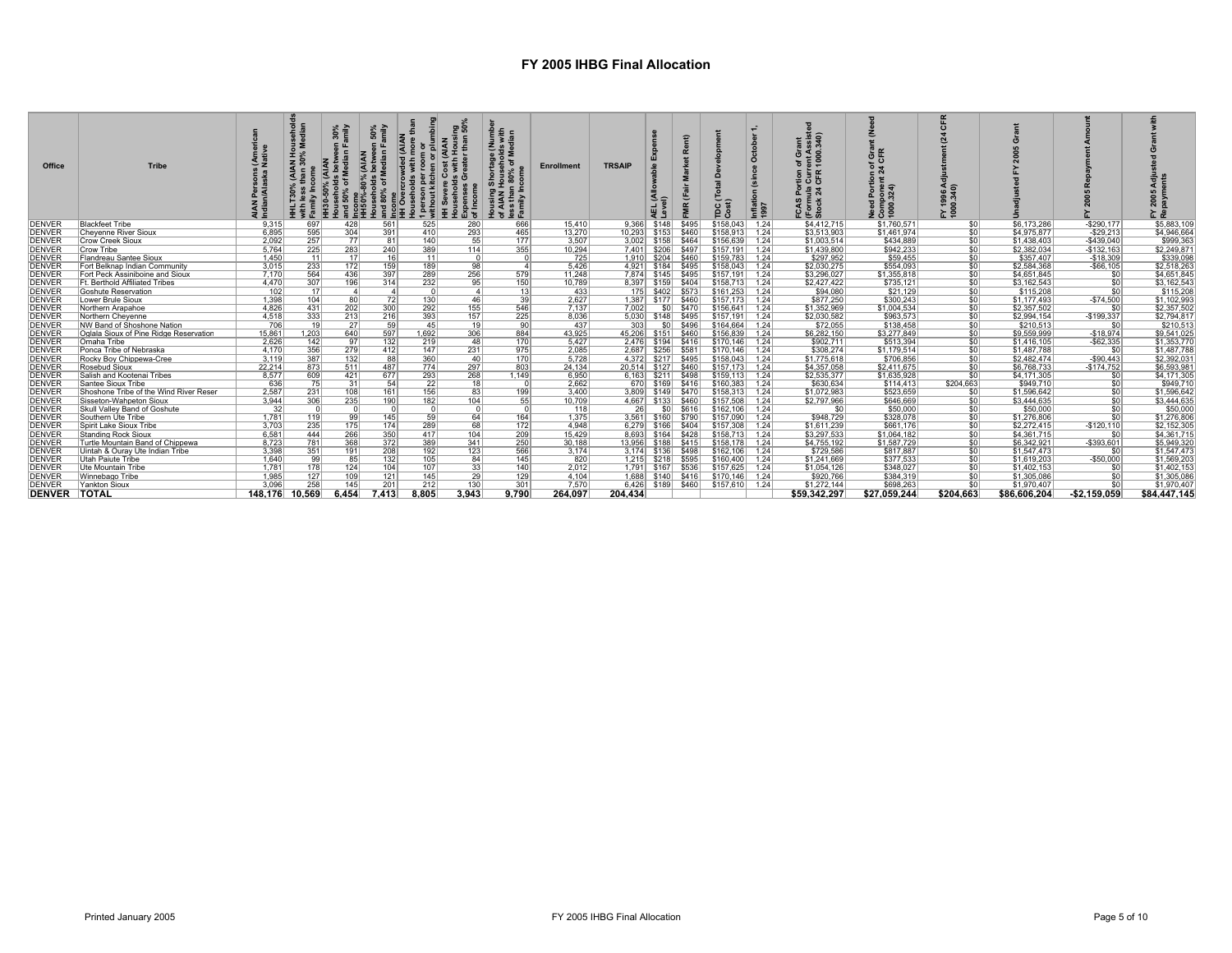| Office              | <b>Tribe</b>                           |                | εm              | 30%<br>Imily | 50%<br>amily<br>≃ய<br><b>CAIAN</b><br>Betwee<br>Median<br>$rac{80%}{60}$<br>នី និ<br>콩 혼 | owd<br>ξò<br>a £<br>蛋 일 <u>로</u> 로<br>$-3$ | ខ្នួន<br>$\frac{3}{2}$ $\frac{3}{2}$ $\frac{3}{2}$ $\frac{3}{2}$ $\frac{3}{2}$ $\frac{3}{2}$ $\frac{3}{2}$ $\frac{3}{2}$ $\frac{3}{2}$ $\frac{3}{2}$ $\frac{3}{2}$ $\frac{3}{2}$ $\frac{3}{2}$ $\frac{3}{2}$ $\frac{3}{2}$ $\frac{3}{2}$ $\frac{3}{2}$ $\frac{3}{2}$ $\frac{3}{2}$ $\frac{3}{2}$ $\frac{3}{2}$ $\frac{3}{2}$ | ਉ € ∈<br>e (Num<br>»Ids wit<br>Mediar<br>nortage<br>usehold<br>D% of M<br>of AIAM<br>less th<br>Family | <b>Enrollment</b> | <b>TRSAIP</b> |                        |                                                 | Ō<br>otal<br>TDC <sub>1</sub>             | $\circ$<br>Inflati<br>1997 | ant<br>ssist<br>340)<br>of Gr.<br>ent A<br>1000.<br>ទំ ទួ ជិ<br>FCAS<br>(Form<br>Stock | ទី ទី<br>⊃ ت خ | $\epsilon$<br>FY 1800 |              |                 |              |
|---------------------|----------------------------------------|----------------|-----------------|--------------|------------------------------------------------------------------------------------------|--------------------------------------------|------------------------------------------------------------------------------------------------------------------------------------------------------------------------------------------------------------------------------------------------------------------------------------------------------------------------------|--------------------------------------------------------------------------------------------------------|-------------------|---------------|------------------------|-------------------------------------------------|-------------------------------------------|----------------------------|----------------------------------------------------------------------------------------|----------------|-----------------------|--------------|-----------------|--------------|
| <b>DENVER</b>       | <b>Blackfeet Tribe</b>                 | 9,315          | 697             | 428          | 561                                                                                      | 525                                        | 280                                                                                                                                                                                                                                                                                                                          | 666                                                                                                    | 15.410            |               | 9,366 \$148 \$495      |                                                 | \$158,043                                 | 1.24                       | \$4,412,715                                                                            | \$1,760,571    | \$0                   | \$6,173,286  | $-$ \$290.177   | \$5,883,109  |
| <b>DENVER</b>       | <b>Chevenne River Sioux</b>            | 6,895          | 595             | 304          | 391                                                                                      | 410                                        | 293                                                                                                                                                                                                                                                                                                                          | 465                                                                                                    | 13.270            |               | 10,293 \ \$153 \ \$460 |                                                 | \$158,913                                 | 1.24                       | \$3,513,903                                                                            | \$1,461,974    | S <sub>0</sub>        | \$4,975,877  | $-$29,213$      | \$4,946,664  |
| <b>DENVER</b>       | Crow Creek Sioux                       | 2,092          | 257             | -771         | 81                                                                                       | 140                                        | 55                                                                                                                                                                                                                                                                                                                           | 177                                                                                                    | 3.507             |               |                        |                                                 | 3,002   \$158   \$464   \$156,639         | 1.24                       | \$1,003,514                                                                            | \$434,889      | \$0                   | \$1,438,403  | $-$439,040$     | \$999,363    |
| <b>DENVER</b>       | Crow Tribe                             | 5.764          | 225             | 283          | 240                                                                                      | 389                                        | 114                                                                                                                                                                                                                                                                                                                          | 355                                                                                                    | 10.294            |               |                        |                                                 | 7,401 \ \ \$206 \ \ \$497 \ \ \$157,191 \ | 1.24                       | \$1,439,800                                                                            | \$942,233      | S <sub>0</sub>        | \$2,382,034  | $-$132.163$     | \$2,249.871  |
| <b>DENVER</b>       | Flandreau Santee Sioux                 | 1,450          | 11              | 17           | 16                                                                                       | 11                                         | $\Omega$                                                                                                                                                                                                                                                                                                                     | $\bigcap$                                                                                              | 725               |               |                        |                                                 | 1,910   \$204   \$460   \$159,783         | 1.24                       | \$297.952                                                                              | \$59,455       | S <sub>0</sub>        | \$357,407    | $-$18,309$      | \$339,098    |
| <b>DENVER</b>       | Fort Belknap Indian Community          | 3,015          | 233             | 172          | 159                                                                                      | 189                                        | 98                                                                                                                                                                                                                                                                                                                           | $\Delta$                                                                                               | 5.426             |               | 4,921   \$184   \$495  |                                                 | \$158,043                                 | 1.24                       | \$2,030,275                                                                            | \$554,093      | \$0                   | \$2,584,368  | $-$66,105$      | \$2,518,263  |
| <b>DENVER</b>       | Fort Peck Assiniboine and Sioux        | 7.170          | 564             | 436          | 397                                                                                      | 289                                        | 256                                                                                                                                                                                                                                                                                                                          | 579                                                                                                    | 11.248            |               |                        |                                                 | 7,874 \$145 \$495 \$157,191               | 1.24                       | \$3,296,027                                                                            | \$1,355,818    | \$0                   | \$4,651,845  | \$0             | \$4,651,845  |
| <b>DENVER</b>       | <b>Ft. Berthold Affiliated Tribes</b>  | 4.470          | 307             | 196          | 314                                                                                      | 232                                        | 95                                                                                                                                                                                                                                                                                                                           | 150                                                                                                    | 10.789            |               |                        |                                                 | 8,397   \$159   \$404   \$158,713         | 1.24                       | \$2,427,422                                                                            | \$735,121      | \$0                   | \$3,162,543  |                 | \$3,162,543  |
| <b>DENVER</b>       | Goshute Reservation                    | 102            | 17 <sup>1</sup> | $\Delta$     | $\vert$ 4                                                                                | $\Omega$                                   | 4 <sup>1</sup>                                                                                                                                                                                                                                                                                                               | 13 <sup>1</sup>                                                                                        | 433               |               |                        |                                                 | 175   \$402   \$573   \$161,253           | 1.24                       | \$94,080                                                                               | \$21,129       | \$0 <sub>0</sub>      | \$115,208    | \$0             | \$115,208    |
| <b>DENVER</b>       | Lower Brule Sioux                      | 1,398          | 104             | 80           | $\overline{72}$                                                                          | 130                                        | 46                                                                                                                                                                                                                                                                                                                           | 39                                                                                                     | 2.627             |               |                        |                                                 | 1,387 \ \$177 \ \$460 \ \$157,173         | 1.24                       | \$877,250                                                                              | \$300,243      | 30                    | \$1,177,493  | $-$74,500$      | \$1,102,993  |
| <b>DENVER</b>       | Northern Arapahoe                      | 4.826          | 431             | 202          | 300                                                                                      | 292                                        | 155                                                                                                                                                                                                                                                                                                                          | 546                                                                                                    | 7.137             | 7.002         |                        | $\overline{\text{S0}}$ $\overline{\text{S470}}$ | \$156,641                                 | 1.24                       | \$1,352,969                                                                            | \$1,004.534    | \$0                   | \$2,357,502  | SO I            | \$2,357,502  |
| <b>DENVER</b>       | Northern Chevenne                      | 4,518          | 333             | 213          | 216                                                                                      | 393                                        | 157                                                                                                                                                                                                                                                                                                                          | 225                                                                                                    | 8,036             |               |                        |                                                 | 5.030 \ \$148 \ \$495 \ \$157.191         | 1.24                       | \$2,030,582                                                                            | \$963,573      | S <sub>0</sub>        | \$2,994,154  | $-$199,337$     | \$2,794,817  |
| <b>DENVER</b>       | INW Band of Shoshone Nation            | 706            | 19              | 27           | 59                                                                                       | 45                                         | 19                                                                                                                                                                                                                                                                                                                           | -90                                                                                                    | 437               |               |                        |                                                 | 303 \ \$0 \ \$496 \ \$164,664             | 1.24                       | \$72,055                                                                               | \$138,458      | \$0                   | \$210,513    | -90             | \$210,513    |
| <b>DENVER</b>       | Oglala Sioux of Pine Ridge Reservation | 15,861         | 1,203           | 640          | 597                                                                                      | 1,692                                      | 306                                                                                                                                                                                                                                                                                                                          | 884                                                                                                    | 43,925            |               | 45,206   \$151   \$460 |                                                 | \$156,839                                 | 1.24                       | \$6,282,150                                                                            | \$3,277,849    | \$0                   | \$9,559,999  | $-$18,974$      | \$9,541,025  |
| <b>DENVER</b>       | Omaha Tribe                            | 2,626          | 142             | 97           | 132                                                                                      | 219                                        | 48                                                                                                                                                                                                                                                                                                                           | 170                                                                                                    | 5,427             |               |                        |                                                 | 2,476 \ \$194 \ \$416 \ \$170,146         | 1.24                       | \$902,711                                                                              | \$513,394      | S <sub>0</sub>        | \$1,416,105  | $-$62,335$      | \$1,353,770  |
| <b>DENVER</b>       | Ponca Tribe of Nebraska                | 4.170          | 356             | 279          | 412                                                                                      | 147                                        | 231                                                                                                                                                                                                                                                                                                                          | 975                                                                                                    | 2.085             |               | 2,687 \$256 \$581      |                                                 | \$170.146                                 | 1.24                       | \$308,274                                                                              | \$1,179.514    | \$0 <sub>0</sub>      | \$1,487,788  | \$0             | \$1,487,788  |
| <b>DENVER</b>       | Rocky Boy Chippewa-Cree                | 3,119          | 387             | 132          | 88                                                                                       | 360                                        | 40                                                                                                                                                                                                                                                                                                                           | 170                                                                                                    | 5.728             |               |                        |                                                 | 4.372 \ \$217 \ \$495 \ \$158.043         | 1.24                       | \$1,775,618                                                                            | \$706,856      | S <sub>0</sub>        | \$2,482,474  | $-$90,443$      | \$2,392,031  |
| <b>DENVER</b>       | Rosebud Sioux                          | 22.214         | 873             | 511          | 487                                                                                      | 774                                        | 297                                                                                                                                                                                                                                                                                                                          | 803                                                                                                    | 24.134            |               |                        |                                                 | 20,514 \ \$127 \ \$460 \ \$157,173        | 1.24                       | \$4,357,058                                                                            | \$2,411,675    | \$0                   | \$6,768,733  | $-$174,752$     | \$6,593,981  |
| <b>DENVER</b>       | Salish and Kootenai Tribes             | 8.577          | 609             | 421          | 677                                                                                      | 293                                        | 268                                                                                                                                                                                                                                                                                                                          | 1.149                                                                                                  | 6.950             |               | 6,163 \$211 \$498      |                                                 | \$159.113                                 | 1.24                       | \$2,535,377                                                                            | \$1,635,928    | \$0 <sub>0</sub>      | \$4,171,305  | SO I            | \$4,171,305  |
| <b>DENVER</b>       | Santee Sioux Tribe                     | 636            | 75              | 31           | 54                                                                                       | 22                                         | 18                                                                                                                                                                                                                                                                                                                           | $\bigcap$                                                                                              | 2,662             |               |                        |                                                 | 670 \ \$169 \ \$416 \ \$160.383           | 1.24                       | \$630,634                                                                              | \$114,413      | \$204,663             | \$949,710    | sol.            | \$949,710    |
| <b>DENVER</b>       | Shoshone Tribe of the Wind River Reser | 2.587          | 231             | 108          | 161                                                                                      | 156                                        | 83                                                                                                                                                                                                                                                                                                                           | 199                                                                                                    | 3.400             |               |                        |                                                 | 3,809 \ \$149 \ \$470 \ \$158,313         | 1.24                       | \$1,072,983                                                                            | \$523,659      | \$0                   | \$1,596,642  |                 | \$1,596,642  |
| <b>DENVER</b>       | Sisseton-Wahpeton Sioux                | 3.944          | 306             | 235          | 190                                                                                      | 182                                        | 104                                                                                                                                                                                                                                                                                                                          | 55                                                                                                     | 10.709            |               | 4,667 \ \$133 \ \$460  |                                                 | \$157,508                                 | 1.24                       | \$2,797,966                                                                            | \$646,669      | \$0                   | \$3,444,635  |                 | \$3,444,635  |
| <b>DENVER</b>       | Skull Valley Band of Goshute           | 32             | $\Omega$        |              |                                                                                          |                                            |                                                                                                                                                                                                                                                                                                                              |                                                                                                        | 118               | 26            |                        |                                                 | $$0 $5616$$ $$162,106]$                   | 1.24                       | \$0                                                                                    | \$50,000       | \$0                   | \$50,000     | \$0             | \$50,000     |
| <b>DENVER</b>       | Southern Ute Tribe                     | 1.781          | 119             | 99           | 145                                                                                      | 59                                         | 64                                                                                                                                                                                                                                                                                                                           | 164                                                                                                    | 1.375             |               | 3,561 \$160 \$790      |                                                 | \$157,090                                 | 1.24                       | \$948,729                                                                              | \$328,078      | \$0                   | \$1,276,806  | \$0             | \$1,276,806  |
| <b>DENVER</b>       | Spirit Lake Sioux Tribe                | 3,703          | 235             | 175          | 174                                                                                      | 289                                        | 68                                                                                                                                                                                                                                                                                                                           | 172                                                                                                    | 4.948             |               |                        |                                                 |                                           | 1.24                       | \$1,611,239                                                                            | \$661,176      | S <sub>0</sub>        | \$2,272,415  | $-$120,110$     | \$2,152,305  |
| <b>DENVER</b>       | Standing Rock Sioux                    | 6,581          | 444             | 266          | 350                                                                                      | 417                                        | 104                                                                                                                                                                                                                                                                                                                          | 209                                                                                                    | 15,429            |               |                        |                                                 | 8,693 \$164 \$428 \$158,713               | 1.24                       | \$3,297,533                                                                            | \$1,064,182    | \$0                   | \$4,361,715  | <b>SO</b>       | \$4,361,715  |
| <b>DENVER</b>       | Turtle Mountain Band of Chippewa       | 8.723          | 781             | 368          | 372                                                                                      | 389                                        | 341                                                                                                                                                                                                                                                                                                                          | 250                                                                                                    | 30.188            |               |                        |                                                 | 13,956  \$188  \$415  \$158,178           | 1.24                       | \$4,755,192                                                                            | \$1,587,729    | S <sub>0</sub>        | \$6,342,921  | $-$393,601$     | \$5,949,320  |
| <b>DENVER</b>       | Uintah & Ourav Ute Indian Tribe        | 3,398          | 351             | 191          | 208                                                                                      | 192                                        | 123                                                                                                                                                                                                                                                                                                                          | 566                                                                                                    | 3.174             |               |                        |                                                 | 3,174 \$136 \$498 \$162,106               | 1.24                       | \$729,586                                                                              | \$817,887      | \$0 <sub>0</sub>      | \$1,547,473  | \$0             | \$1,547,473  |
| <b>DENVER</b>       | Utah Paiute Tribe                      | 1.640          | 99              | 85           | 132                                                                                      | 105                                        | 84                                                                                                                                                                                                                                                                                                                           | 145                                                                                                    | 820               |               |                        |                                                 | 1,215   \$218   \$595   \$160,400         | 1.24                       | \$1,241,669                                                                            | \$377,533      | \$0                   | \$1,619,203  | $-$50,000$      | \$1,569,203  |
| <b>DENVER</b>       | Ute Mountain Tribe                     | 1.781          | 178             | $124$        | 104                                                                                      | 107                                        | 33                                                                                                                                                                                                                                                                                                                           | 140                                                                                                    | 2.012             |               |                        |                                                 | 1,791 \ \$167 \ \$536 \ \$157,625         | 1.24                       | \$1,054,126                                                                            | \$348,027      | 50                    | \$1,402.153  | \$ſ             | \$1,402,153  |
| <b>DENVER</b>       | Winnebago Tribe                        | 1.985          | 127             | 109          | 121                                                                                      | 145                                        | 29                                                                                                                                                                                                                                                                                                                           | 129                                                                                                    | 4.104             |               |                        |                                                 | 1,688 \ \$140 \ \$416 \ \$170,146         | 1.24                       | \$920,766                                                                              | \$384,319      | \$0 <sub>0</sub>      | \$1,305,086  | \$0             | \$1,305,086  |
| <b>DENVER</b>       | Yankton Sioux                          | 3,096          | 258             | 145          | 201                                                                                      | 212                                        | 130                                                                                                                                                                                                                                                                                                                          | 301                                                                                                    | 7.570             |               |                        |                                                 | 6,426 \$189 \$460 \$157,610 1.24          |                            | \$1,272,144                                                                            | \$698,263      | $\overline{50}$       | \$1,970,407  | \$0             | \$1,970,407  |
| <b>DENVER TOTAL</b> |                                        | 148.176 10.569 |                 | 6.454        | 7.413                                                                                    | 8.805                                      | 3.943                                                                                                                                                                                                                                                                                                                        | 9.790                                                                                                  | 264.097           | 204.434       |                        |                                                 |                                           |                            | \$59.342.297                                                                           | \$27.059.244   | \$204.663             | \$86,606,204 | $-$ \$2.159.059 | \$84.447.145 |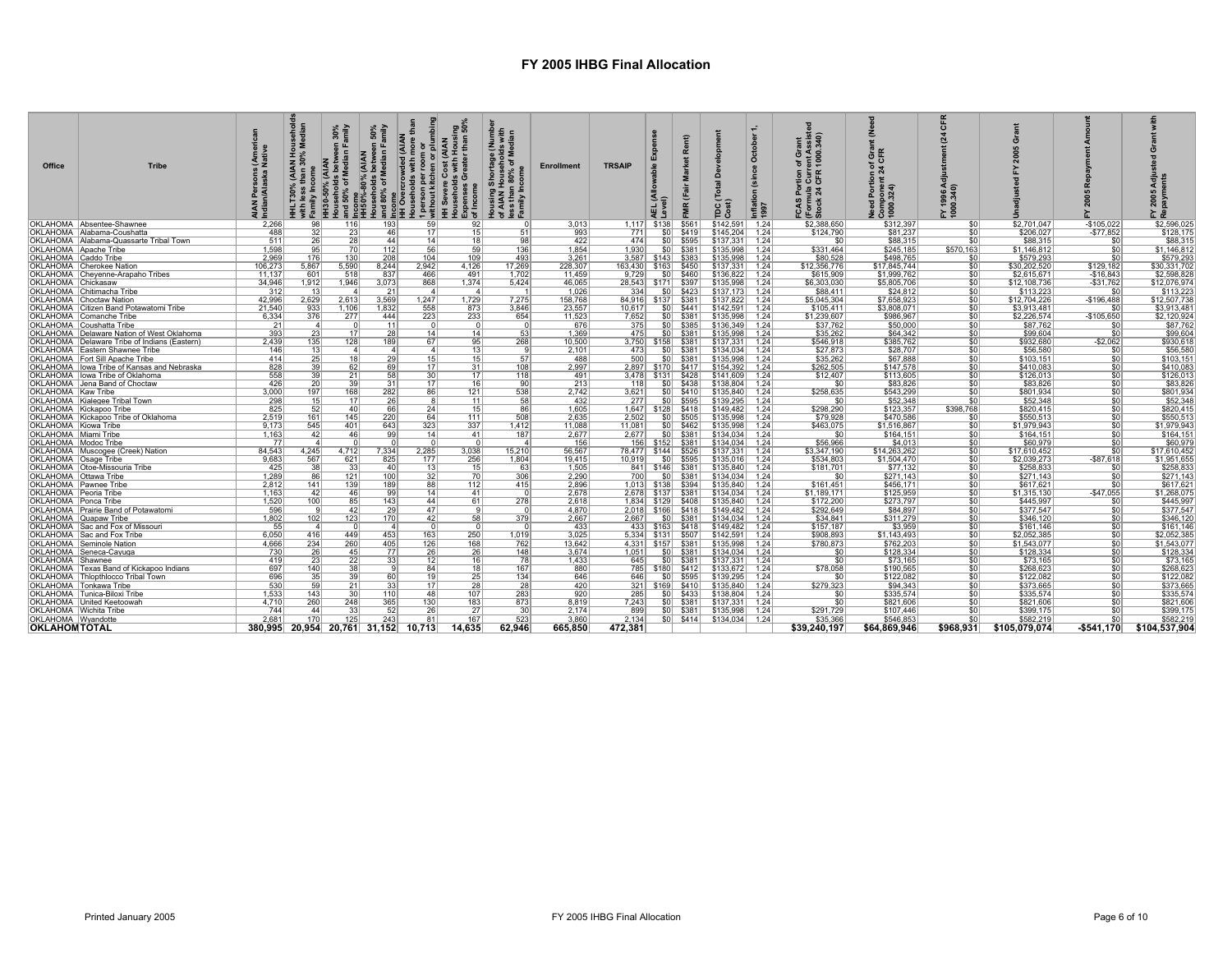| <b>Office</b>           | <b>Tribe</b>                                   | 들                                   | ≫ Ž             | 30%<br>amily<br>HH30-50% (AIAN<br>৳<br>iseho<br>50% | 50%<br>Imily<br>(AIAN<br>betwee<br>Median<br>-80%<br>olds<br>6 of M<br>louseho<br>nd 80%<br>Income<br>HH50% | $\circ$<br>persor<br>ithout<br>ò<br>— ≩ | $\mathbf{C}$<br>Expenses<br>of Income<br>မီ<br>ェᇹ | $\frac{3}{5}$<br>$\frac{2}{9}$ $\frac{3}{9}$ $\frac{3}{9}$<br>g Shortage<br>  Household<br> n 80% of M<br> ncome<br>Housing <b>:</b><br>of AIAN H<br>less than<br>Family In | <b>Enrollment</b> | <b>TRSAIP</b> |                           | œ           | Dev<br>TDC <sub>1</sub>        | October<br>Inflati<br>1997 | of Grant<br>rent Assist<br>1000.340)<br>들 들 또<br>FCAS<br>(Formu<br>Stock | ᅙᅂ<br>a.<br>≂ ت |                  |               |             |                          |
|-------------------------|------------------------------------------------|-------------------------------------|-----------------|-----------------------------------------------------|-------------------------------------------------------------------------------------------------------------|-----------------------------------------|---------------------------------------------------|-----------------------------------------------------------------------------------------------------------------------------------------------------------------------------|-------------------|---------------|---------------------------|-------------|--------------------------------|----------------------------|--------------------------------------------------------------------------|-----------------|------------------|---------------|-------------|--------------------------|
|                         | OKLAHOMA Absentee-Shawnee                      | 2.266                               | 98              | 116                                                 | 193                                                                                                         | 59                                      | 92                                                |                                                                                                                                                                             | 3.013             |               | $1.117$ \$138             | \$561       | $$142.591$ 1.24                |                            | \$2,388,650                                                              | \$312,397       | \$0              | \$2.701.047   | $-$105.022$ | \$2,596,025              |
|                         | OKLAHOMA Alabama-Coushatta                     | 488                                 |                 | 23                                                  | 46                                                                                                          | 17                                      | 15                                                | 51                                                                                                                                                                          | 993               | 771           | \$0                       | \$419       | \$145.204                      | 1.24                       | \$124,790                                                                | \$81,237        | \$0              | \$206,027     | $-$77,852$  | \$128,175                |
|                         | OKLAHOMA   Alabama-Quassarte Tribal Town       | 511                                 | 26              |                                                     | 44                                                                                                          | 14                                      | 18                                                | 98                                                                                                                                                                          | 422               | 474           | SO <sub>1</sub>           | \$595       | \$137,331                      | 1.24                       | SO.                                                                      | \$88,315        | \$0              | \$88,315      |             | \$88,315                 |
| OKLAHOMA Apache Tribe   |                                                | 1.598                               |                 | 70                                                  | 112                                                                                                         | 56                                      | 59                                                | 136                                                                                                                                                                         | 1.854             | 1.930         | SO I                      | \$381       | \$135,998                      | 1.24                       | \$331,464                                                                | \$245.185       | \$570,163        | \$1,146,812   |             | \$1,146,812              |
| OKLAHOMA Caddo Tribe    |                                                | 2.969                               | 176             | 130                                                 | 208                                                                                                         | 104                                     | 109                                               | 493                                                                                                                                                                         | 3,261             |               | 3.587 \$143 \$383         |             | \$135,998                      | 1.24                       | \$80,528                                                                 | \$498,765       | \$0              | \$579,293     |             | \$579,293                |
|                         | OKLAHOMA Cherokee Nation                       | 106,273                             | 5,867           | 5,590                                               | 8.244                                                                                                       | 2,942                                   | 4,126                                             | 17,269                                                                                                                                                                      | 228,307           |               | 163,430   \$163   \$450   |             | \$137,331                      | 1.24                       | \$12,356,776                                                             | \$17,845,744    | \$0              | \$30,202,520  | \$129,182   | \$30,331,702             |
|                         | OKLAHOMA Cheyenne-Arapaho Tribes               | 11,137                              | 601             | 518                                                 | 837                                                                                                         | 466                                     | 491                                               | 1,702                                                                                                                                                                       | 11,459            | 9,729         | SO I                      | \$460       | \$136,822                      | 1.24                       | \$615,909                                                                | \$1,999,762     | \$0              | \$2,615,671   | $-$16,843$  | \$2,598,828              |
| OKLAHOMA Chickasaw      |                                                | 34,946                              | 1,912           | 1,946                                               | 3,073                                                                                                       | 868                                     | 1,374                                             | 5,424                                                                                                                                                                       | 46,065            | 28,543        | \$171 \$397               |             | \$135,998                      | 1.24                       | \$6,303,030                                                              | \$5,805,706     | \$0              | \$12,108,736  | $-$31,762$  | \$12,076,974             |
|                         | OKLAHOMA Chitimacha Tribe                      | 312                                 | 13 <sup>1</sup> | $\Delta$                                            | 21                                                                                                          | $\boldsymbol{\Lambda}$                  | $\sim$ 4                                          |                                                                                                                                                                             | 1,026             | 334           | SO I                      | \$423       | \$137,173                      | 1.24                       | \$88,411                                                                 | \$24,812        | \$0              | \$113,223     | \$ſ         | \$113,223                |
|                         | OKLAHOMA Choctaw Nation                        | 42,996                              | 2,629           | 2,613                                               | 3,569                                                                                                       | 1,247                                   | 1,729                                             | 7,275                                                                                                                                                                       | 158,768           |               | 84,916 \ \$137 \ \$381    |             | \$137,822                      | 1.24                       | \$5,045,304                                                              | \$7,658,923     | \$0              | \$12,704,226  | $-$196,488$ | \$12,507,738             |
|                         | OKLAHOMA Citizen Band Potawatomi Tribe         | 21.540                              | 933             | 1.106                                               | 1,832                                                                                                       | 558                                     | 873                                               | 3,846                                                                                                                                                                       | 23,557            | 10.617        | SO I                      | \$441       | \$142,591                      | 1.24                       | \$105,411                                                                | \$3,808,071     | \$0              | \$3,913,481   | \$ſ         | \$3,913,481              |
|                         | OKLAHOMA Comanche Tribe                        | 6,334                               | 376             | 277                                                 | 444                                                                                                         | 223                                     | 233                                               | 654                                                                                                                                                                         | 11,523            | 7,652         |                           | $$0 $ \$381 | \$135,998                      | 1.24                       | \$1,239,607                                                              | \$986,967       | \$0              | \$2,226,574   | $-$105,650$ | \$2,120,924              |
|                         | OKLAHOMA Coushatta Tribe                       | 21                                  | $\vert$ 4       |                                                     | 11                                                                                                          |                                         |                                                   |                                                                                                                                                                             | 676               | 375           |                           | \$0 \$385   | \$136,349                      | 1.24                       | \$37,762                                                                 | \$50,000        | \$0              | \$87,762      | -SI         | \$87,762                 |
|                         | OKLAHOMA   Delaware Nation of West Oklahoma    | 393                                 | 23              | 17 <sup>1</sup>                                     | 28                                                                                                          | 14 <sup>1</sup>                         | 14                                                | 53                                                                                                                                                                          | 1.369             | 475           |                           | $$0$ $$381$ | \$135,998                      | 1.24                       | \$35,262                                                                 | \$64,342        | \$0              | \$99,604      |             | \$99,604                 |
|                         | OKLAHOMA   Delaware Tribe of Indians (Eastern) | 2,439                               | 135             | 128                                                 | 189                                                                                                         | 67                                      | 95                                                | 268                                                                                                                                                                         | 10,500            |               | 3,750 \ \$158 \ \$381     |             | \$137,331                      | 1.24                       | \$546,918                                                                | \$385,762       | \$0              | \$932,680     | $-$2,062$   | \$930,618                |
|                         | OKLAHOMA   Eastern Shawnee Tribe               | 146                                 | 13              | $\Delta$                                            | $\Delta$                                                                                                    | $\vert$                                 | 13                                                |                                                                                                                                                                             | 2.101             | 473           | SO I                      | \$381       | \$134,034                      | 1.24                       | \$27,873                                                                 | \$28,707        | \$0              | \$56,580      | \$C         | \$56,580                 |
|                         | OKLAHOMA   Fort Sill Apache Tribe              | 414                                 | 25              | 18                                                  | 29                                                                                                          | 15 <sub>1</sub>                         | 15                                                | 57                                                                                                                                                                          | 488               | 500           | S <sub>0</sub>            | \$381       | \$135,998                      | 1.24                       | \$35,262                                                                 | \$67,888        | \$0              | \$103,151     | \$C         | \$103,151                |
|                         | OKLAHOMA   lowa Tribe of Kansas and Nebraska   | 828                                 | 39              | 62                                                  | 69                                                                                                          | 17 <sup>1</sup>                         | 31                                                | 108                                                                                                                                                                         | 2,997             |               | 2,897   \$170   \$417     |             | \$154,392                      | 1.24                       | \$262,505                                                                | \$147.578       | \$0              | \$410,083     | \$ſ.        | \$410,083                |
|                         | OKLAHOMA llowa Tribe of Oklahoma               | 558                                 | 39              | 21                                                  | 58                                                                                                          | 30                                      | 17                                                | 118                                                                                                                                                                         | 491               |               | 3.478 \$131 \$428         |             | \$141,609                      | 1.24                       | \$12,407                                                                 | \$113,605       | S <sub>0</sub>   | \$126,013     | \$0         | \$126,013                |
|                         | OKLAHOMA Jena Band of Choctaw                  | 426                                 | 20              | 39                                                  | 31                                                                                                          | 17                                      | 16                                                | 90                                                                                                                                                                          | 213               | 118           | SO I                      | \$438       | \$138,804                      | 1.24                       | .sr                                                                      | \$83,826        | \$0              | \$83,826      | \$C         | \$83,826                 |
| OKLAHOMA Kaw Tribe      |                                                | 3.000                               | 197             | 168                                                 | 282                                                                                                         | 86                                      | 121                                               | 538                                                                                                                                                                         | 2.742             | 3.621         | SO I                      | \$410       | \$135,840                      | 1.24                       | \$258.635                                                                | \$543.299       | \$0              | \$801.934     | \$ſ         | \$801.934                |
|                         | OKLAHOMA Kialegee Tribal Town                  | 298                                 | 15              | 17                                                  | 26                                                                                                          |                                         | 11                                                | 58                                                                                                                                                                          | 432               | 277           | SO I                      | \$595       | \$139,295                      | 1.24                       | \$0                                                                      | \$52,348        | \$0              | \$52,348      | \$C         | \$52,348                 |
|                         | OKLAHOMA Kickapoo Tribe                        | 825                                 | 52              | 40                                                  | 66                                                                                                          | 24                                      | 15                                                | 86                                                                                                                                                                          | 1,605             |               | 1,647   \$128   \$418     |             | \$149,482                      | 1.24                       | \$298,290                                                                | \$123,357       | \$398,768        | \$820,415     |             | \$820,415                |
|                         | OKLAHOMA Kickapoo Tribe of Oklahoma            | 2.519                               | 161             | 145                                                 | 220                                                                                                         | 64                                      | 111                                               | 508                                                                                                                                                                         | 2.635             | 2.502         |                           | $$0$ \$505  | \$135,998                      | 1.24                       | \$79,928                                                                 | \$470.586       | \$0              | \$550.513     | \$0         | \$550,513                |
| OKLAHOMA Kiowa Tribe    |                                                | 9.173                               | 545             | 401                                                 | 643                                                                                                         | 323                                     | 337                                               | 1.412                                                                                                                                                                       | 11.088            | 11.081        | SO I                      | \$462       | \$135,998                      | 1.24                       | \$463.075                                                                | \$1,516,867     | \$0              | \$1,979,943   | s           | \$1,979,943              |
| OKLAHOMA Miami Tribe    |                                                | 1,163                               | 42              | 46                                                  | 99                                                                                                          | 14                                      | 41                                                | 187                                                                                                                                                                         | 2,677             | 2,677         |                           | $$0$ $$381$ | \$134,034                      | 1.24                       | \$0                                                                      | \$164,151       | \$0              | \$164,151     | \$C         | \$164,151                |
| OKLAHOMA   Modoc Tribe  |                                                | 77                                  | $\mathbf{A}$    |                                                     |                                                                                                             |                                         |                                                   | -4                                                                                                                                                                          | 156               |               | 156 \ \$152 \ \$381       |             | \$134,034                      | 1.24                       | \$56,966                                                                 | \$4,013         | \$0              | \$60,979      | \$C         | \$60,979                 |
|                         | OKLAHOMA   Muscogee (Creek) Nation             | 84,543                              | 4,245           | 4.712                                               | 7,334                                                                                                       | 2,285                                   | 3,038                                             | 15,210                                                                                                                                                                      | 56,567            |               | 78,477   \$144   \$526    |             | \$137,331                      | 1.24                       | \$3,347,190                                                              | \$14,263,262    | \$0              | \$17,610,452  |             | \$17,610,452             |
| OKLAHOMA   Osage Tribe  |                                                | 9,683                               | 567             | 621                                                 | 825                                                                                                         | 177                                     | 256                                               | 1.804                                                                                                                                                                       | 19.415            | 10.919        | S <sub>0</sub>            | \$595       | \$135,016                      | 1.24                       | \$534,803                                                                | \$1,504,470     | \$0 <sub>1</sub> | \$2,039,273   | $-$87,618$  | \$1,951,655              |
|                         | OKLAHOMA   Otoe-Missouria Tribe                | 425                                 | 38              | 33                                                  | 40                                                                                                          | 13                                      | 15                                                | 63                                                                                                                                                                          | 1,505             |               | 841   \$146   \$381       |             | \$135,840                      | 1.24                       | \$181.701                                                                | \$77,132        | \$0              | \$258,833     | \$ſ         | \$258,833                |
| OKLAHOMA   Ottawa Tribe |                                                | 1.289                               | 86              | 121                                                 | 100                                                                                                         | 32                                      | 70                                                | 306                                                                                                                                                                         | 2,290             | 700           |                           | $$0$ $$381$ | \$134,034                      | 1.24                       | \$0                                                                      | \$271.143       | \$0              | \$271.143     | \$C         | \$271,143                |
| OKLAHOMA   Pawnee Tribe |                                                | 2,812                               | 141             | 139                                                 | 189                                                                                                         | 88                                      | 112                                               | 415                                                                                                                                                                         | 2,896             |               | 1.013 \ \$138 \ \$394     |             | \$135,840                      | 1.24                       | \$161,451                                                                | \$456.171       | \$0              | \$617.621     | -90         | \$617,621                |
| OKLAHOMA   Peoria Tribe |                                                | 1,163                               | 42 <sub>1</sub> | 46                                                  | 99                                                                                                          | 14                                      | 41                                                |                                                                                                                                                                             | 2,678             | 2.678         | $$137$ \$381              |             | \$134,034                      | 1.24                       | \$1,189,171                                                              | \$125,959       | \$0              | \$1,315,130   | $-$47,055$  | \$1,268,075              |
| OKLAHOMA   Ponca Tribe  |                                                | 1,520                               | 100             | 85                                                  | 143                                                                                                         | 44                                      | 61                                                | 278                                                                                                                                                                         | 2.618             |               | 1,834   \$129   \$408     |             | \$135,840                      | 1.24                       | \$172,200                                                                | \$273,797       | \$0              | \$445,997     | \$C         | \$445,997                |
|                         | OKLAHOMA   Prairie Band of Potawatomi          | 596                                 | $\mathbf{Q}$    | 42                                                  | 29                                                                                                          | 47                                      |                                                   |                                                                                                                                                                             | 4,870             |               | 2,018 \ \$166 \ \$418     |             | \$149,482                      | 1.24                       | \$292,649                                                                | \$84,897        | \$0              | \$377,547     |             | \$377,547                |
| OKLAHOMA Quapaw Tribe   |                                                | 1,802                               | 102             | 123                                                 | 170                                                                                                         | 42                                      | 58                                                | 379                                                                                                                                                                         | 2.667             | 2.667         | - SO I                    | \$381       | \$134.034                      | 1.24                       | \$34,841                                                                 | \$311.279       | \$0              | \$346,120     | \$0         | \$346,120                |
|                         | OKLAHOMA Sac and Fox of Missouri               | 55                                  | $\overline{a}$  |                                                     | $\vert$ 4                                                                                                   |                                         | - 0                                               |                                                                                                                                                                             | 433               | 433           | \$163                     | \$418       | \$149,482                      | 1.24                       | \$157.187                                                                | \$3,959         | \$0              | \$161,146     | \$0         | \$161,146                |
|                         | OKLAHOMA   Sac and Fox Tribe                   | 6,050                               | 416             | 449                                                 | 453                                                                                                         | 163                                     | 250                                               | 1,019                                                                                                                                                                       | 3,025             |               | 5.334 \$131 \$507         |             | \$142.591                      | 1.24                       | \$908,893                                                                | \$1,143,493     | \$0              | \$2,052,385   |             | \$2,052,385              |
|                         | OKLAHOMA Seminole Nation                       | 4.666                               | 234             | 260                                                 | 405                                                                                                         | 126                                     | 168                                               | 762                                                                                                                                                                         | 13.642            |               | 4.331 \ \ \$157 \ \ \$381 |             | \$135,998                      | 1.24                       | \$780.873                                                                | \$762,203       | \$0              | \$1,543,077   | \$0         | \$1,543,077              |
|                         | OKLAHOMA Seneca-Cayuga                         | 730                                 | 26              | 45                                                  | 77                                                                                                          | 26                                      | 26                                                | 148                                                                                                                                                                         | 3,674             | 1,051         | \$0                       | \$381       | \$134,034                      | 1.24                       | \$0                                                                      | \$128,334       | \$0              | \$128,334     |             | \$128,334                |
| OKLAHOMA Shawnee        |                                                | 419                                 | 23              | 22                                                  | 33                                                                                                          | 12                                      | 16                                                | 78                                                                                                                                                                          | 1.433             | 645           | SO I                      | \$381       | \$137.331                      | 1.24                       | $\overline{30}$                                                          | \$73.165        | \$0              | \$73.165      | \$0         | \$73.165                 |
|                         | OKLAHOMA Texas Band of Kickapoo Indians        | 697                                 | 140             | 38                                                  | - q                                                                                                         | 84                                      | 18                                                | 167                                                                                                                                                                         | 880               |               | 785 \$180 \$412           |             | \$133,672                      | 1.24                       | \$78,058                                                                 | \$190,565       | \$0              | \$268.623     | \$0         | \$268,623                |
|                         | OKLAHOMA Thlopthlocco Tribal Town              | 696                                 | 35              | 39                                                  | 60                                                                                                          | 19                                      | 25                                                | 134                                                                                                                                                                         | 646               | 646           |                           | $$0$ \$595  | \$139,295                      | 1.24                       | \$0                                                                      | \$122,082       | \$0              | \$122,082     | \$0         | \$122,082                |
|                         | OKLAHOMA Tonkawa Tribe                         | 530                                 | 59              | 21                                                  | 33                                                                                                          | 17                                      | 28                                                | 28                                                                                                                                                                          | 420               |               |                           |             | \$135,840                      | 1.24                       | \$279,323                                                                | \$94,343        | S <sub>0</sub>   | \$373,665     | \$0         | \$373,665                |
|                         | OKLAHOMA Tunica-Biloxi Tribe                   | 1,533                               | 143             | 30                                                  | 110                                                                                                         | 48                                      | 107                                               | 283                                                                                                                                                                         | 920               | 285           |                           | \$0 \$433   | \$138,804                      | 1.24                       |                                                                          | \$335,574       | \$0              | \$335,574     | \$0         | \$335.574                |
|                         | OKLAHOMA United Keetoowah                      | 4.710                               | 260             | 248                                                 | 365                                                                                                         | 130                                     | 183                                               | 873                                                                                                                                                                         | 8,819             | 7,243         |                           | $$0 $ \$381 | \$137,331                      | 1.24                       | $\overline{30}$                                                          | \$821,606       | \$0              | \$821,606     | ۹ſ          | \$821,606                |
| OKLAHOMA Wichita Tribe  |                                                | 744                                 | 44              | 33                                                  | 52                                                                                                          | 26                                      | 27                                                | 30                                                                                                                                                                          | 2,174             | 899           |                           | $$0 $ \$381 | \$135,998                      | 1.24                       | \$291,729                                                                | \$107,446       | \$0              | \$399,175     | \$ſ.        | \$399,175                |
| OKLAHOMA Wyandotte      |                                                | 2,681                               | 170             | 125                                                 | 243                                                                                                         | 81                                      | 167                                               | 523                                                                                                                                                                         | 3,860             | 2,134         |                           |             | \$0 \ \$414 \ \$134,034 \ 1.24 |                            | \$35,366                                                                 | \$546,853       | \$0              | \$582,219     | \$0         | \$582,219                |
| <b>OKLAHOMTOTAL</b>     |                                                | 380.995 20.954 20.761 31.152 10.713 |                 |                                                     |                                                                                                             |                                         | 14.635                                            | 62.946                                                                                                                                                                      | 665,850           | 472.381       |                           |             |                                |                            | \$39.240.197                                                             | \$64.869.946    | \$968.931        | \$105.079.074 |             | -\$541.170 \$104.537.904 |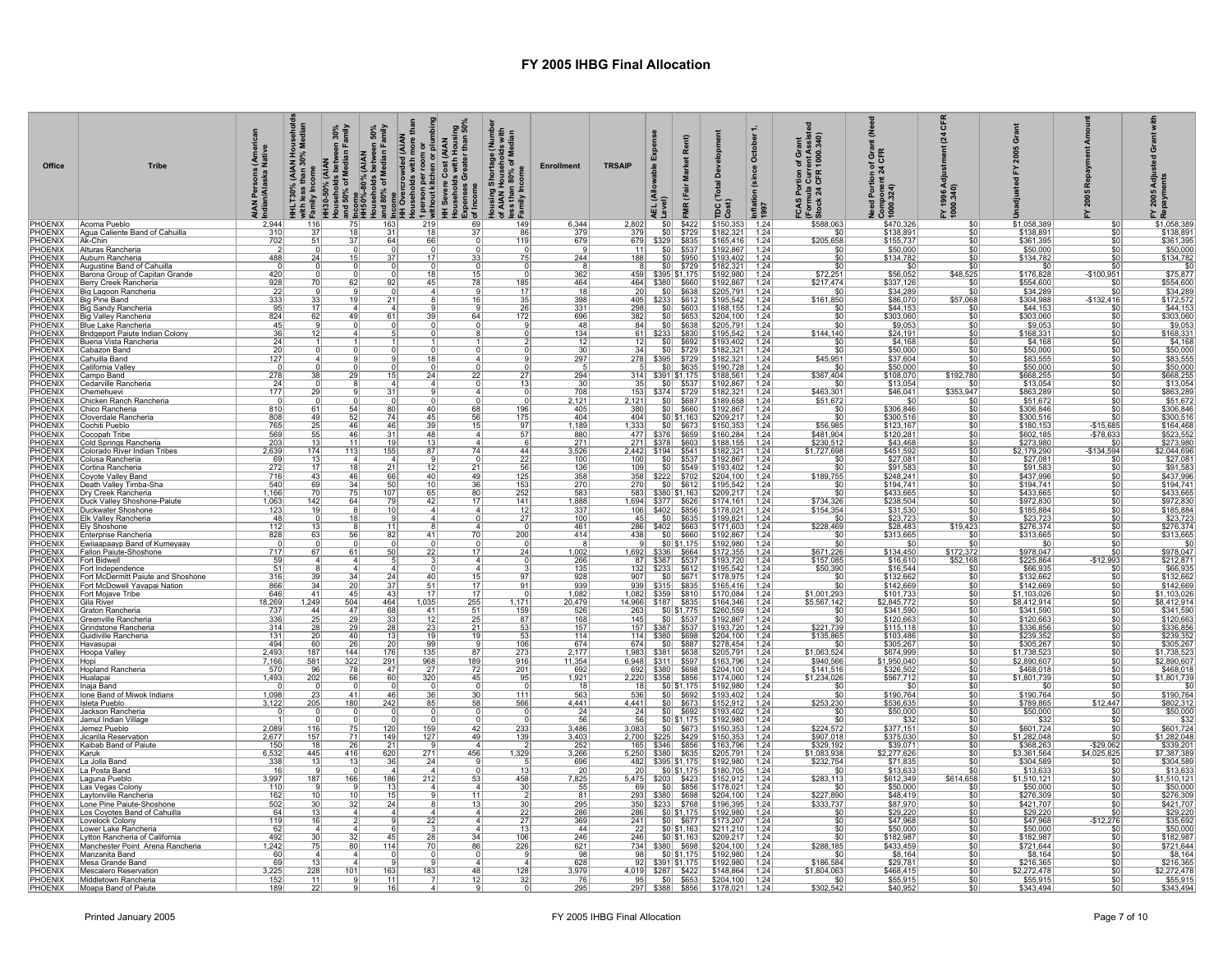| Office                           | <b>Tribe</b>                                                       | s (Ameri<br>I Native<br><b>AIAN Persons (</b><br>Indian/Alaska N | HHLT30% (AIAN Household<br>with less than 30% Median<br>with les<br>Family I |                 |                                     |                       | ವೃಹ≀H30-50% (AIAN<br>  Households batween 30%<br>  Households batween 50%<br>  Households batween 50%<br>  Hisp%-80% (AIAN<br>  Hisp%-80% (AIAN<br>  Hisp%of Median Family<br>  Signal Movement Cost (AIAN<br>  Hispwere Cost (AIAN<br>  Hispwere Cost | Housing Shortage (Number<br>of AIAN Households with<br>less than 80% of Median<br>pramily Income | <b>Enrollment</b>          | <b>TRSAIP</b>              |                                                                                                                                   | Rent)                                               | ്ദ<br>pc                                      | October 1<br>(since<br>Inflation<br>1997 | FCAS Portion of Grant<br>(Formula Current Assiste<br>[]Stock 24 CFR 1000.340) | Need Portion of Grant<br>Component 24 CFR<br>1000.324) | $\boldsymbol{z}$<br>FY 1996 A<br>1000.340) | ò                                       | 2005                          | FY 2005<br>Repaym                                                          |
|----------------------------------|--------------------------------------------------------------------|------------------------------------------------------------------|------------------------------------------------------------------------------|-----------------|-------------------------------------|-----------------------|--------------------------------------------------------------------------------------------------------------------------------------------------------------------------------------------------------------------------------------------------------|--------------------------------------------------------------------------------------------------|----------------------------|----------------------------|-----------------------------------------------------------------------------------------------------------------------------------|-----------------------------------------------------|-----------------------------------------------|------------------------------------------|-------------------------------------------------------------------------------|--------------------------------------------------------|--------------------------------------------|-----------------------------------------|-------------------------------|----------------------------------------------------------------------------|
| PHOENIX<br><b>PHOENIX</b>        | Acoma Pueblo<br>Aqua Caliente Band of Cahuilla                     | 2,944<br>$\frac{310}{702}$                                       | 116<br>$\frac{37}{51}$                                                       | 18              | 31                                  | 18                    | 37                                                                                                                                                                                                                                                     | 149<br>86                                                                                        | 6,344<br>$\frac{379}{679}$ | 2,802<br>$\frac{379}{679}$ | \$0 <br>\$0                                                                                                                       | \$422<br>\$729                                      | \$150,353<br>$$182,321$ 1.24                  | 1.24                                     | \$588,063<br>\$0                                                              | \$470,326<br>\$138,891<br>\$155,737                    | <u>\$0</u>                                 | \$1,058,389<br>\$138,891                | \$0<br>\$0                    | \$1,058,389                                                                |
| <b>PHOENIX</b><br><b>PHOENIX</b> | Ak-Chin<br>Alturas Rancheria                                       |                                                                  |                                                                              |                 | 64                                  | 66                    |                                                                                                                                                                                                                                                        | 119                                                                                              |                            | 11                         | S0                                                                                                                                | $$329$ \$835<br>\$0 \$537                           | $$165,416$<br>$$192,867$                      | 1.24<br>1.24                             | \$205,658<br>\$0                                                              | \$50,000                                               | \$0<br>\$0                                 | \$361,395<br>\$50,000                   |                               | $$138,891$<br>$$361,395$<br>$$50,000$                                      |
| <b>PHOENIX</b>                   | Auburn Rancheria                                                   | 488                                                              | 24                                                                           |                 |                                     |                       | 33                                                                                                                                                                                                                                                     | 75                                                                                               | 244                        | 188                        |                                                                                                                                   | $\frac{$0}{$0}{$0}{$729}$                           | $$193,402$<br>$$182,321$                      | $\frac{1.24}{1.24}$                      | \$0                                                                           | \$134,782                                              | $\frac{$0}{$0}$                            | \$134,782                               |                               | \$134.782                                                                  |
| <b>PHOFNIX</b><br><b>PHOENIX</b> | Augustine Band of Cahuilla<br>Barona Group of Capitan Grande       | 420                                                              |                                                                              |                 |                                     | $\Omega$              | $\Omega$<br>15                                                                                                                                                                                                                                         | $\Omega$                                                                                         | -8<br>362                  | 8                          | 459 \$395 \$1,175                                                                                                                 |                                                     | $$192,980$<br>$$192,867$                      | 1.24                                     | $\overline{50}$<br>$$72,251$<br>$$217,474$                                    | -SC<br>\$56,052<br>\$337,126                           | \$48,525                                   | \$0<br>\$176,828                        | \$0<br>$-$100,951$            | \$75,877                                                                   |
| <b>PHOENIX</b><br>PHOENIX        | Berry Creek Rancheria<br>Big Lagoon Rancheria                      | 928<br>22                                                        |                                                                              |                 |                                     |                       | 78                                                                                                                                                                                                                                                     | 185<br>$\overline{17}$                                                                           | 464<br>$\overline{18}$     | 464<br>20                  | \$380                                                                                                                             | \$660<br>$$0$ \$638                                 | \$205,791                                     | 1.24<br>1.24                             | $\overline{50}$                                                               | \$34,289                                               | $\overline{\mathbf{s}}$                    | \$554,600<br>\$34,289                   |                               | \$554,600<br>\$34,289                                                      |
| <b>PHOENIX</b>                   | Big Pine Band                                                      | $\frac{333}{95}$                                                 | $\frac{33}{17}$                                                              |                 | 21                                  |                       | 16                                                                                                                                                                                                                                                     | $\frac{35}{1}$                                                                                   | $\frac{398}{331}$          |                            | 405 \$233 \$612                                                                                                                   |                                                     | \$195,542                                     | 1.24                                     | \$161,850                                                                     | \$86,070<br>\$44,153                                   | \$57,068                                   | \$304,988                               | $-$132,416$                   | \$172,572                                                                  |
| <b>PHOFNIX</b><br><b>PHOENIX</b> | Big Sandy Rancheria<br>Big Valley Rancheria                        | 824                                                              | 62                                                                           | 49              | 61                                  |                       | 64                                                                                                                                                                                                                                                     | -26<br>172                                                                                       | 696                        | 298<br>382                 |                                                                                                                                   | $$0$ $$603$<br>$$0 $ \$653                          | \$188,155<br>\$204,100                        | 1.24<br>1.24                             | \$0<br>$\overline{\$0}$                                                       | \$303,060                                              | .sn<br>\$0                                 | \$44.153<br>\$303,060                   | \$0                           | \$303,060                                                                  |
| <b>PHOENIX</b><br>PHOENIX        | Blue Lake Rancheria<br>Bridgeport Paiute Indian Colony             | 45<br>36                                                         |                                                                              |                 |                                     |                       |                                                                                                                                                                                                                                                        |                                                                                                  | 48<br>134                  |                            | 84 \$0 \$638                                                                                                                      |                                                     | $$205,791$<br>$$195,542$                      | $\frac{1.24}{1.24}$                      | \$144,140                                                                     | $\frac{$9,053}{$24,191}$                               | \$0<br>\$0                                 | $$9,053$<br>$$168,331$                  |                               | \$9,053<br>\$168,331                                                       |
| <b>PHOENIX</b>                   | Buena Vista Rancheria                                              | 24                                                               |                                                                              |                 |                                     |                       |                                                                                                                                                                                                                                                        |                                                                                                  | $\frac{12}{30}$            | $\frac{12}{34}$            |                                                                                                                                   | $$0$ \$692                                          | \$193,402                                     | 1.24                                     | \$0                                                                           | $\frac{$4,168}{$50,000}$                               | <u>\$0</u>                                 | \$4,168                                 | \$0                           | \$4,168<br>\$50,000                                                        |
| PHOENIX<br><b>PHOENIX</b>        | Cabazon Band<br>Cahuilla Band                                      | 20<br>127                                                        |                                                                              |                 |                                     |                       |                                                                                                                                                                                                                                                        |                                                                                                  | 297                        |                            | 278 \$395 \$729                                                                                                                   | $$0 $ \$729                                         | \$182,321<br>\$182,321                        | 1.24<br>1.24                             | \$0<br>\$45,951                                                               |                                                        | \$0                                        | \$50,000<br>\$83,555                    | $\overline{50}$               |                                                                            |
| PHOENIX<br>PHOENIX               | California Valley<br>Campo Band                                    | 278                                                              |                                                                              | $\overline{29}$ | 15                                  | 24                    | $\overline{22}$                                                                                                                                                                                                                                        | 27                                                                                               | 294                        |                            | $\frac{218}{5}$ \$0 \$635<br>314 \$391 \$1,175                                                                                    |                                                     | $\frac{$190,728}{$188,561}$                   | $\frac{1.24}{1.24}$                      | \$367,404                                                                     | $\frac{$37,604}{$50,000}$                              | \$192,780                                  | $\frac{$50,000}{$50,000}$               |                               | $\frac{$83,555}{\$50,000}$                                                 |
| <b>PHOENIX</b>                   | Cedarville Rancheria                                               | $\frac{24}{177}$                                                 |                                                                              |                 |                                     |                       |                                                                                                                                                                                                                                                        | 13                                                                                               | 30                         | $\frac{35}{153}$           |                                                                                                                                   | \$0 \$537                                           | \$192,867                                     | 1.24                                     | \$0                                                                           | \$13,054                                               |                                            | \$13,054                                |                               |                                                                            |
| <b>PHOENIX</b><br><b>PHOENIX</b> | Chemehuevi<br>Chicken Ranch Rancheria                              |                                                                  | 29                                                                           |                 | 31                                  |                       |                                                                                                                                                                                                                                                        |                                                                                                  | 708<br>$\frac{2,121}{405}$ |                            |                                                                                                                                   | \$374 \$729<br>$\frac{100}{100}$ $\frac{1000}{100}$ | \$182,321<br>$\frac{$189,658}{$192,867}$      | 1.24                                     | \$463,301<br>\$51,672                                                         | \$46,041<br>5C                                         | \$353,947                                  | \$863,289                               | $\overline{\text{SO}}$<br>\$0 | \$006,233<br>\$13,054<br>\$863,289<br>\$51,672<br>\$306,846                |
| PHOENIX<br><b>PHOENIX</b>        | Chico Rancheria<br>Cloverdale Rancheria                            | 810<br>808                                                       | 61<br>49                                                                     | 54<br>52        | $\frac{80}{74}$                     | 40<br>45              | 68<br>56                                                                                                                                                                                                                                               | 196<br>175                                                                                       | 404                        | $\frac{2,121}{380}$<br>404 |                                                                                                                                   | $$0 \, 1,163$                                       | \$209,217                                     | $\frac{1.24}{1.24}$<br>1.24              | $rac{$0}{$0}$                                                                 | \$306,846<br>\$300,516                                 | $rac{$0}{$0}$                              | $$51,672$<br>$$306,846$<br>\$300,516    |                               |                                                                            |
| <b>PHOENIX</b>                   | Cochiti Pueblo                                                     | 765                                                              | 25<br>$\overline{55}$                                                        | 46              | 46                                  | 39                    | 15                                                                                                                                                                                                                                                     | 97                                                                                               | 1,189                      | 1,333                      |                                                                                                                                   | $$0$ \$673                                          | \$150,353                                     | 1.24                                     | \$56,985                                                                      | \$123,167                                              | \$0                                        | \$180,153                               | $-$15,685$                    | \$164,468                                                                  |
| <b>PHOENIX</b><br>PHOENIX        | Cocopah Tribe<br>Cold Springs Rancheria                            | 569<br>203                                                       | 13                                                                           | 46<br>11        | $\overline{31}$<br>$\frac{19}{155}$ | 48                    | $\mathbf{A}$                                                                                                                                                                                                                                           | 57<br>6                                                                                          | 880<br>271                 | 477<br>271                 | \$376                                                                                                                             | \$659<br>$$378$ \$603                               | \$160,284                                     | 1.24                                     | \$481,904<br>\$230,512                                                        | \$120,281                                              | $\overline{50}$<br>\$0                     | \$602.185                               | \$78,633<br>$\overline{30}$   | \$523,552<br>$$273,980$<br>\$2,044,696                                     |
| PHOENIX<br>PHOENIX               | Colorado River Indian Tribes<br>Colusa Rancheria                   | 2,639<br>69                                                      | 174<br>13                                                                    | 113             |                                     | 87                    | 74<br>$\Omega$                                                                                                                                                                                                                                         | 44<br>22                                                                                         | 3,526<br>100               | 100                        | 2,442 \$194 \$541                                                                                                                 | $$0 $ \$537                                         | \$188,155 1.24<br>\$182,321 1.24<br>\$192,867 | 1.24                                     | <u>\$1,727,698</u><br>\$0                                                     | $\frac{$43,468}{$451,592}$                             | \$0                                        | \$273,980<br>\$27,081                   | $-$134.594$                   | \$27,081                                                                   |
| <b>PHOENIX</b>                   | Cortina Rancheria                                                  | $\frac{272}{716}$                                                | 17                                                                           | 46              |                                     |                       | $\overline{21}$                                                                                                                                                                                                                                        | 56                                                                                               | $\frac{136}{358}$          | 109                        |                                                                                                                                   |                                                     | \$193,402                                     | 1.24                                     |                                                                               | \$91,583                                               | \$0                                        | \$91,583                                |                               | \$91,583<br>\$437,996                                                      |
| <b>PHOENIX</b><br>PHOENIX        | Coyote Valley Band<br>Death Valley Timba-Sha                       | 540                                                              | 43<br>69                                                                     | 34              | 66<br>50                            | 40<br>10              | 49<br>36                                                                                                                                                                                                                                               | 125<br>153                                                                                       | 270                        | 358<br>270                 |                                                                                                                                   | $$0$ $$612$                                         | \$204,100<br>\$195,542                        | 1.24<br>1.24                             | \$189,755<br>\$0                                                              | \$248,241<br>\$194,741                                 | \$0<br>\$0                                 | \$437,996<br>\$194,741                  | \$0                           |                                                                            |
| <b>PHOENIX</b><br><b>PHOENIX</b> | Dry Creek Rancheria<br>Duck Valley Shoshone-Paiute                 | 1,166<br>1,063                                                   | 142                                                                          | 75<br>64        | $\frac{107}{79}$                    | 65<br>42              | $\frac{80}{17}$                                                                                                                                                                                                                                        | $\frac{252}{141}$                                                                                | $\frac{583}{1,888}$        | 1,694                      | 583 \$380 \$1,163<br>,694 \$377 \$626                                                                                             |                                                     | $$209,217$ 1.24<br>$$174,161$ 1.24            |                                          | \$0<br>\$734,326                                                              | \$433,665<br>\$238,504                                 | $\overline{30}$                            | \$433,665<br>\$972,830                  |                               | \$194,741<br>\$433,665<br>\$972,830                                        |
| PHOENIX<br>PHOENIX               | Duckwater Shoshone                                                 | 123<br>$\overline{48}$                                           | 19                                                                           |                 | 10                                  |                       |                                                                                                                                                                                                                                                        | $\frac{12}{27}$                                                                                  | $\frac{337}{100}$          |                            | 106 \$402 \$856<br>45 \$0 \$635                                                                                                   |                                                     | \$178,021                                     | 1.24                                     | \$154,354<br>$\overline{50}$                                                  | \$31,530<br>\$23,723                                   |                                            | \$185,884<br>\$23,723                   | \$0                           | \$185,884<br>\$23,723                                                      |
| PHOENIX                          | <b>Elk Valley Rancheria</b><br>Ely Shoshone                        | 112                                                              | 13                                                                           |                 | 11                                  |                       |                                                                                                                                                                                                                                                        | $\Omega$                                                                                         | 461                        | 286                        |                                                                                                                                   | \$402 \$663                                         | \$199,821<br>\$171,603                        | 1.24<br>$\frac{1.24}{1.24}$              | \$228,469                                                                     | \$28,483                                               | $\overline{50}$<br>\$19,423                |                                         | \$0                           |                                                                            |
| <b>PHOENIX</b><br><b>PHOENIX</b> | <b>Enterprise Rancheria</b><br>Ewiiaapaayp Band of Kumeyaay        | 828                                                              | 63                                                                           | 56              | 82                                  | 41                    | 70                                                                                                                                                                                                                                                     | 200                                                                                              | 414                        | 438                        |                                                                                                                                   | $$0 $ \$660<br>\$0 \$1,175                          | \$192,867<br>\$192,980                        | 1.24                                     | \$0                                                                           | \$313,665                                              |                                            | \$276,374<br>\$313,665                  |                               | \$276,374<br>\$313,665<br>\$C                                              |
| <b>PHOENIX</b><br><b>PHOENIX</b> | Fallon Paiute-Shoshone                                             | 717<br>59                                                        | 67                                                                           | 61              | 50                                  |                       | 17                                                                                                                                                                                                                                                     | 24                                                                                               | 1,002                      |                            | 1,692 \$336 \$664<br>87 \$387 \$537                                                                                               |                                                     | $\frac{$172,355}{$193,720}$                   | 1.24                                     | $$671,226$<br>$$157,085$                                                      | \$134,450<br>\$16,610                                  | \$172,372<br>\$52,168                      | $\frac{$978,047}{$225,864}$             |                               |                                                                            |
| <b>PHOENIX</b>                   | <b>Fort Bidwell</b><br>Fort Independence                           | 51                                                               |                                                                              |                 |                                     |                       | $\overline{a}$                                                                                                                                                                                                                                         | $\Omega$                                                                                         | 266<br>135                 | 132                        |                                                                                                                                   |                                                     | \$195,542                                     | 1.24<br>$\frac{1.24}{1.24}$              | \$50,390                                                                      | \$16,544<br>\$132,662                                  | \$O                                        | \$66,935                                | $-$12,993$                    | \$978,047<br>\$212,871<br>\$66,935<br>\$132,662                            |
| <b>PHOENIX</b><br><b>PHOENIX</b> | Fort McDermitt Paiute and Shoshone<br>Fort McDowell Yavapai Nation | 316<br>866                                                       | 34                                                                           | 34<br>20        | 24<br>37                            | 51                    | 15<br>17                                                                                                                                                                                                                                               | 97<br>91                                                                                         | 928<br>939                 | 907<br>939                 |                                                                                                                                   | $$315$ $$835$                                       | \$178,975<br>\$165,416                        | 1.24                                     |                                                                               | \$142,669                                              | \$0<br>\$0                                 | \$132,662<br>\$142,669                  | \$0                           | \$142,669                                                                  |
| <b>PHOENIX</b><br>PHOENIX        | Fort Mojave Tribe<br>Gila River                                    | 646                                                              | 41                                                                           | 45              | 43<br>464                           |                       | 17<br>255                                                                                                                                                                                                                                              | 1,171                                                                                            | $\frac{1,082}{20,479}$     |                            | $\begin{array}{c c c c c} \hline 1,082 & \$359 & \$810 \\ \hline 14,966 & \$187 & \$835 \\ \hline \end{array}$                    |                                                     | $\frac{$170,084}{$164,346}$                   | $\frac{1.24}{1.24}$                      | \$1,001,293<br>\$5,567,142                                                    | $\frac{$101,733}{$2,845,772}$                          | <u>\$0</u><br>\$0                          | \$1,103,026<br>\$8,412,914              | sni                           | $\frac{$1,103,026}{\$8,412,914}$                                           |
| <b>PHOENIX</b>                   | Graton Rancheria                                                   | 18,269<br>737                                                    | 1,249<br>44                                                                  | 504<br>47       | 68                                  | 1,035<br>41           | 51                                                                                                                                                                                                                                                     | 159                                                                                              | 526                        | 263                        |                                                                                                                                   | \$0 \$1,775                                         | \$260,559                                     | 1.24                                     | \$0                                                                           | \$341,590                                              | \$0                                        | \$341,590                               |                               | \$341,590                                                                  |
| <b>PHOENIX</b><br><b>PHOENIX</b> | Greenville Rancheria<br><b>Grindstone Rancheria</b>                | $\frac{336}{314}$                                                | $\frac{25}{28}$                                                              | $\frac{29}{29}$ | $\frac{33}{28}$                     | 12<br>$\overline{23}$ | $\frac{25}{21}$                                                                                                                                                                                                                                        | $\frac{87}{53}$                                                                                  | $\frac{168}{157}$          | 145<br>157                 |                                                                                                                                   | $\frac{$0] \times 537}{\$387}$                      | \$192,867<br>\$193,720                        | $\frac{1.24}{1.24}$                      | \$221,739                                                                     | $\frac{$120,663}{$115,118}$                            | \$0<br>$\overline{30}$                     | $\frac{$120,663}{$336,856}$             |                               | \$120,663<br>\$336,856                                                     |
| <b>PHOENIX</b><br>PHOENIX        | Guidiville Rancheria                                               | 131<br>494                                                       | 20<br>60                                                                     | 40<br>26        | 13<br>20                            | 19<br>99              | 19<br>$\overline{a}$                                                                                                                                                                                                                                   | 53<br>106                                                                                        | 114<br>674                 |                            | 114 \$380 \$698<br>674 \$0 \$887                                                                                                  |                                                     | $$204,100$<br>$$278,454$                      | $\frac{1.24}{1.24}$                      | \$135,865<br>\$0                                                              | $$103,486$<br>$$305,267$                               | \$0<br>\$0                                 | \$239,352<br>\$305,267                  | \$0<br>$\overline{30}$        | \$239,352<br>\$305,267                                                     |
| <b>PHOENIX</b>                   | Havasupai<br>Hoopa Valley                                          | 2,493                                                            | 187                                                                          | 144             | 176                                 | 135                   | 87                                                                                                                                                                                                                                                     | 273<br>916                                                                                       | $\frac{2,177}{11,354}$     |                            | 1,983 \$381 \$638<br>6,948 \$311 \$597                                                                                            |                                                     |                                               |                                          | \$1,063,524                                                                   | \$674,999                                              |                                            |                                         |                               |                                                                            |
| PHOENIX<br><b>PHOENIX</b>        | Hopi<br>Hopland Rancheria                                          | 7,166<br>570                                                     | $\frac{1}{581}$                                                              | $\frac{1}{322}$ | $\frac{291}{47}$                    | $\frac{968}{27}$      | $\frac{189}{72}$                                                                                                                                                                                                                                       | 201                                                                                              | 692                        | 692                        |                                                                                                                                   | $$380$ $$698$                                       | \$205,791<br>\$163,796<br>\$204,100           | $\frac{1.24}{1.24}$                      | $\frac{$940,566}{$141,516}$                                                   | $\frac{$1,000}{$1,950,040}$<br>\$326,502               | $rac{$0}{$0}$<br>$rac{$0}{$0}$             | \$1,738,523<br>\$2,890,607<br>\$468,018 | \$0                           | $$1,738,523$<br>$$2,890,607$<br>$$468,018$                                 |
| <b>PHOENIX</b><br><b>PHOENIX</b> | Hualapai<br>Inaia Band                                             | 1,493                                                            | 202                                                                          | 66              | 60                                  | 320                   | 45                                                                                                                                                                                                                                                     | 95                                                                                               | 1,921<br>18                | 2,220<br>18                |                                                                                                                                   | \$358 \$856<br>\$0 \$1,175]                         | \$174,060<br>\$192,980                        | 1.24<br>1.24                             | \$1,234,026                                                                   | \$567,712<br>\$0                                       | \$0<br>\$0                                 | \$1,801,739<br>\$0                      | \$0                           | \$1,801,739                                                                |
| <b>PHOENIX</b>                   | Ione Band of Miwok Indians                                         | $\frac{1,098}{3,122}$                                            | 23                                                                           | 41              | 46                                  |                       | $\frac{30}{58}$                                                                                                                                                                                                                                        | 111                                                                                              | $\frac{563}{4,441}$        | 536                        |                                                                                                                                   | $\frac{$0}{$0}$ $\frac{$692}{$673}$                 | $$193,402$<br>$$152,912$                      | $\frac{1.24}{1.24}$                      | \$Ō                                                                           | \$190,764                                              | \$0                                        | \$190.764                               |                               |                                                                            |
| <b>PHOENIX</b><br>PHOENIX        | Isleta Pueblo<br>Jackson Rancheria                                 |                                                                  | 205                                                                          | 180             | 242                                 | 85                    |                                                                                                                                                                                                                                                        | $\frac{1}{566}$<br>$\Omega$                                                                      | 24                         | 4,441<br>24                |                                                                                                                                   | $$0 $ \$692                                         | $$193,402$ 1.24                               |                                          | \$253,230<br>\$0                                                              | \$50,000                                               | \$0<br>\$0                                 | \$789,865<br>\$50,000                   | \$12,447<br>\$0               | \$190,764<br>\$802,312<br>\$50,000                                         |
| <b>PHOENIX</b><br><b>PHOENIX</b> | Jamul Indian Village<br>Jemez Pueblo                               | 2,089                                                            | 116                                                                          | 75              | 120                                 | 159                   | 42                                                                                                                                                                                                                                                     | 233                                                                                              | 56<br>3,486                | 56<br>3.083                |                                                                                                                                   | \$0 \$1,175<br>$$0$ $$673$                          | $$192,980$<br>$$150,353$                      | $\frac{1.24}{1.24}$                      | \$0<br>\$224,572                                                              | $\frac{$32}{\$377,151}$                                | \$0<br>\$0                                 | $rac{$32}{$601,724}$                    |                               |                                                                            |
| <b>PHOENIX</b>                   | Jicarilla Reservation                                              | 2,677                                                            | 157                                                                          | 71              | 149                                 | 127                   | 49                                                                                                                                                                                                                                                     | 139                                                                                              | 3,403                      | 2,700                      | $\begin{array}{ c c c c }\n \hline \text{$} 5225 & \text{$} 5429 \\  \hline \text{$} 5346 & \text{$} 5856 \\  \hline \end{array}$ |                                                     | \$150,353                                     | 1.24                                     | \$907,018                                                                     | \$375,030                                              | \$0                                        | \$1,282,048                             |                               |                                                                            |
| <b>PHOENIX</b><br>PHOENIX        | Kaibab Band of Paiute<br>Karuk                                     | 150<br>6,532                                                     | 18<br>445                                                                    | 26<br>416       | $\frac{21}{620}$                    | 271                   | 456                                                                                                                                                                                                                                                    | 1,329                                                                                            | 252<br>3,266               | 165                        | 5,250 \$380 \$635                                                                                                                 |                                                     | $$163,796$ 1.24<br>$$205,791$ 1.24            |                                          | \$1,083,938                                                                   | \$39,071<br>\$2,277,626                                | \$0<br>\$0                                 | \$368,263<br>\$3,361,564                | $-$ \$29,062<br>\$4,025,825   | $\frac{$30,000}{$32$}$ $\$601,724$ $\$1,282,048$ $\$339,201$ $\$7,387,389$ |
| <b>PHOENIX</b><br>PHOENIX        | La Jolla Band<br>La Posta Band                                     | $\frac{338}{16}$                                                 | 13                                                                           | 13              | 36                                  | 24<br>$\Delta$        |                                                                                                                                                                                                                                                        | $\overline{13}$                                                                                  | $\frac{696}{20}$           |                            | 482 \$395 \$1,175<br>20 \$0 \$1,175                                                                                               |                                                     | $$192,980$<br>$$180,705$                      | $\frac{1.24}{1.24}$                      | \$232,754<br>$\overline{\text{sn}}$                                           | $\frac{571.835}{13,633}$                               | \$O                                        | $\frac{$304,589}{$13,633}$              | \$0<br>$\overline{\$0}$       |                                                                            |
| PHOENIX                          | Laguna Pueblo                                                      | 3,997                                                            | 187                                                                          | 166             | 186                                 | 212                   | 53                                                                                                                                                                                                                                                     | 458                                                                                              | 7,825                      |                            | 5,475 \$203 \$423                                                                                                                 |                                                     | \$152,912                                     | 1.24                                     | \$283,113                                                                     | \$612,349                                              | \$614,658                                  | \$1,510,121                             |                               | $\frac{$304,580}{$304,580}{$13,633$<br>$$1,510,121$<br>$$50,000$           |
| <b>PHOENIX</b><br><b>PHOENIX</b> | Las Vegas Colony<br>Laytonville Rancheria                          | 11(<br>162                                                       | 10                                                                           | 10              | 13<br>15                            |                       | 11                                                                                                                                                                                                                                                     | 30                                                                                               | 81                         | 69<br>293                  |                                                                                                                                   |                                                     | $\frac{$178,021}{$204,100}$                   | $\frac{1.24}{1.24}$                      | \$227,890                                                                     | $$50,000$<br>\$48,419                                  | \$0                                        | $$50,000$<br>$$276,309$                 |                               | \$276,309                                                                  |
| <b>PHOENIX</b><br><b>PHOFNIX</b> | Lone Pine Paiute-Shoshone<br>Los Coyotes Band of Cahuilla          | 502<br>64                                                        | $\frac{30}{13}$                                                              | 32<br>$\sim$ 4  | 24                                  |                       | 13<br>$\mathbf{A}$                                                                                                                                                                                                                                     | $\frac{30}{22}$                                                                                  | $\frac{295}{286}$          |                            | 350 \$233 \$768<br>286 \$0 \$1,175                                                                                                |                                                     | $\frac{$196,395}{$192,980}$ 1.24              |                                          | \$333,737<br>\$0                                                              | $\frac{$87,970}{$29,220}$                              | $rac{$0}{$0}$                              | $\frac{$421,707}{$29,220}$              | \$0                           | $\frac{$421,707}{$29,220}$                                                 |
| <b>PHOENIX</b>                   | Lovelock Colony                                                    | 119                                                              | 16                                                                           |                 |                                     |                       |                                                                                                                                                                                                                                                        | <u>27</u>                                                                                        | 369                        | 241                        |                                                                                                                                   | $\frac{$0}{$0}{$0$}$ \$677                          | \$173,207 1.24                                |                                          | \$0                                                                           | \$47,968<br>\$50,000                                   | <b>\$0</b>                                 | \$47,968                                | $-$12,276$                    |                                                                            |
| <b>PHOENIX</b><br>PHOFNIX        | Lower Lake Rancheria<br>Lytton Rancheria of California             | 62<br>492                                                        | $\overline{30}$                                                              | $\overline{32}$ | 45                                  | 28                    | 34                                                                                                                                                                                                                                                     | 106                                                                                              | 44<br>246                  | 246                        |                                                                                                                                   | \$0 \$1,163                                         | \$211,210<br>$$209,217$ 1.24                  | 1.24                                     |                                                                               | \$182,987                                              | $\overline{\$}$<br>$\overline{30}$         | \$50,000<br>\$182,987                   | $\overline{30}$               | \$50,000<br>\$182,987                                                      |
| <b>PHOENIX</b><br><b>PHOFNIX</b> | Manchester Point Arena Rancheria<br>Manzanita Band                 | 1,242<br>60                                                      | 75                                                                           | 80              | 114                                 | 70                    | 86                                                                                                                                                                                                                                                     | 226                                                                                              | 621<br>98                  |                            | 734 \$380 \$698<br>98 \$0 \$1,175                                                                                                 |                                                     | $\frac{$204,100}{$192,980}$ 1.24              |                                          | \$288,185<br>\$0                                                              | $$433,459$<br>$$8,164$                                 | <u>\$0</u><br>\$0                          | $$721,644$<br>$$8,164$                  | \$0<br>\$0                    | \$721,644                                                                  |
| PHOENIX                          | Mesa Grande Band                                                   | 69                                                               | 13                                                                           |                 |                                     |                       |                                                                                                                                                                                                                                                        | $\overline{\mathbf{4}}$                                                                          | 628                        |                            |                                                                                                                                   |                                                     | \$192,980                                     | 1.24                                     | \$186,584                                                                     | \$29,781                                               | \$0                                        | \$216,365                               |                               | $\frac{$1,011}{88,164}$                                                    |
| PHOENIX                          | Mescalero Reservation<br>PHOENIX   Middletown Rancheria            | 3,225<br>152                                                     | 228<br>11                                                                    | 101             | $\frac{163}{11}$                    | 183                   | 48<br>12                                                                                                                                                                                                                                               | 128<br>$\overline{32}$                                                                           | 3,979<br>76                |                            | $\frac{4,019}{95}$ $\frac{$287}{$6}$ $\frac{$422}{96}$                                                                            |                                                     | $\frac{$148,864}{$204,100}$ 1.24              |                                          | \$1,804,063<br>\$0                                                            | \$468,415<br>\$55,915                                  | \$0<br>\$0                                 | \$2,272,478<br>\$55,915                 |                               | \$2,272,478<br>\$55,915                                                    |
|                                  | PHOENIX Moapa Band of Paiute                                       | 189                                                              |                                                                              |                 |                                     |                       |                                                                                                                                                                                                                                                        |                                                                                                  | 295                        |                            |                                                                                                                                   |                                                     | 297 \$388 \$856 \$178,021 1.24                |                                          | \$302.542                                                                     | \$40.952                                               | \$0                                        | \$343,494                               | SO I                          | \$343.494                                                                  |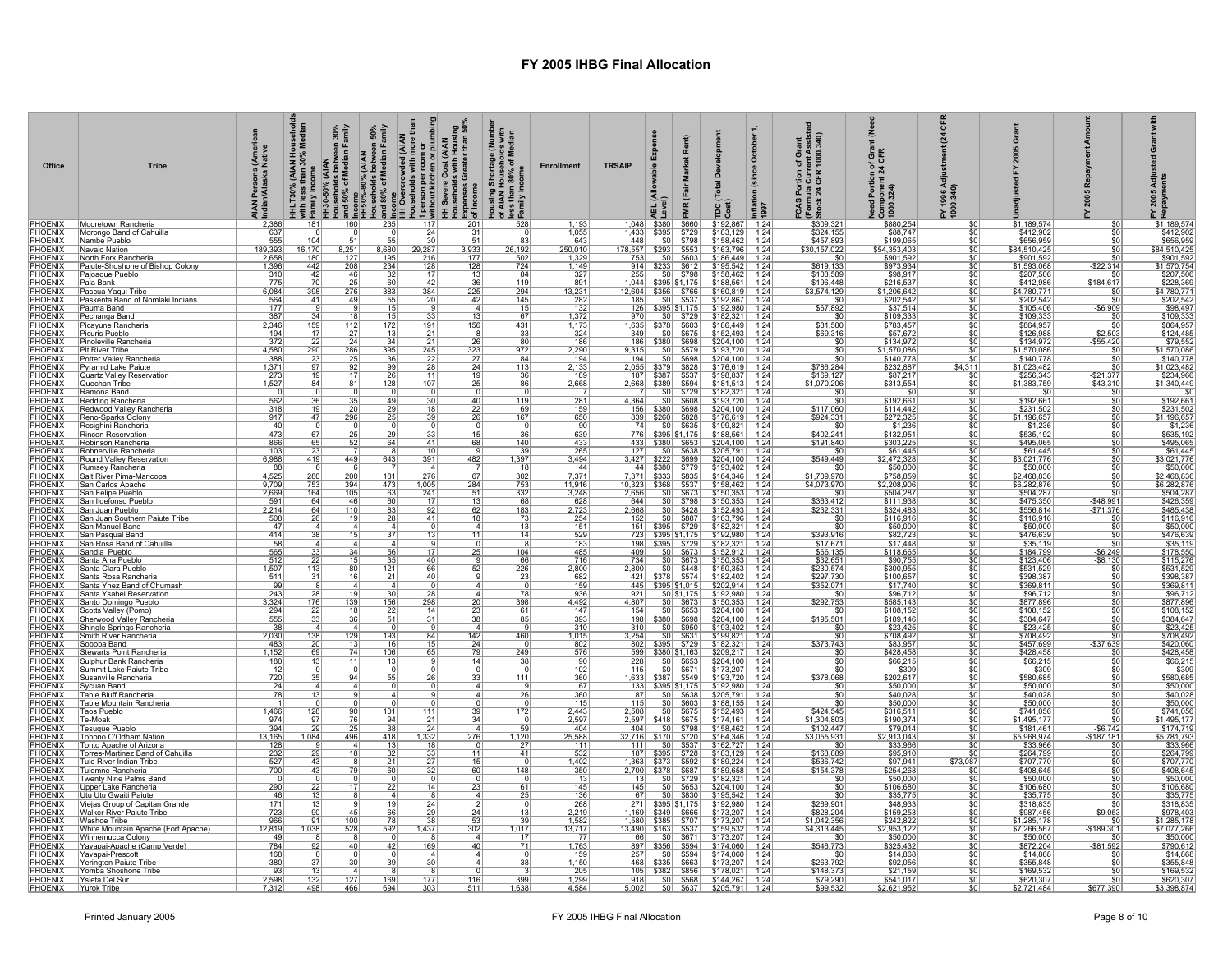| Office                                              | <b>Tribe</b>                                                | i (Ameri<br>Native<br>Persons<br>n/Alaska l<br>India | HHLT30% (AIAN House<br>with less than 30% Med<br>EFamily Income |                        |                       | with iess than 30% Median<br>and space of Median Family<br>Households between 30%<br>Households between 30%<br>Histor <sub>-80%</sub> (AJAN<br>and 50% of Median Family<br>in Histor-weed (AJAN<br>and 60% of Median Family<br>and 60% Median Family<br>HIS Sexenc | Housing Shortage (Number<br>of AIAN Households with<br>less than 80% of Median<br>ुनिamily Income | <b>Enrollment</b>            | <b>TRSAIP</b>                        |                                                                                                                   | œ                            | ്ദ                                                 | Octobe<br>(since<br>Inflati<br>1997 | ortion of Grant<br>a Current Assiste<br>LCFR 1000.340)<br>FCAS Port<br>(Formula C<br>Stock 24 C | f Grar<br>Need Portion<br>Component :<br>1000.324) | ম<br>FY 1996 A<br>1000.340)   |                                          |                        | FY 2005<br>Repayn                                            |
|-----------------------------------------------------|-------------------------------------------------------------|------------------------------------------------------|-----------------------------------------------------------------|------------------------|-----------------------|--------------------------------------------------------------------------------------------------------------------------------------------------------------------------------------------------------------------------------------------------------------------|---------------------------------------------------------------------------------------------------|------------------------------|--------------------------------------|-------------------------------------------------------------------------------------------------------------------|------------------------------|----------------------------------------------------|-------------------------------------|-------------------------------------------------------------------------------------------------|----------------------------------------------------|-------------------------------|------------------------------------------|------------------------|--------------------------------------------------------------|
| PHOENIX                                             | Mooretown Rancheria<br>Morongo Band of Cahuilla             | 2,386                                                | 181                                                             | 160                    | 235                   | 117<br>201<br>24                                                                                                                                                                                                                                                   | 528                                                                                               | 1,193<br>1,055               |                                      | 1,048 \$380<br>1,433 \$395 \$729                                                                                  | \$660                        | $$192,867$ 1.24<br>$$183,129$ 1.24                 |                                     | \$309,321<br>\$324,155                                                                          | \$880,254<br>\$88,747                              | \$O<br><u>\$0</u>             | \$1,189,574<br>\$412,902                 | \$0                    | \$1,189,574                                                  |
| PHOENIX<br>PHOENIX<br>PHOENIX                       | Nambe Pueblo                                                | $\frac{637}{555}$                                    | 104                                                             |                        |                       |                                                                                                                                                                                                                                                                    | $\frac{31}{51}$<br>-81                                                                            | 643                          | 448 \$0 \$798<br>178,557 \$293 \$553 |                                                                                                                   |                              | \$158,462                                          | 1.24                                | \$457,893                                                                                       | \$199,065<br>\$54,353,403                          | \$0                           | \$656,959                                |                        | $\frac{$41,100,014}{$412,902$}$<br>\$656,959<br>\$84,510,425 |
|                                                     | Navajo Nation<br>North Fork Rancheria                       | 189,393                                              | 16,170<br>180                                                   | 8,251                  | 8,680                 | 29,287<br>3,933<br>177                                                                                                                                                                                                                                             | 26,192                                                                                            | 250,010                      |                                      |                                                                                                                   |                              | \$163,796                                          | 1.24                                | \$30,157,022<br>\$0                                                                             | \$901,592                                          | \$0<br>\$0                    | \$84,510,425<br>\$901,592                |                        |                                                              |
| PHOENIX<br>PHOENIX<br>PHOENIX<br>PHOENIX<br>PHOENIX | Paiute-Shoshone of Bishop Colony                            | $\frac{2,658}{1,396}$                                | 442                                                             | $\frac{127}{208}$      | $\frac{195}{234}$     | $\frac{216}{128}$<br>128                                                                                                                                                                                                                                           | $\frac{502}{724}$                                                                                 | $\frac{1,329}{1,149}$        |                                      | $\frac{753}{914}$ $\frac{50}{3233}$ $\frac{603}{3612}$                                                            |                              | $\frac{$186,449}{$195,542}$                        | $\frac{1.24}{1.24}$                 | \$619.133                                                                                       | \$973,934                                          | $\overline{30}$               | \$1,593,068                              | $-$ \$22,314           | $\frac{$901,592}{$901,592}$<br>$$207,506$<br>$$228,369$      |
|                                                     | Pajoaque Pueblo<br>Pala Bank                                | $\frac{310}{775}$                                    | 42<br>$\overline{70}$                                           | -46                    | 32<br>60              | 17<br>42                                                                                                                                                                                                                                                           | 84<br>$\frac{13}{36}$<br>119                                                                      | $\frac{327}{891}$            | 255<br>1,044                         |                                                                                                                   | $$0 $ \$798<br>\$395 \$1,175 | $$158,462$ 1.24<br>\$188,561                       | 1.24                                | \$108,589<br>\$196,448                                                                          | \$98,917<br>\$216,537                              | \$0<br>\$0                    | \$207,506<br>\$412,986                   | \$0<br>$-$184,617$     |                                                              |
|                                                     | Pascua Yaqui Tribe                                          | 6,084                                                | 398                                                             | $\frac{25}{276}$       | 383                   | 384                                                                                                                                                                                                                                                                | 225<br>294                                                                                        | 13,231                       |                                      | 12,604 \$356 \$766                                                                                                |                              | \$160,819                                          | 1.24                                | \$3,574,129                                                                                     | \$1,206,642                                        | $\overline{30}$               | \$4,780,771                              |                        | \$4,780,771                                                  |
|                                                     | Paskenta Band of Nomlaki Indians<br>Pauma Band              | $\frac{564}{177}$                                    | 41                                                              | -49                    | $\frac{55}{15}$       | 20                                                                                                                                                                                                                                                                 | 145<br>42<br>$\overline{15}$<br>$\boldsymbol{\Lambda}$                                            | $\frac{282}{132}$            |                                      | 185 \$0 \$537                                                                                                     |                              | \$192,867<br>\$192.980                             | 1.24<br>1 24                        | \$0<br>\$67,892                                                                                 | $$202,542$<br>$$37,514$                            | \$0<br>-90                    | \$202,542<br>\$105,406                   | $-$6,909$              | \$202,542<br>\$98,497                                        |
| PHOENIX<br>PHOENIX<br>PHOENIX<br>PHOENIX<br>PHOENIX | Pechanga Band                                               | 387                                                  | 34                                                              | 18                     |                       | 33                                                                                                                                                                                                                                                                 | 13<br>67                                                                                          |                              | 970                                  |                                                                                                                   | \$0 \$729                    | \$182,321 1.24                                     |                                     | - \$0                                                                                           | \$109,333                                          | \$0                           | \$109,333                                | \$0                    | \$109,333                                                    |
|                                                     | Picayune Rancheria<br>Picuris Pueblo                        | 2,346<br>194                                         | 159<br>17                                                       | 112<br>$\overline{27}$ | $\frac{15}{172}$      | 191<br>21                                                                                                                                                                                                                                                          | 156<br>431<br>33                                                                                  | $\frac{1,372}{1,173}$<br>324 | 349                                  | 1,635 \$378 \$603                                                                                                 | $$0$ $$675$                  | $$186,449$<br>$$152,493$                           | $\frac{1.24}{1.24}$                 | \$81,500<br>\$69,316                                                                            | \$783,457<br>\$57,672                              | \$0<br>\$0                    | \$864,957<br>\$126,988                   | $-$2,503$              | \$864,957<br>\$124,485                                       |
| PHOENIX<br>PHOENIX<br>PHOENIX<br>PHOENIX            | Pinoleville Rancheria                                       | 372                                                  | 22                                                              | 24                     | $\frac{34}{395}$      | $\frac{21}{245}$                                                                                                                                                                                                                                                   | $\frac{26}{323}$<br>80                                                                            | 186                          |                                      | 186 \$380 \$698                                                                                                   |                              | \$204,100                                          | 1.24                                | \$0                                                                                             | \$134,972<br>\$1,570,086                           | \$0                           | \$134,972                                | $-$55,420$<br>\$0      | $$79,552$<br>\$1,570,086                                     |
|                                                     | Pit River Tribe<br>Potter Valley Rancheria                  | 4,580<br>388                                         | 290<br>23                                                       | 286<br>25              | 36                    | 22                                                                                                                                                                                                                                                                 | 972<br>84                                                                                         | 2,290<br>194                 | 9,315<br>194                         |                                                                                                                   | $$0 $ \$579<br>$$0 $ \$698   | \$193,720<br>$$204,100$ 1.24                       | 1.24                                | \$0<br>$\overline{50}$                                                                          | \$140,778                                          | \$0<br>\$0                    | \$1,570,086<br>\$140,778                 |                        | \$140,778                                                    |
| PHOENIX<br>PHOENIX                                  | Pvramid Lake Paiute                                         | $\frac{1.371}{273}$                                  | 19                                                              | $\overline{17}$        | $\frac{99}{26}$       | 28                                                                                                                                                                                                                                                                 | $\frac{27}{24}$<br>19<br>113<br>36                                                                | $\frac{2,133}{189}$          |                                      |                                                                                                                   |                              | $\frac{$176,619}{$198,837}$ 1.24                   |                                     | \$786,284<br>\$169,127                                                                          | \$232,887<br>\$87,217                              | \$4,311                       | $$1,023,482$<br>$$256,343$               | $-$ \$21.377           | $$1,023,482$<br>$$234,966$                                   |
| PHOENIX<br>PHOENIX                                  | Quartz Valley Reservation<br>Quechan Tribe                  | 1,527                                                | 84                                                              | 81                     | 128                   | 11<br>107                                                                                                                                                                                                                                                          | 25<br>86                                                                                          | 2,668                        |                                      | 2,668 \$389 \$594                                                                                                 |                              | \$181,513                                          | 1.24                                | \$1,070,206                                                                                     | \$313,554                                          | -90<br>\$0                    | \$1,383,759                              | -\$43,310              | \$1,340,449                                                  |
|                                                     | Ramona Band                                                 |                                                      |                                                                 |                        |                       |                                                                                                                                                                                                                                                                    | $\overline{0}$                                                                                    |                              |                                      |                                                                                                                   | $$0$ $$729$                  | \$182,321                                          | 1.24                                |                                                                                                 | -SC                                                | \$0                           | \$0                                      |                        | \$C                                                          |
| PHOENIX<br>PHOENIX<br>PHOENIX<br>PHOENIX<br>PHOENIX | Redding Rancheria<br>Redwood Valley Rancheria               | $\frac{562}{318}$<br>917                             | 36                                                              |                        | 49<br>$\frac{29}{25}$ | 30                                                                                                                                                                                                                                                                 | $\frac{40}{22}$<br>119<br>69                                                                      | $\frac{281}{159}$            | 4,364                                | 364 \$0 \$608<br>156 \$380 \$698                                                                                  |                              | \$193,720 1.24<br>\$204,100 1.24<br>\$176,619 1.24 |                                     | \$0<br>\$117,060                                                                                | \$192,661<br>\$114,442<br>\$272,325                | \$0<br>\$0                    | $$192,661$<br>$$231,502$<br>$$1,196,657$ | \$0                    | $$192,661$<br>$$231,502$<br>$$1,196,657$                     |
|                                                     | Reno-Sparks Colony<br>Resighini Rancheria                   | 40                                                   | 47                                                              | 296                    |                       | 39                                                                                                                                                                                                                                                                 | 167                                                                                               | 650<br>90                    | 74                                   | 839 \$260 \$828                                                                                                   | $$0 $ \$635                  | \$199,821 1.24                                     |                                     | \$924,331<br>\$0                                                                                |                                                    | \$0                           |                                          | \$0                    |                                                              |
|                                                     | Rincon Reservation                                          | 473                                                  | 67                                                              |                        | 29                    | 33                                                                                                                                                                                                                                                                 | 36                                                                                                | 639                          | 776                                  |                                                                                                                   | \$395 \$1,175                | \$188,561                                          | 1.24                                | \$402,241                                                                                       | $$1,236$<br>$$132,951$                             | \$0<br>\$0                    | $\frac{$1,236}{$535,192}$                |                        | $\frac{$1,236}{$535,192}$                                    |
|                                                     | Robinson Rancheria<br>Rohnerville Rancheria                 | 866<br>103                                           | 65                                                              | 52                     | 64                    | 41<br>10                                                                                                                                                                                                                                                           | 68<br>140<br>39                                                                                   | 433<br>265                   |                                      | 433 \$380 \$653                                                                                                   |                              | \$204,100                                          | 1.24                                | \$191,840<br>\$0                                                                                | \$303,225                                          | \$0                           | \$495,065                                |                        | $$495,065$<br>$$61,445$                                      |
| PHOENIX<br>PHOENIX<br>PHOENIX                       | Round Valley Reservation                                    | 6,988                                                | 419                                                             | 449                    | 643                   | 391<br>482                                                                                                                                                                                                                                                         | 1,397                                                                                             | 3,494                        |                                      | 127 \$0 \$638<br>3,427 \$222 \$699                                                                                |                              | $$205,791$ 1.24<br>\$204,100                       | 1.24                                | \$549,449                                                                                       | \$61,445<br>\$2,472,328                            | \$0                           | $$61,445$<br>\$3,021,776                 | \$0                    | \$3,021,776                                                  |
| PHOENIX<br>PHOENIX                                  | Rumsey Rancheria<br>Salt River Pima-Maricopa                | 4,525                                                | 280                                                             | 200                    | 181                   | 276                                                                                                                                                                                                                                                                | $\overline{18}$<br>302<br>67                                                                      | 44<br>7,371                  |                                      | 44   \$380   \$779  <br>7,371 \$333 \$835                                                                         |                              | \$193,402<br>\$164,346                             | 1.24<br>1.24                        | \$1,709,978                                                                                     | $\frac{$50,000}{$758,859}$                         | \$0<br>\$0                    | \$50,000<br>\$2,468,836                  |                        | \$50,000<br>\$2,468,836                                      |
| PHOENIX<br>PHOENIX<br>PHOENIX<br>PHOENIX            | San Carlos Apache                                           | 9,709                                                | 753                                                             | 394                    | 473                   | 1,005                                                                                                                                                                                                                                                              | 753<br>284                                                                                        | 11,916                       |                                      | 10,323   \$368   \$537                                                                                            |                              | $$158,462$ 1.24                                    |                                     | \$4,073,970                                                                                     | \$2,208,906                                        | \$0                           | \$6,282,876                              |                        | \$6,282,876                                                  |
|                                                     | San Felipe Pueblo<br>San Ildefonso Pueblo                   | 2,669<br>591                                         | 164<br>64                                                       | 105<br>46              | $\frac{63}{60}$       | $\frac{241}{17}$                                                                                                                                                                                                                                                   | $\frac{51}{13}$<br>332<br>68                                                                      | 3,248<br>628                 | 2,656<br>644                         |                                                                                                                   |                              | $$150,353$ 1.24<br>$$150,353$ 1.24                 |                                     | \$0<br>\$363,412                                                                                | \$504,287<br>\$111,938                             | $\overline{30}$               | \$504,287<br>\$475,350                   | $-$ \$48,991           | \$504,287<br>\$426,359                                       |
| <b>PHOENIX</b><br>PHOENIX                           | San Juan Pueblo                                             | $\frac{2,214}{508}$                                  | 64                                                              | 110                    | $\frac{83}{28}$       | 92                                                                                                                                                                                                                                                                 | $\frac{62}{18}$<br>183                                                                            | $\frac{2,723}{254}$          | 2,668                                |                                                                                                                   | $\frac{$0}{$0}{$0}{$887}$    | $$152,493$<br>$$163,796$                           | 1.24                                | \$232,331                                                                                       | \$324,483<br>\$116,916                             | \$0                           | \$556,814                                | $-$71,376$             | \$485,438                                                    |
|                                                     | San Juan Southern Paiute Tribe<br>San Manuel Band           | 47                                                   | 26                                                              | 19                     | $\Delta$              | 41                                                                                                                                                                                                                                                                 | 73<br>13<br>$\Delta$                                                                              | 151                          | 152                                  | 151 \$395 \$729                                                                                                   |                              |                                                    | 1.24                                | \$0<br>\$0                                                                                      |                                                    | \$0<br>\$0                    | \$116,916<br>\$50,000                    | SO.<br>\$0             | \$116,916<br>\$50,000                                        |
| PHOENIX<br>PHOENIX<br>PHOENIX                       | San Pasqual Band                                            | 414                                                  | 38                                                              | 15                     | 37                    | 13                                                                                                                                                                                                                                                                 | 11<br>14                                                                                          | 529                          |                                      | 723 \$395 \$1,175                                                                                                 |                              | \$182,321 1.24<br>\$192,980 1.24                   |                                     | \$393,916                                                                                       | $\frac{$50,000}{$82,723}$ \$17,448                 |                               | \$476,639                                |                        | \$476,639                                                    |
|                                                     | San Rosa Band of Cahuilla<br>Sandia Pueblo                  | 58<br>$\frac{565}{512}$                              |                                                                 | 34                     |                       |                                                                                                                                                                                                                                                                    | 104<br>25                                                                                         | 183<br>485                   | 409                                  | 198   \$395   \$729                                                                                               |                              | \$182,321                                          | 1.24<br>1.24                        | \$17,671<br>$\frac{$66.135}{$32,651}$                                                           |                                                    | \$0<br>\$0                    | \$35,119<br>\$184,799                    |                        | \$35,119                                                     |
| PHOENIX<br>PHOENIX<br>PHOENIX<br>PHOENIX            | <b>Santa Ana Pueblo</b>                                     |                                                      | -22                                                             | $\overline{15}$        | $\frac{56}{35}$       | 40                                                                                                                                                                                                                                                                 | 66                                                                                                | 716                          | 734                                  |                                                                                                                   | $\frac{$0]}{$00}$ \$673      | $\frac{$152,912}{$150,353}$                        | 1.24                                |                                                                                                 | $\frac{$118,665}{$90,755}$                         | \$0                           | \$123,406                                | $ $6,249$<br>$ $8,130$ | \$178,550<br>\$115,276                                       |
|                                                     | Santa Clara Pueblo<br>Santa Rosa Rancheria                  | 1,507<br>511                                         | 113<br>31                                                       |                        | 121<br>21             | 66<br>40                                                                                                                                                                                                                                                           | 52<br>226<br>23                                                                                   | 2,800<br>682                 | 2,800                                | 2,800 \$0 \$448                                                                                                   |                              | \$150,353<br>\$182,402 1.24                        | 1.24                                | \$230,574<br>\$297,730                                                                          | \$300,955<br>\$100,657                             | \$0<br>\$0                    | \$531,529<br>\$398,387                   | $$^{(1)}$$             | \$531,529<br>\$398,387                                       |
| PHOENIX                                             | Santa Ynez Band of Chumash                                  | 99                                                   |                                                                 |                        |                       |                                                                                                                                                                                                                                                                    |                                                                                                   | 159                          |                                      | 445 \ \$395 \ \$1,015                                                                                             |                              | $$202,914$ 1.24                                    |                                     | \$352,071                                                                                       | \$17,740                                           | \$0                           | \$369,811                                |                        | \$369,811                                                    |
| PHOENIX<br>PHOENIX                                  | Santa Ysabel Reservation<br>Santo Domingo Pueblo            | $\frac{243}{3,324}$                                  | 28<br>176                                                       | 139                    | $\frac{30}{156}$      | 298                                                                                                                                                                                                                                                                | 398<br>20                                                                                         | 936<br>4,492                 | 921<br>4,807                         |                                                                                                                   | $\frac{$0] $1,175}{$0 873}$  | $$192,980$<br>$$150,353$                           | 1.24<br>1.24                        | \$292,753                                                                                       | $\frac{$96,712}{$585,143}$                         | <u>\$0</u><br>\$0             | $\frac{$96,712}{$877,896}$               | \$0                    | \$96,712                                                     |
| <b>PHOENIX</b><br>PHOENIX                           | Scotts Valley (Pomo)<br>Sherwood Valley Rancheria           | 294                                                  | 22<br>33                                                        | 18<br>36               | 22<br>51              | 14<br>31                                                                                                                                                                                                                                                           | $\frac{23}{38}$<br>61<br>85                                                                       | 147                          | 154                                  | 198   \$380   \$698                                                                                               | $$0$ $$653$                  | \$204,100 1.24<br>\$204,100 1.24<br>\$193,402 1.24 |                                     | \$0<br>\$195,501                                                                                | \$108,152                                          | \$0<br>\$0                    | \$108,152                                |                        | \$108,152<br>\$384,647                                       |
| PHOENIX                                             | Shingle Springs Rancheria                                   | $\frac{555}{38}$                                     |                                                                 |                        |                       |                                                                                                                                                                                                                                                                    |                                                                                                   | $\frac{393}{310}$            | 310                                  |                                                                                                                   | $$0$ $$950$                  |                                                    |                                     | $\overline{30}$                                                                                 | $\frac{$189.146}{$23,425}$                         | \$0                           | \$384,647<br>\$23,425                    |                        | \$23,425                                                     |
| PHOENIX<br>PHOENIX                                  | Smith River Rancheria<br>Soboba Band                        | 2,030<br>483                                         | 138<br>20                                                       | $\frac{129}{13}$       | 193<br>16             | 84<br>15                                                                                                                                                                                                                                                           | 142<br>460<br>24                                                                                  | 1,015<br>802                 | 3,254                                | 802 \$395 \$729                                                                                                   | $$0 $ \$631                  | \$199,821 1.24<br>\$182,321 1.24                   |                                     | \$0<br>\$373,743                                                                                | \$708,492<br>\$83,957                              | \$0<br>\$0                    | \$708,492<br>\$457,699                   | $-$37,639$             | \$708,492<br>\$420,060                                       |
| PHOENIX<br>PHOENIX<br>PHOENIX<br>PHOENIX<br>PHOENIX | Stewarts Point Rancheria                                    | 1,152                                                | 69                                                              | 74                     | $\frac{106}{13}$      | 65                                                                                                                                                                                                                                                                 | 249<br>79                                                                                         | $\frac{576}{90}$             |                                      | 599 \$380 \$1,163                                                                                                 |                              |                                                    |                                     | \$0                                                                                             | \$428,458                                          | \$0                           | \$428,458                                |                        | \$428,458                                                    |
|                                                     | Sulphur Bank Rancheria<br>Summit Lake Paiute Tribe          | 180<br>12                                            | 13                                                              | -11                    |                       |                                                                                                                                                                                                                                                                    | 14<br>38<br>- 0                                                                                   | 102                          | 228<br>115                           |                                                                                                                   |                              | \$209,217 1.24<br>\$204,100 1.24<br>\$173,207 1.24 |                                     | 50<br>\$0                                                                                       | $\frac{$66,215}{\$309}$                            | \$0<br>\$0                    | $\frac{$66,215}{\$309}$                  |                        | $rac{120,100}{$66,215}$                                      |
|                                                     | Susanville Rancheria                                        | 720                                                  | 35                                                              | 94                     | 55                    | 26                                                                                                                                                                                                                                                                 | 33<br>111                                                                                         | 360                          |                                      | 1,633  \$387  \$549                                                                                               |                              | \$193,720                                          | 1.24                                | \$378,068                                                                                       | \$202,617                                          | \$0                           | \$580,685                                |                        | \$580,685                                                    |
|                                                     | Sycuan Band<br>Table Bluff Rancheria                        | 24<br>78                                             |                                                                 |                        |                       |                                                                                                                                                                                                                                                                    | 26                                                                                                | 67<br>360                    | 87                                   | 133 \$395 \$1,175                                                                                                 |                              | \$192,980                                          | 1.24                                | $\overline{50}$                                                                                 | \$50,000                                           | \$0<br>\$0                    | \$50,000<br>\$40,028                     |                        | \$50,000                                                     |
|                                                     | Table Mountain Rancheria                                    |                                                      |                                                                 |                        |                       |                                                                                                                                                                                                                                                                    |                                                                                                   | 115                          | $\overline{115}$                     |                                                                                                                   | $\frac{$0}{$0}{$0$}$ \$638   | $$205,791$ 1.24<br>$$188,155$ 1.24                 |                                     |                                                                                                 | $\frac{$40,028}{$50,000}$                          | \$0                           | \$50,000                                 |                        | \$40,028                                                     |
| PHOENIX<br>PHOENIX<br>PHOENIX<br>PHOENIX<br>PHOENIX | Taos Pueblo<br>Te-Moak                                      | 1,466<br>974                                         | 128<br>97                                                       | 90                     | $101$<br>94           | 111                                                                                                                                                                                                                                                                | 172<br>39<br>34                                                                                   | 2,443<br>2,597               | 2,508                                | 2,597   \$418   \$675                                                                                             | $$0$ $$675$                  | $$152,493$ 1.24<br>\$174,161                       | 1.24                                | \$424,545<br>\$1,304,803                                                                        | \$190,374                                          | \$0<br>\$0                    | \$741,056<br>\$1,495,177                 |                        | \$741,056<br>\$1,495,177                                     |
|                                                     | <b>Tesuaue Pueblo</b>                                       | 394                                                  | 29                                                              |                        | 38                    | $\frac{21}{24}$                                                                                                                                                                                                                                                    | 59                                                                                                | 404                          | 404                                  |                                                                                                                   | $$0$ $$798$                  | \$158,462                                          | 1.24                                | \$102,447                                                                                       | \$79,014                                           | \$0                           | \$181,461                                | $-$6,742$              | \$174,719                                                    |
| PHOENIX<br>PHOENIX<br>PHOENIX                       | Tohono O'Odham Nation<br>Tonto Apache of Arizona            | 13,165<br>128                                        | 1,084                                                           | 496                    | 418<br>13             | 1,332<br>18                                                                                                                                                                                                                                                        | 276<br>1,120                                                                                      | 25,588<br>111                | 111                                  |                                                                                                                   | $$0$ \$537                   | \$164,346<br>$$162,727$ 1.24                       | 1.24                                | \$3,055,931                                                                                     | \$2,913,043<br>\$33,966<br>\$95,910                | \$0<br>\$0                    | \$5,968,974<br>\$33,966                  | $-$187,181$            | \$5,781,793<br>\$33,966<br>\$264,799                         |
|                                                     | Torres-Martinez Band of Cahuilla<br>Tule River Indian Tribe | 232                                                  | 29<br>43                                                        | 18                     | 32                    | 33                                                                                                                                                                                                                                                                 | 11<br>41                                                                                          | 532                          |                                      | 187   \$395   \$728                                                                                               |                              | $$183,129$ 1.24                                    |                                     | \$168,889                                                                                       |                                                    | \$73,087                      | \$264.799<br>\$707,770                   |                        | \$707,770                                                    |
|                                                     | Tulomne Rancheria                                           | $\frac{527}{700}$                                    | $\overline{43}$                                                 |                        | $\frac{21}{60}$       | $\frac{27}{32}$                                                                                                                                                                                                                                                    | $\frac{15}{60}$<br>148                                                                            | $\frac{1,402}{350}$          |                                      | $\begin{array}{ c c c c c c }\n\hline\n1,363 & $373 & $592 \\ \hline\n2,700 & $378 & $687 \\ \hline\n\end{array}$ |                              | $$189,224$ 1.24<br>$$189,658$ 1.24                 |                                     | \$536,742<br>\$154,378                                                                          | $$97,941$<br>$$254,268$                            | \$0                           | \$408,645                                |                        | \$408,645                                                    |
| PHOENIX<br>PHOENIX<br>PHOENIX<br>PHOENIX<br>PHOENIX | Twenty Nine Palms Band<br>Upper Lake Rancheria              |                                                      |                                                                 |                        |                       | 14                                                                                                                                                                                                                                                                 |                                                                                                   | 13<br>145                    | 13                                   |                                                                                                                   | $$0$ \$729                   | $$182,321$ 1.24                                    |                                     | \$0<br>\$0                                                                                      | \$50,000                                           | \$0<br>\$0                    | \$50,000                                 |                        | \$50,000                                                     |
|                                                     | Utu Utu Gwaiti Paiute                                       | 290<br>46                                            | $\frac{22}{13}$                                                 |                        | 22                    |                                                                                                                                                                                                                                                                    | 23<br>61<br>$\overline{4}$<br>25                                                                  | 136                          | $\frac{145}{67}$                     |                                                                                                                   | $$0$ \ \$653<br>$$0$ $$830$  | \$204,100<br>$$195,542$ 1.24                       | 1.24                                |                                                                                                 | \$106,680<br>\$35,775                              | \$0                           | $$106,680$<br>$$35,775$                  |                        | \$106,680                                                    |
|                                                     | Viejas Group of Capitan Grande<br>Walker River Paiute Tribe | 171<br>723                                           | 13<br>90                                                        | 45                     | 19<br>66              | 24<br>29                                                                                                                                                                                                                                                           | 24<br>13                                                                                          | $\frac{268}{2,219}$          |                                      | 1,169 \$349 \$666                                                                                                 |                              | $\frac{$192,980}{$173,207}$ 1.24                   |                                     | \$269,901<br>\$828,204                                                                          | \$48,933<br>\$159,253                              | $\frac{$0}{$0}$               | \$318,835<br>\$987,456                   | $-$9,053$              | \$318,835                                                    |
|                                                     | Washoe Tribe                                                | 966                                                  | -91                                                             | <u> 100</u>            | 78                    | 38                                                                                                                                                                                                                                                                 | $\frac{53}{302}$<br>39                                                                            | $\frac{1,582}{13,717}$       |                                      | 1,580 \$385 \$707<br>13,490 \$163 \$537                                                                           |                              | \$173,207 1.24                                     |                                     | \$1,042,356                                                                                     | \$242,822                                          | \$0                           | \$1,285,178                              | \$0                    | $$1,285,178$<br>$$7,077,266$                                 |
| PHOENIX<br>PHOENIX<br>PHOENIX<br>PHOENIX<br>PHOENIX | White Mountain Apache (Fort Apache)<br>Winnemucca Colony    | 12,819<br>49                                         | 1,038                                                           | 528                    | 592                   | 1,437                                                                                                                                                                                                                                                              | 1,017<br>17                                                                                       | $\overline{77}$              | 66                                   |                                                                                                                   | $ $0 $ \\$671                | \$159,532<br>$$173,207$ 1.24                       | 1.24                                | \$4,313,445<br>$\overline{50}$                                                                  | \$2,953,122<br>\$50,000                            | \$0<br>$\overline{\text{SO}}$ | \$7,266,567<br>\$50,000                  | $-$189,301$<br>\$0     | \$50,000                                                     |
| PHOENIX<br>PHOENIX<br>PHOENIX                       | Yavapai-Apache (Camp Verde)                                 | 784                                                  | 92                                                              | 40                     | 42                    | 169                                                                                                                                                                                                                                                                | 40<br>71                                                                                          | $\frac{1,763}{159}$          |                                      | 897 \$356 \$594                                                                                                   |                              | $\frac{$174,060}{$174,060}$ 1.24                   |                                     | \$546,773                                                                                       | \$325,432<br>\$14,868                              | \$0                           | \$872,204                                | $-$81,592$             | \$790,612                                                    |
|                                                     | Yavapai-Prescott<br>Yerington Paiute Tribe                  | 168<br>380                                           | 37                                                              |                        | 39                    | 30                                                                                                                                                                                                                                                                 | $\Omega$<br>38                                                                                    | 1,150                        | 257                                  | 468 \$335 \$663                                                                                                   | $$0$ \$594                   | \$173,207 1.24                                     |                                     | \$0<br>\$263,792                                                                                | \$92,056                                           | \$0<br>\$0                    | \$14,868<br>\$355,848                    |                        | \$14,868                                                     |
| PHOENIX                                             | Yomba Shoshone Tribe                                        |                                                      |                                                                 |                        |                       |                                                                                                                                                                                                                                                                    |                                                                                                   | 205                          |                                      |                                                                                                                   |                              | $\frac{$178,021}{1.24}$<br>$\frac{$178,021}{1.24}$ |                                     | \$148,373                                                                                       | \$21,159                                           | \$0                           | \$169,532<br>\$620,307                   |                        | \$355,848<br>\$169,532                                       |
| PHOENIX<br>PHOENIX Yurok Tribe                      | Ysleta Del Sur                                              | 2,598<br>7.312                                       | 132<br>498                                                      | 127<br>466             | 169<br>694            | 177<br>303                                                                                                                                                                                                                                                         | 399<br>116<br>1.638<br>511                                                                        | 1,299<br>4.584               |                                      | $918$ $50$ $$568$                                                                                                 |                              |                                                    |                                     | \$79,290<br>\$99.532                                                                            | \$541,017<br>\$2.621.952                           | \$0<br>\$0 <sub>0</sub>       | \$2.721.484                              | \$677,390              | \$620,307<br>\$3.398.874                                     |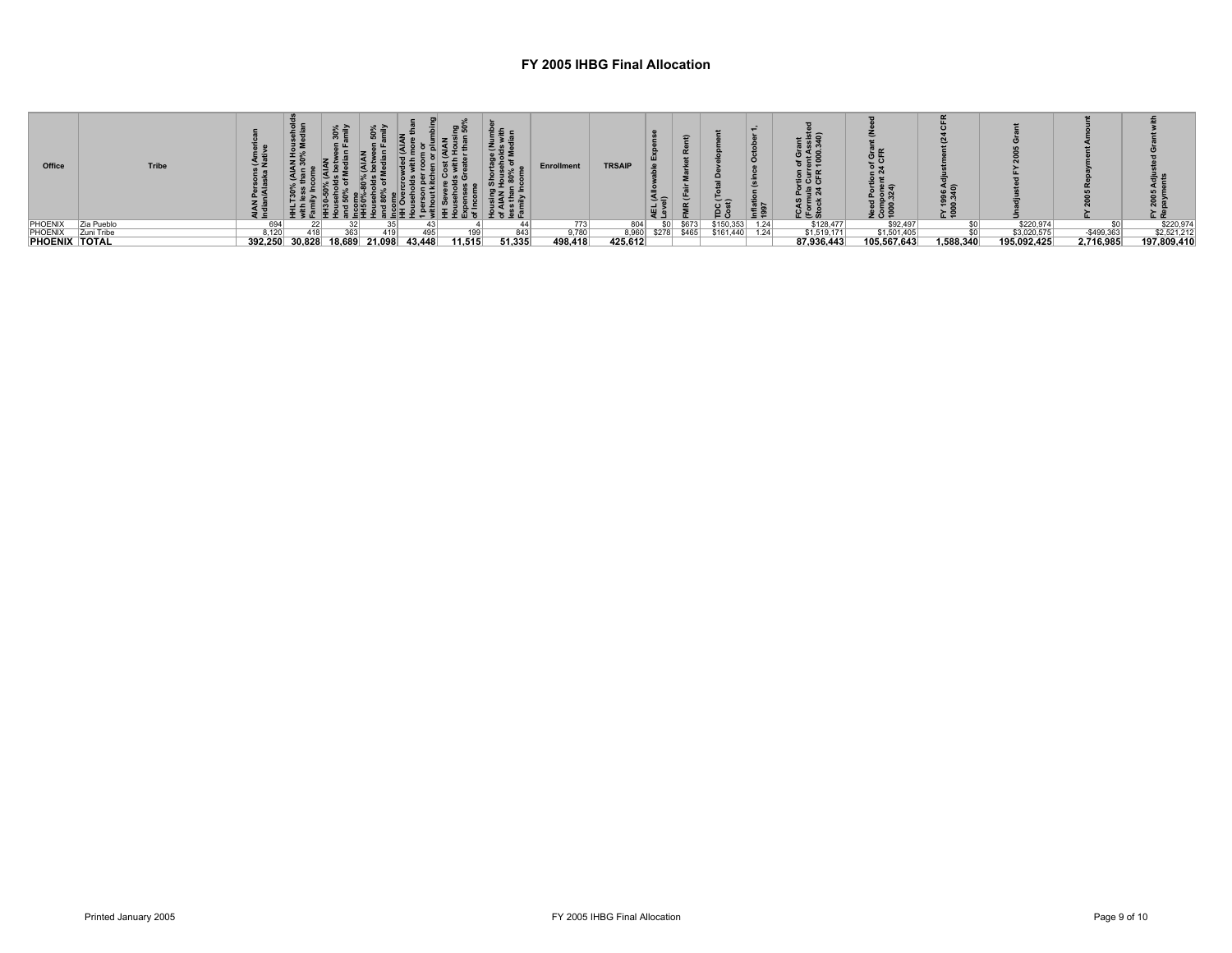| Office               | Tribe      |       |                |     |               |        |        |        | <b>Enrollment</b> | <b>TRSAIP</b> |                 |       | $\frac{10}{2}$ | Inflat<br>1997 | ⋖っ<br>៖ ៩ ង<br>⊥ี≒ลั<br>인은늚 | ᅇᆢ<br>z o = | ፚᇢ        |             |             | ⊾ α         |
|----------------------|------------|-------|----------------|-----|---------------|--------|--------|--------|-------------------|---------------|-----------------|-------|----------------|----------------|-----------------------------|-------------|-----------|-------------|-------------|-------------|
| PHOENIX              | Zia Pueblo |       |                |     |               |        |        |        | 773               | 804           | SO <sub>1</sub> | \$673 | \$150,353      | 1.24           | \$128,477                   | \$92,497    |           | \$220.974   |             | \$220,97    |
| <b>PHOENIX</b>       | Zuni Tribe | 8.120 | 418            | 363 | 419           |        |        | 843    | 9,780             | 8,960         | \$278           | \$465 | \$161,440      | 1.24           | \$1,519,171                 | \$1,501,405 |           | \$3,020,575 | $-$499,363$ | \$2,521,212 |
| <b>PHOENIX TOTAL</b> |            |       | 392,250 30,828 |     | 18,689 21,098 | 43.448 | 11.515 | 51.335 | 498,418           | 425,612       |                 |       |                |                | 87.936.443                  | 05.567.643  | 1.588.340 | 195,092,425 | 2,716,985   | 197,809,410 |